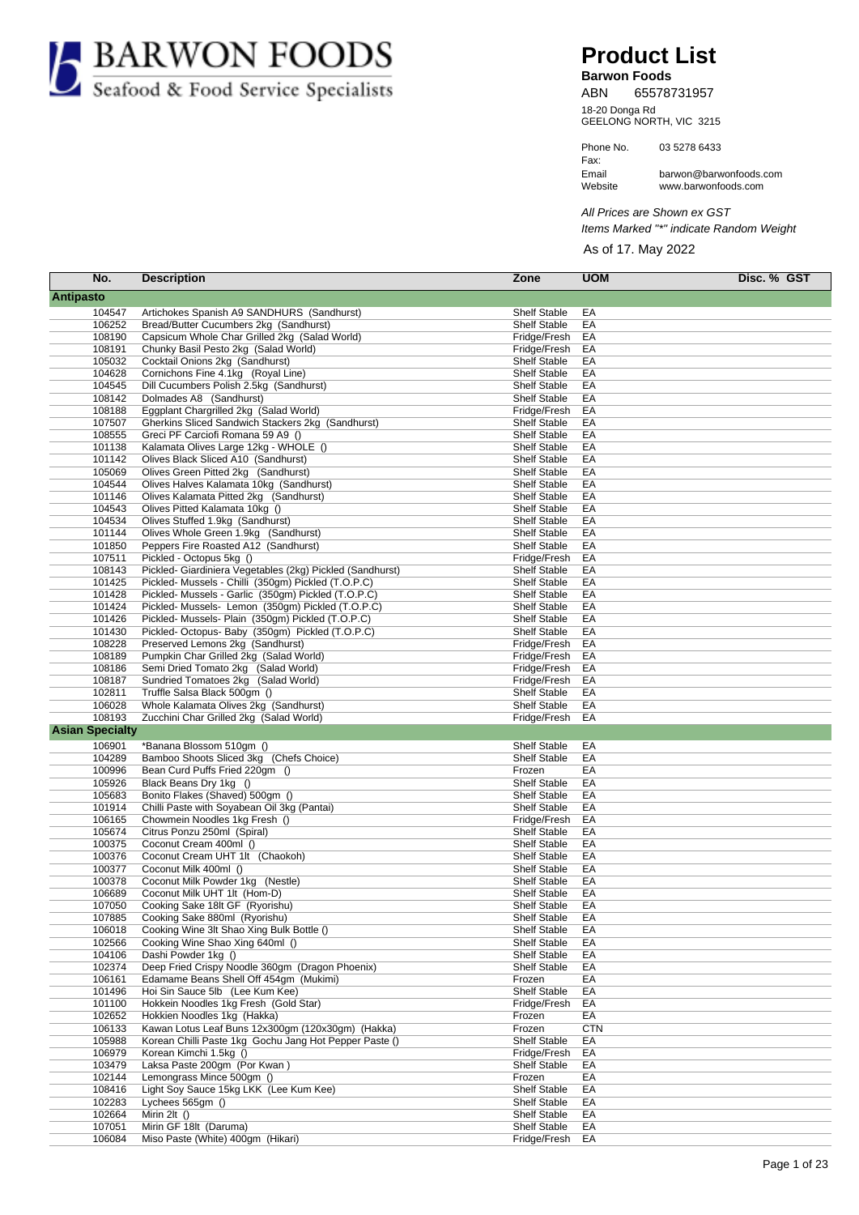

## **Product List**

**Barwon Foods** ABN 65578731957

GEELONG NORTH, VIC 3215 18-20 Donga Rd

Fax: Phone No. 03 5278 6433 Website Email www.barwonfoods.com barwon@barwonfoods.com

All Prices are Shown ex GST Items Marked "\*" indicate Random Weight

As of 17. May 2022

| No.                    | <b>Description</b>                                                               | Zone                          | <b>UOM</b> | Disc. % GST |
|------------------------|----------------------------------------------------------------------------------|-------------------------------|------------|-------------|
| Antipasto              |                                                                                  |                               |            |             |
| 104547                 | Artichokes Spanish A9 SANDHURS (Sandhurst)                                       | <b>Shelf Stable</b>           | EA         |             |
| 106252                 | Bread/Butter Cucumbers 2kg (Sandhurst)                                           | <b>Shelf Stable</b>           | EA         |             |
| 108190                 | Capsicum Whole Char Grilled 2kg (Salad World)                                    | Fridge/Fresh                  | EA         |             |
| 108191                 | Chunky Basil Pesto 2kg (Salad World)                                             | Fridge/Fresh                  | EA         |             |
| 105032                 | Cocktail Onions 2kg (Sandhurst)                                                  | <b>Shelf Stable</b>           | EA         |             |
| 104628                 | Cornichons Fine 4.1kg (Royal Line)                                               | <b>Shelf Stable</b>           | EA         |             |
| 104545                 | Dill Cucumbers Polish 2.5kg (Sandhurst)                                          | <b>Shelf Stable</b>           | EA         |             |
| 108142                 | Dolmades A8 (Sandhurst)                                                          | <b>Shelf Stable</b>           | EA         |             |
| 108188                 | Eggplant Chargrilled 2kg (Salad World)                                           | Fridge/Fresh                  | EA         |             |
| 107507                 | Gherkins Sliced Sandwich Stackers 2kg (Sandhurst)                                | <b>Shelf Stable</b>           | EA         |             |
| 108555                 | Greci PF Carciofi Romana 59 A9 ()                                                | <b>Shelf Stable</b>           | EA         |             |
| 101138                 | Kalamata Olives Large 12kg - WHOLE ()                                            | <b>Shelf Stable</b>           | EA         |             |
| 101142                 | Olives Black Sliced A10 (Sandhurst)                                              | <b>Shelf Stable</b>           | EA         |             |
| 105069                 | Olives Green Pitted 2kg (Sandhurst)                                              | <b>Shelf Stable</b>           | EA         |             |
| 104544                 | Olives Halves Kalamata 10kg (Sandhurst)                                          | <b>Shelf Stable</b>           | EA         |             |
| 101146                 | Olives Kalamata Pitted 2kg (Sandhurst)                                           | <b>Shelf Stable</b>           | EA         |             |
| 104543                 | Olives Pitted Kalamata 10kg ()                                                   | <b>Shelf Stable</b>           | EA         |             |
| 104534                 | Olives Stuffed 1.9kg (Sandhurst)                                                 | <b>Shelf Stable</b>           | EA         |             |
| 101144                 | Olives Whole Green 1.9kg (Sandhurst)                                             | <b>Shelf Stable</b>           | EA         |             |
| 101850                 | Peppers Fire Roasted A12 (Sandhurst)                                             | <b>Shelf Stable</b>           | EA         |             |
| 107511                 | Pickled - Octopus 5kg ()                                                         | Fridge/Fresh                  | EA         |             |
| 108143                 | Pickled- Giardiniera Vegetables (2kg) Pickled (Sandhurst)                        | <b>Shelf Stable</b>           | EA         |             |
| 101425                 | Pickled- Mussels - Chilli (350gm) Pickled (T.O.P.C)                              | <b>Shelf Stable</b>           | EA         |             |
| 101428                 | Pickled- Mussels - Garlic (350qm) Pickled (T.O.P.C)                              | <b>Shelf Stable</b>           | EA         |             |
| 101424                 | Pickled- Mussels- Lemon (350gm) Pickled (T.O.P.C)                                | <b>Shelf Stable</b>           | EA         |             |
| 101426                 | Pickled- Mussels- Plain (350gm) Pickled (T.O.P.C)                                | <b>Shelf Stable</b>           | EA         |             |
| 101430                 | Pickled- Octopus- Baby (350gm) Pickled (T.O.P.C)                                 | <b>Shelf Stable</b>           | EA         |             |
| 108228                 | Preserved Lemons 2kg (Sandhurst)                                                 | Fridge/Fresh                  | EA         |             |
| 108189                 | Pumpkin Char Grilled 2kg (Salad World)                                           | Fridge/Fresh                  | EA         |             |
| 108186                 | Semi Dried Tomato 2kg (Salad World)                                              | Fridge/Fresh                  | EA         |             |
| 108187                 | Sundried Tomatoes 2kg (Salad World)                                              | Fridge/Fresh                  | EA         |             |
| 102811                 | Truffle Salsa Black 500gm ()                                                     | <b>Shelf Stable</b>           | EA         |             |
| 106028                 | Whole Kalamata Olives 2kg (Sandhurst)                                            | <b>Shelf Stable</b>           | EA         |             |
| 108193                 | Zucchini Char Grilled 2kg (Salad World)                                          | Fridge/Fresh                  | EA         |             |
| <b>Asian Specialty</b> |                                                                                  |                               |            |             |
| 106901                 | *Banana Blossom 510gm ()                                                         | <b>Shelf Stable</b>           | EA         |             |
| 104289                 | Bamboo Shoots Sliced 3kg (Chefs Choice)                                          | <b>Shelf Stable</b>           | EA         |             |
| 100996                 | Bean Curd Puffs Fried 220gm ()                                                   | Frozen                        | EA         |             |
| 105926                 | Black Beans Dry 1kg ()                                                           | <b>Shelf Stable</b>           | EA         |             |
| 105683                 | Bonito Flakes (Shaved) 500gm ()                                                  | <b>Shelf Stable</b>           | EA         |             |
| 101914                 | Chilli Paste with Soyabean Oil 3kg (Pantai)                                      | <b>Shelf Stable</b>           | EA         |             |
| 106165                 | Chowmein Noodles 1kg Fresh ()                                                    | Fridge/Fresh                  | EA         |             |
| 105674                 | Citrus Ponzu 250ml (Spiral)                                                      | <b>Shelf Stable</b>           | EA         |             |
| 100375                 | Coconut Cream 400ml ()                                                           | <b>Shelf Stable</b>           | EA         |             |
| 100376                 | Coconut Cream UHT 1lt (Chaokoh)                                                  | <b>Shelf Stable</b>           | EA         |             |
| 100377                 | Coconut Milk 400ml ()                                                            | <b>Shelf Stable</b>           | EA         |             |
| 100378                 | Coconut Milk Powder 1kg (Nestle)                                                 | <b>Shelf Stable</b>           | EA         |             |
| 106689                 | Coconut Milk UHT 1lt (Hom-D)                                                     | <b>Shelf Stable</b>           | EA         |             |
| 107050                 | Cooking Sake 18lt GF (Ryorishu)                                                  | <b>Shelf Stable</b>           | EA         |             |
| 107885                 | Cooking Sake 880ml (Ryorishu)                                                    | Shelf Stable                  | EA         |             |
| 106018                 | Cooking Wine 3lt Shao Xing Bulk Bottle ()                                        | <b>Shelf Stable</b>           | EA         |             |
| 102566                 | Cooking Wine Shao Xing 640ml ()                                                  | <b>Shelf Stable</b>           | EA         |             |
| 104106                 | Dashi Powder 1kg ()                                                              | <b>Shelf Stable</b>           | EA         |             |
| 102374                 | Deep Fried Crispy Noodle 360qm (Dragon Phoenix)                                  | Shelf Stable                  | EA         |             |
| 106161                 | Edamame Beans Shell Off 454gm (Mukimi)                                           | Frozen<br><b>Shelf Stable</b> | EA         |             |
| 101496                 | Hoi Sin Sauce 5lb (Lee Kum Kee)                                                  |                               | EA         |             |
| 101100                 | Hokkein Noodles 1kg Fresh (Gold Star)                                            | Fridge/Fresh                  | EA         |             |
| 102652                 | Hokkien Noodles 1kg (Hakka)                                                      | Frozen<br>Frozen              | EA         |             |
| 106133                 | Kawan Lotus Leaf Buns 12x300gm (120x30gm) (Hakka)                                |                               | <b>CTN</b> |             |
| 105988<br>106979       | Korean Chilli Paste 1kg Gochu Jang Hot Pepper Paste ()<br>Korean Kimchi 1.5kg () | Shelf Stable                  | EA         |             |
| 103479                 | Laksa Paste 200gm (Por Kwan)                                                     | Fridge/Fresh                  | EA         |             |
| 102144                 | Lemongrass Mince 500gm ()                                                        | <b>Shelf Stable</b><br>Frozen | EA         |             |
| 108416                 | Light Soy Sauce 15kg LKK (Lee Kum Kee)                                           | <b>Shelf Stable</b>           | EA<br>EA   |             |
| 102283                 | Lychees 565qm ()                                                                 | <b>Shelf Stable</b>           | EA         |             |
| 102664                 | Mirin 2lt ()                                                                     | Shelf Stable                  | EA         |             |
| 107051                 | Mirin GF 18lt (Daruma)                                                           | <b>Shelf Stable</b>           | EA         |             |
| 106084                 | Miso Paste (White) 400gm (Hikari)                                                | Fridge/Fresh                  | EA         |             |
|                        |                                                                                  |                               |            |             |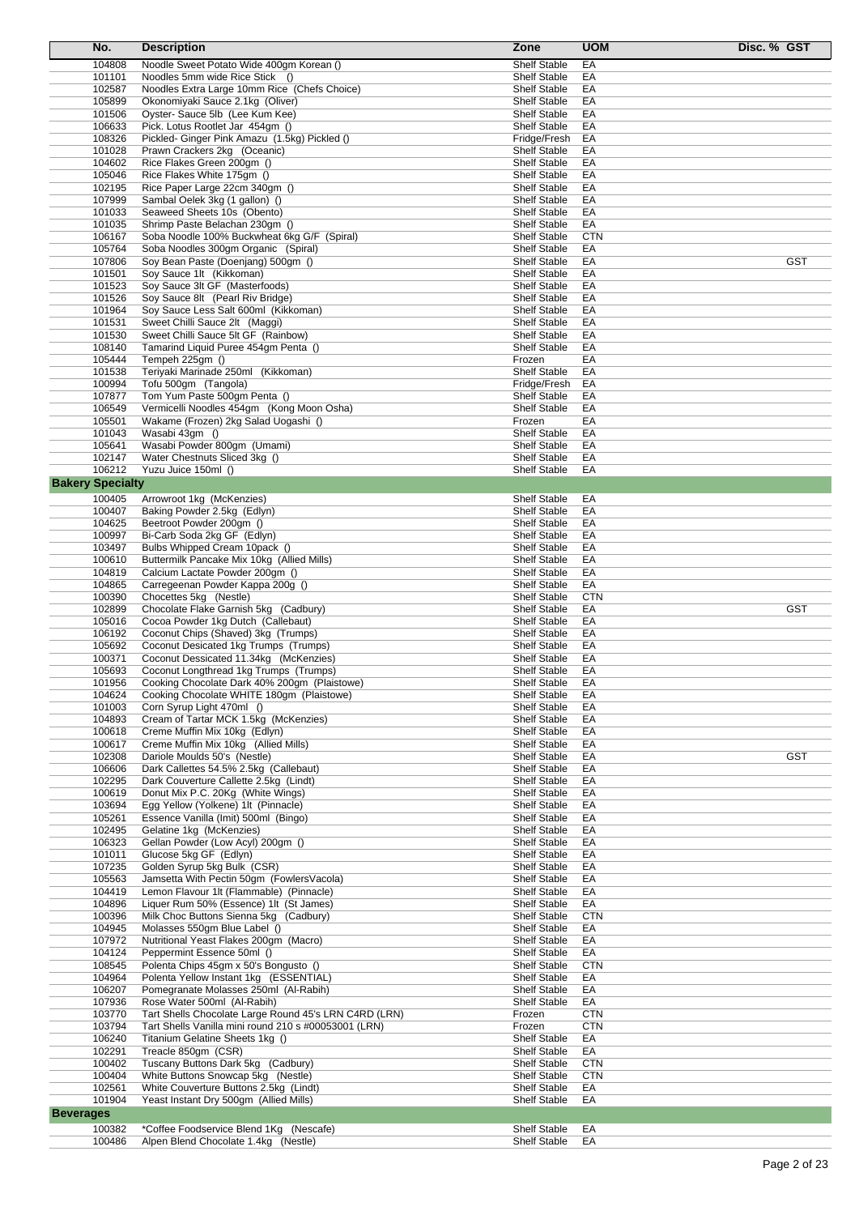| No.                     | <b>Description</b>                                                                     | Zone                                       | <b>UOM</b>       | Disc. % GST |
|-------------------------|----------------------------------------------------------------------------------------|--------------------------------------------|------------------|-------------|
| 104808                  | Noodle Sweet Potato Wide 400gm Korean ()                                               | <b>Shelf Stable</b>                        | EA               |             |
| 101101                  | Noodles 5mm wide Rice Stick ()                                                         | <b>Shelf Stable</b>                        | EA               |             |
| 102587                  | Noodles Extra Large 10mm Rice (Chefs Choice)                                           | <b>Shelf Stable</b>                        | EA               |             |
| 105899                  | Okonomiyaki Sauce 2.1kg (Oliver)                                                       | Shelf Stable                               | EA               |             |
| 101506                  | Oyster- Sauce 5lb (Lee Kum Kee)                                                        | Shelf Stable                               | EA               |             |
| 106633<br>108326        | Pick. Lotus Rootlet Jar 454gm ()<br>Pickled- Ginger Pink Amazu (1.5kg) Pickled ()      | Shelf Stable                               | EA               |             |
| 101028                  | Prawn Crackers 2kg (Oceanic)                                                           | Fridge/Fresh<br>Shelf Stable               | EA<br>EA         |             |
| 104602                  | Rice Flakes Green 200gm ()                                                             | <b>Shelf Stable</b>                        | EA               |             |
| 105046                  | Rice Flakes White 175gm ()                                                             | <b>Shelf Stable</b>                        | EA               |             |
| 102195                  | Rice Paper Large 22cm 340gm ()                                                         | <b>Shelf Stable</b>                        | EA               |             |
| 107999                  | Sambal Oelek 3kg (1 gallon) ()                                                         | Shelf Stable                               | EA               |             |
| 101033                  | Seaweed Sheets 10s (Obento)                                                            | Shelf Stable                               | EA               |             |
| 101035                  | Shrimp Paste Belachan 230gm ()                                                         | Shelf Stable                               | EA               |             |
| 106167<br>105764        | Soba Noodle 100% Buckwheat 6kg G/F (Spiral)<br>Soba Noodles 300gm Organic (Spiral)     | Shelf Stable<br><b>Shelf Stable</b>        | <b>CTN</b><br>EA |             |
| 107806                  | Soy Bean Paste (Doenjang) 500gm ()                                                     | Shelf Stable                               | EA               | <b>GST</b>  |
| 101501                  | Soy Sauce 1lt (Kikkoman)                                                               | Shelf Stable                               | EA               |             |
| 101523                  | Soy Sauce 3lt GF (Masterfoods)                                                         | <b>Shelf Stable</b>                        | EA               |             |
| 101526                  | Soy Sauce 8lt (Pearl Riv Bridge)                                                       | Shelf Stable                               | EA               |             |
| 101964                  | Soy Sauce Less Salt 600ml (Kikkoman)                                                   | <b>Shelf Stable</b>                        | EA               |             |
| 101531                  | Sweet Chilli Sauce 2lt (Maggi)                                                         | <b>Shelf Stable</b>                        | EA               |             |
| 101530<br>108140        | Sweet Chilli Sauce 5lt GF (Rainbow)<br>Tamarind Liquid Puree 454gm Penta ()            | Shelf Stable<br>Shelf Stable               | EA<br>EA         |             |
| 105444                  | Tempeh 225gm ()                                                                        | Frozen                                     | EA               |             |
| 101538                  | Teriyaki Marinade 250ml (Kikkoman)                                                     | <b>Shelf Stable</b>                        | EA               |             |
| 100994                  | Tofu 500gm (Tangola)                                                                   | Fridge/Fresh                               | EA               |             |
| 107877                  | Tom Yum Paste 500gm Penta ()                                                           | <b>Shelf Stable</b>                        | EA               |             |
| 106549                  | Vermicelli Noodles 454qm (Kong Moon Osha)                                              | <b>Shelf Stable</b>                        | EA               |             |
| 105501                  | Wakame (Frozen) 2kg Salad Uogashi ()                                                   | Frozen                                     | ЕA               |             |
| 101043                  | Wasabi 43gm ()                                                                         | <b>Shelf Stable</b>                        | EA               |             |
| 105641<br>102147        | Wasabi Powder 800gm (Umami)<br>Water Chestnuts Sliced 3kg ()                           | Shelf Stable<br>Shelf Stable               | EA<br>EA         |             |
| 106212                  | Yuzu Juice 150ml ()                                                                    | Shelf Stable                               | EA               |             |
| <b>Bakery Specialty</b> |                                                                                        |                                            |                  |             |
| 100405                  | Arrowroot 1kg (McKenzies)                                                              | <b>Shelf Stable</b>                        | EA               |             |
| 100407                  | Baking Powder 2.5kg (Edlyn)                                                            | Shelf Stable                               | EA               |             |
| 104625                  | Beetroot Powder 200gm ()                                                               | Shelf Stable                               | EA               |             |
| 100997                  | Bi-Carb Soda 2kg GF (Edlyn)                                                            | <b>Shelf Stable</b>                        | EA               |             |
| 103497                  | Bulbs Whipped Cream 10pack ()                                                          | <b>Shelf Stable</b>                        | EA               |             |
| 100610                  | Buttermilk Pancake Mix 10kg (Allied Mills)                                             | <b>Shelf Stable</b>                        | EA               |             |
| 104819<br>104865        | Calcium Lactate Powder 200gm ()<br>Carregeenan Powder Kappa 200g ()                    | Shelf Stable<br><b>Shelf Stable</b>        | EA<br>EA         |             |
| 100390                  | Chocettes 5kg (Nestle)                                                                 | Shelf Stable                               | <b>CTN</b>       |             |
| 102899                  | Chocolate Flake Garnish 5kg (Cadbury)                                                  | <b>Shelf Stable</b>                        | EA               | <b>GST</b>  |
| 105016                  | Cocoa Powder 1kg Dutch (Callebaut)                                                     | <b>Shelf Stable</b>                        | EA               |             |
| 106192                  | Coconut Chips (Shaved) 3kg (Trumps)                                                    | Shelf Stable                               | EA               |             |
| 105692                  | Coconut Desicated 1kg Trumps (Trumps)                                                  | Shelf Stable                               | EA               |             |
| 100371                  | Coconut Dessicated 11.34kg (McKenzies)                                                 | <b>Shelf Stable</b>                        | EA               |             |
| 105693<br>101956        | Coconut Longthread 1kg Trumps (Trumps)<br>Cooking Chocolate Dark 40% 200gm (Plaistowe) | <b>Shelf Stable</b><br><b>Shelf Stable</b> | EA<br>EА         |             |
| 104624                  | Cooking Chocolate WHITE 180gm (Plaistowe)                                              | Shelf Stable                               | EA               |             |
| 101003                  | Corn Syrup Light 470ml ()                                                              | Shelf Stable                               | EA               |             |
| 104893                  | Cream of Tartar MCK 1.5kg (McKenzies)                                                  | <b>Shelf Stable</b>                        | EA               |             |
| 100618                  | Creme Muffin Mix 10kg (Edlyn)                                                          | Shelf Stable                               | EA               |             |
| 100617                  | Creme Muffin Mix 10kg (Allied Mills)                                                   | <b>Shelf Stable</b>                        | EA               |             |
| 102308                  | Dariole Moulds 50's (Nestle)                                                           | Shelf Stable                               | EA               | <b>GST</b>  |
| 106606<br>102295        | Dark Callettes 54.5% 2.5kg (Callebaut)<br>Dark Couverture Callette 2.5kg (Lindt)       | Shelf Stable<br><b>Shelf Stable</b>        | EA<br>EA         |             |
| 100619                  | Donut Mix P.C. 20Kg (White Wings)                                                      | Shelf Stable                               | EA               |             |
| 103694                  | Egg Yellow (Yolkene) 1lt (Pinnacle)                                                    | Shelf Stable                               | EA               |             |
| 105261                  | Essence Vanilla (Imit) 500ml (Bingo)                                                   | <b>Shelf Stable</b>                        | EA               |             |
| 102495                  | Gelatine 1kg (McKenzies)                                                               | Shelf Stable                               | EA               |             |
| 106323                  | Gellan Powder (Low Acyl) 200gm ()                                                      | Shelf Stable                               | EA               |             |
| 101011                  | Glucose 5kg GF (Edlyn)                                                                 | Shelf Stable                               | EA               |             |
| 107235<br>105563        | Golden Syrup 5kg Bulk (CSR)<br>Jamsetta With Pectin 50gm (FowlersVacola)               | Shelf Stable<br>Shelf Stable               | EA<br>EA         |             |
| 104419                  | Lemon Flavour 1lt (Flammable) (Pinnacle)                                               | <b>Shelf Stable</b>                        | EA               |             |
| 104896                  | Liquer Rum 50% (Essence) 1lt (St James)                                                | Shelf Stable                               | EA               |             |
| 100396                  | Milk Choc Buttons Sienna 5kg (Cadbury)                                                 | Shelf Stable                               | <b>CTN</b>       |             |
| 104945                  | Molasses 550gm Blue Label ()                                                           | <b>Shelf Stable</b>                        | EA               |             |
| 107972<br>104124        | Nutritional Yeast Flakes 200gm (Macro)                                                 | Shelf Stable<br><b>Shelf Stable</b>        | EA<br>EA         |             |
| 108545                  | Peppermint Essence 50ml ()<br>Polenta Chips 45gm x 50's Bongusto ()                    | Shelf Stable                               | <b>CTN</b>       |             |
| 104964                  | Polenta Yellow Instant 1kg (ESSENTIAL)                                                 | Shelf Stable                               | EA               |             |
| 106207                  | Pomegranate Molasses 250ml (Al-Rabih)                                                  | Shelf Stable                               | EA               |             |
| 107936                  | Rose Water 500ml (Al-Rabih)                                                            | <b>Shelf Stable</b>                        | EA               |             |
| 103770                  | Tart Shells Chocolate Large Round 45's LRN C4RD (LRN)                                  | Frozen                                     | <b>CTN</b>       |             |
| 103794                  | Tart Shells Vanilla mini round 210 s #00053001 (LRN)                                   | Frozen                                     | <b>CTN</b>       |             |
| 106240<br>102291        | Titanium Gelatine Sheets 1kg ()                                                        | <b>Shelf Stable</b>                        | EA<br>EA         |             |
| 100402                  | Treacle 850gm (CSR)<br>Tuscany Buttons Dark 5kg (Cadbury)                              | Shelf Stable<br>Shelf Stable               | <b>CTN</b>       |             |
| 100404                  | White Buttons Snowcap 5kg (Nestle)                                                     | Shelf Stable                               | <b>CTN</b>       |             |
| 102561                  | White Couverture Buttons 2.5kg (Lindt)                                                 | Shelf Stable                               | EA               |             |
| 101904                  | Yeast Instant Dry 500gm (Allied Mills)                                                 | Shelf Stable                               | EA               |             |
| <b>Beverages</b>        |                                                                                        |                                            |                  |             |
| 100382                  | *Coffee Foodservice Blend 1Kg (Nescafe)                                                | <b>Shelf Stable</b>                        | EA               |             |
| 100486                  | Alpen Blend Chocolate 1.4kg (Nestle)                                                   | Shelf Stable                               | EA               |             |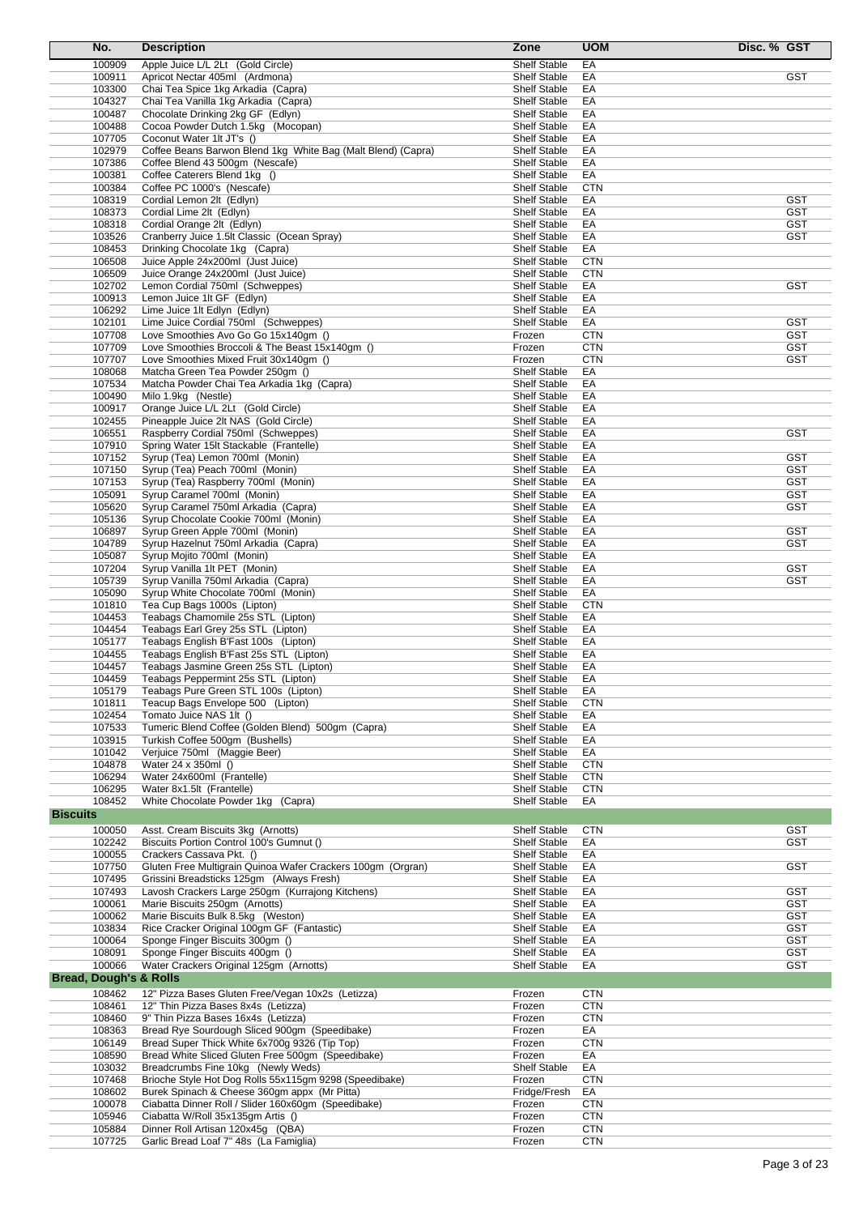| No.                               | <b>Description</b>                                                                             | Zone                                       | <b>UOM</b><br>Disc. % GST             |
|-----------------------------------|------------------------------------------------------------------------------------------------|--------------------------------------------|---------------------------------------|
| 100909                            | Apple Juice L/L 2Lt (Gold Circle)                                                              | <b>Shelf Stable</b>                        | EA                                    |
| 100911                            | Apricot Nectar 405ml (Ardmona)                                                                 | <b>Shelf Stable</b>                        | <b>GST</b><br>EA                      |
| 103300                            | Chai Tea Spice 1kg Arkadia (Capra)                                                             | <b>Shelf Stable</b>                        | EA                                    |
| 104327<br>100487                  | Chai Tea Vanilla 1kg Arkadia (Capra)                                                           | <b>Shelf Stable</b><br><b>Shelf Stable</b> | EA<br>EA                              |
| 100488                            | Chocolate Drinking 2kg GF (Edlyn)<br>Cocoa Powder Dutch 1.5kg (Mocopan)                        | <b>Shelf Stable</b>                        | EA                                    |
| 107705                            | Coconut Water 1lt JT's ()                                                                      | <b>Shelf Stable</b>                        | EA                                    |
| 102979                            | Coffee Beans Barwon Blend 1kg White Bag (Malt Blend) (Capra)                                   | <b>Shelf Stable</b>                        | EA                                    |
| 107386                            | Coffee Blend 43 500gm (Nescafe)                                                                | <b>Shelf Stable</b>                        | EA                                    |
| 100381                            | Coffee Caterers Blend 1kg ()                                                                   | <b>Shelf Stable</b>                        | EA                                    |
| 100384                            | Coffee PC 1000's (Nescafe)                                                                     | <b>Shelf Stable</b>                        | <b>CTN</b>                            |
| 108319                            | Cordial Lemon 2lt (Edlyn)                                                                      | <b>Shelf Stable</b>                        | <b>GST</b><br>EA                      |
| 108373                            | Cordial Lime 2lt (Edlyn)                                                                       | <b>Shelf Stable</b>                        | <b>GST</b><br>EA                      |
| 108318<br>103526                  | Cordial Orange 2lt (Edlyn)<br>Cranberry Juice 1.5lt Classic (Ocean Spray)                      | <b>Shelf Stable</b><br><b>Shelf Stable</b> | <b>GST</b><br>EA<br>EA<br>GST         |
| 108453                            | Drinking Chocolate 1kg (Capra)                                                                 | <b>Shelf Stable</b>                        | EA                                    |
| 106508                            | Juice Apple 24x200ml (Just Juice)                                                              | <b>Shelf Stable</b>                        | <b>CTN</b>                            |
| 106509                            | Juice Orange 24x200ml (Just Juice)                                                             | <b>Shelf Stable</b>                        | <b>CTN</b>                            |
| 102702                            | Lemon Cordial 750ml (Schweppes)                                                                | <b>Shelf Stable</b>                        | EA<br>GST                             |
| 100913                            | Lemon Juice 1It GF (Edlyn)                                                                     | <b>Shelf Stable</b>                        | EA                                    |
| 106292                            | Lime Juice 1It Edlyn (Edlyn)                                                                   | <b>Shelf Stable</b>                        | EA                                    |
| 102101<br>107708                  | Lime Juice Cordial 750ml (Schweppes)<br>Love Smoothies Avo Go Go 15x140qm ()                   | Shelf Stable<br>Frozen                     | EA<br>GST<br><b>GST</b><br><b>CTN</b> |
| 107709                            | Love Smoothies Broccoli & The Beast 15x140qm ()                                                | Frozen                                     | <b>CTN</b><br>GST                     |
| 107707                            | Love Smoothies Mixed Fruit 30x140gm ()                                                         | Frozen                                     | <b>CTN</b><br>GST                     |
| 108068                            | Matcha Green Tea Powder 250gm ()                                                               | <b>Shelf Stable</b>                        | EA                                    |
| 107534                            | Matcha Powder Chai Tea Arkadia 1kg (Capra)                                                     | <b>Shelf Stable</b>                        | EA                                    |
| 100490                            | Milo 1.9kg (Nestle)                                                                            | <b>Shelf Stable</b>                        | EA                                    |
| 100917                            | Orange Juice L/L 2Lt (Gold Circle)                                                             | <b>Shelf Stable</b>                        | EA                                    |
| 102455                            | Pineapple Juice 2lt NAS (Gold Circle)                                                          | <b>Shelf Stable</b>                        | EA                                    |
| 106551<br>107910                  | Raspberry Cordial 750ml (Schweppes)<br>Spring Water 15lt Stackable (Frantelle)                 | <b>Shelf Stable</b><br><b>Shelf Stable</b> | EA<br>GST<br>EA                       |
| 107152                            | Syrup (Tea) Lemon 700ml (Monin)                                                                | <b>Shelf Stable</b>                        | EA<br><b>GST</b>                      |
| 107150                            | Syrup (Tea) Peach 700ml (Monin)                                                                | <b>Shelf Stable</b>                        | <b>GST</b><br>EA                      |
| 107153                            | Syrup (Tea) Raspberry 700ml (Monin)                                                            | <b>Shelf Stable</b>                        | <b>GST</b><br>EA                      |
| 105091                            | Syrup Caramel 700ml (Monin)                                                                    | <b>Shelf Stable</b>                        | EA<br>GST                             |
| 105620                            | Syrup Caramel 750ml Arkadia (Capra)                                                            | <b>Shelf Stable</b>                        | EA<br>GST                             |
| 105136                            | Syrup Chocolate Cookie 700ml (Monin)                                                           | <b>Shelf Stable</b>                        | EA                                    |
| 106897                            | Syrup Green Apple 700ml (Monin)                                                                | <b>Shelf Stable</b>                        | <b>GST</b><br>EA                      |
| 104789<br>105087                  | Syrup Hazelnut 750ml Arkadia (Capra)<br>Syrup Mojito 700ml (Monin)                             | <b>Shelf Stable</b><br><b>Shelf Stable</b> | EA<br><b>GST</b><br>EA                |
| 107204                            | Syrup Vanilla 1lt PET (Monin)                                                                  | <b>Shelf Stable</b>                        | EA<br><b>GST</b>                      |
| 105739                            | Syrup Vanilla 750ml Arkadia (Capra)                                                            | <b>Shelf Stable</b>                        | EA<br>GST                             |
| 105090                            | Syrup White Chocolate 700ml (Monin)                                                            | <b>Shelf Stable</b>                        | EA                                    |
| 101810                            | Tea Cup Bags 1000s (Lipton)                                                                    | <b>Shelf Stable</b>                        | <b>CTN</b>                            |
| 104453                            | Teabags Chamomile 25s STL (Lipton)                                                             | <b>Shelf Stable</b>                        | EA                                    |
| 104454                            | Teabags Earl Grey 25s STL (Lipton)                                                             | <b>Shelf Stable</b>                        | EA                                    |
| 105177                            | Teabags English B'Fast 100s (Lipton)<br>Teabags English B'Fast 25s STL (Lipton)                | <b>Shelf Stable</b>                        | EA                                    |
| 104455<br>104457                  | Teabags Jasmine Green 25s STL (Lipton)                                                         | <b>Shelf Stable</b><br><b>Shelf Stable</b> | EA<br>EA                              |
| 104459                            | Teabags Peppermint 25s STL (Lipton)                                                            | <b>Shelf Stable</b>                        | EA                                    |
| 105179                            | Teabags Pure Green STL 100s (Lipton)                                                           | Shelf Stable                               | EА                                    |
| 101811                            | Teacup Bags Envelope 500 (Lipton)                                                              | <b>Shelf Stable</b>                        | <b>CTN</b>                            |
| 102454                            | Tomato Juice NAS 1lt ()                                                                        | <b>Shelf Stable</b>                        | EA                                    |
| 107533                            | Tumeric Blend Coffee (Golden Blend) 500gm (Capra)                                              | <b>Shelf Stable</b>                        | EA                                    |
| 103915                            | Turkish Coffee 500gm (Bushells)                                                                | Shelf Stable                               | EA                                    |
| 101042<br>104878                  | Verjuice 750ml (Maggie Beer)<br>Water 24 x 350ml ()                                            | Shelf Stable<br><b>Shelf Stable</b>        | EA<br><b>CTN</b>                      |
| 106294                            | Water 24x600ml (Frantelle)                                                                     | Shelf Stable                               | <b>CTN</b>                            |
| 106295                            | Water 8x1.5lt (Frantelle)                                                                      | <b>Shelf Stable</b>                        | <b>CTN</b>                            |
| 108452                            | White Chocolate Powder 1kg (Capra)                                                             | Shelf Stable                               | EA                                    |
| <b>Biscuits</b>                   |                                                                                                |                                            |                                       |
| 100050                            | Asst. Cream Biscuits 3kg (Arnotts)                                                             | <b>Shelf Stable</b>                        | <b>GST</b><br><b>CTN</b>              |
| 102242                            | Biscuits Portion Control 100's Gumnut ()                                                       | <b>Shelf Stable</b>                        | <b>GST</b><br>EA                      |
| 100055                            | Crackers Cassava Pkt. ()                                                                       | Shelf Stable                               | EA                                    |
| 107750                            | Gluten Free Multigrain Quinoa Wafer Crackers 100gm (Orgran)                                    | <b>Shelf Stable</b>                        | <b>GST</b><br>EA                      |
| 107495                            | Grissini Breadsticks 125gm (Always Fresh)                                                      | <b>Shelf Stable</b>                        | EA                                    |
| 107493<br>100061                  | Lavosh Crackers Large 250gm (Kurrajong Kitchens)<br>Marie Biscuits 250gm (Arnotts)             | <b>Shelf Stable</b><br><b>Shelf Stable</b> | <b>GST</b><br>EA<br><b>GST</b><br>EA  |
| 100062                            | Marie Biscuits Bulk 8.5kg (Weston)                                                             | Shelf Stable                               | <b>GST</b><br>EA                      |
| 103834                            | Rice Cracker Original 100gm GF (Fantastic)                                                     | <b>Shelf Stable</b>                        | <b>GST</b><br>EA                      |
| 100064                            | Sponge Finger Biscuits 300gm ()                                                                | <b>Shelf Stable</b>                        | EA<br><b>GST</b>                      |
| 108091                            | Sponge Finger Biscuits 400gm ()                                                                | <b>Shelf Stable</b>                        | <b>GST</b><br>EA                      |
| 100066                            | Water Crackers Original 125gm (Arnotts)                                                        | <b>Shelf Stable</b>                        | <b>GST</b><br>EA                      |
| <b>Bread, Dough's &amp; Rolls</b> |                                                                                                |                                            |                                       |
| 108462                            | 12" Pizza Bases Gluten Free/Vegan 10x2s (Letizza)                                              | Frozen                                     | <b>CTN</b>                            |
| 108461                            | 12" Thin Pizza Bases 8x4s (Letizza)                                                            | Frozen                                     | <b>CTN</b>                            |
| 108460                            | 9" Thin Pizza Bases 16x4s (Letizza)                                                            | Frozen                                     | <b>CTN</b>                            |
| 108363<br>106149                  | Bread Rye Sourdough Sliced 900gm (Speedibake)<br>Bread Super Thick White 6x700g 9326 (Tip Top) | Frozen<br>Frozen                           | EA<br><b>CTN</b>                      |
| 108590                            | Bread White Sliced Gluten Free 500gm (Speedibake)                                              | Frozen                                     | EA                                    |
| 103032                            | Breadcrumbs Fine 10kg (Newly Weds)                                                             | Shelf Stable                               | EA                                    |
| 107468                            | Brioche Style Hot Dog Rolls 55x115gm 9298 (Speedibake)                                         | Frozen                                     | <b>CTN</b>                            |
| 108602                            | Burek Spinach & Cheese 360gm appx (Mr Pitta)                                                   | Fridge/Fresh                               | EA                                    |
| 100078                            | Ciabatta Dinner Roll / Slider 160x60gm (Speedibake)                                            | Frozen                                     | <b>CTN</b>                            |
| 105946                            | Ciabatta W/Roll 35x135gm Artis ()                                                              | Frozen                                     | <b>CTN</b>                            |
| 105884<br>107725                  | Dinner Roll Artisan 120x45g (QBA)<br>Garlic Bread Loaf 7" 48s (La Famiglia)                    | Frozen<br>Frozen                           | <b>CTN</b><br><b>CTN</b>              |
|                                   |                                                                                                |                                            |                                       |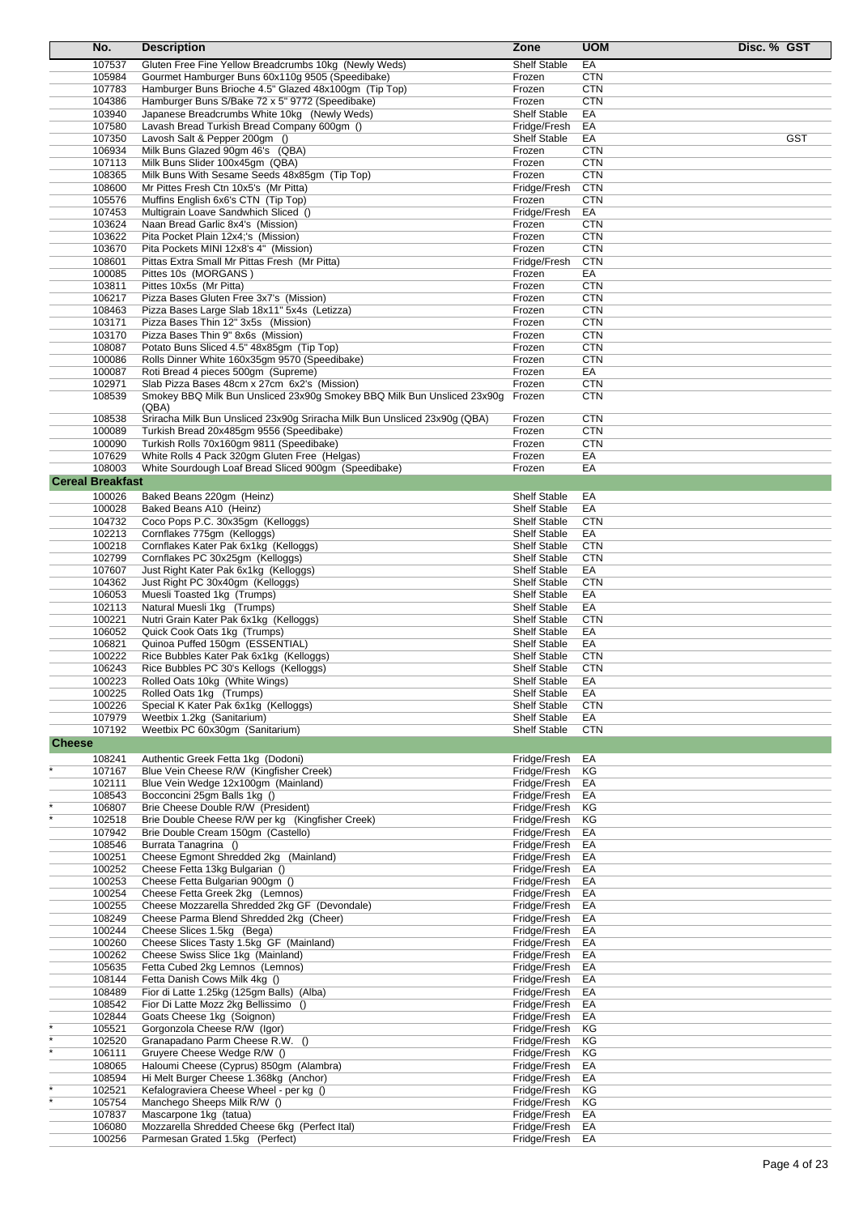|               | No.                     | <b>Description</b>                                                                        | Zone                                       | <b>UOM</b>               | Disc. % GST |
|---------------|-------------------------|-------------------------------------------------------------------------------------------|--------------------------------------------|--------------------------|-------------|
|               | 107537                  | Gluten Free Fine Yellow Breadcrumbs 10kg (Newly Weds)                                     | <b>Shelf Stable</b>                        | EA                       |             |
|               | 105984                  | Gourmet Hamburger Buns 60x110g 9505 (Speedibake)                                          | Frozen                                     | <b>CTN</b>               |             |
|               | 107783                  | Hamburger Buns Brioche 4.5" Glazed 48x100gm (Tip Top)                                     | Frozen                                     | <b>CTN</b>               |             |
|               | 104386                  | Hamburger Buns S/Bake 72 x 5" 9772 (Speedibake)                                           | Frozen                                     | <b>CTN</b>               |             |
|               | 103940                  | Japanese Breadcrumbs White 10kg (Newly Weds)                                              | <b>Shelf Stable</b>                        | EA                       |             |
|               | 107580                  | Lavash Bread Turkish Bread Company 600gm ()                                               | Fridge/Fresh                               | EA                       |             |
|               | 107350                  | Lavosh Salt & Pepper 200gm ()                                                             | <b>Shelf Stable</b>                        | EA                       | <b>GST</b>  |
|               | 106934                  | Milk Buns Glazed 90gm 46's (QBA)                                                          | Frozen                                     | <b>CTN</b><br><b>CTN</b> |             |
|               | 107113<br>108365        | Milk Buns Slider 100x45gm (QBA)<br>Milk Buns With Sesame Seeds 48x85gm (Tip Top)          | Frozen<br>Frozen                           | <b>CTN</b>               |             |
|               | 108600                  | Mr Pittes Fresh Ctn 10x5's (Mr Pitta)                                                     | Fridge/Fresh                               | <b>CTN</b>               |             |
|               | 105576                  | Muffins English 6x6's CTN (Tip Top)                                                       | Frozen                                     | <b>CTN</b>               |             |
|               | 107453                  | Multigrain Loave Sandwhich Sliced ()                                                      | Fridge/Fresh                               | EA                       |             |
|               | 103624                  | Naan Bread Garlic 8x4's (Mission)                                                         | Frozen                                     | <b>CTN</b>               |             |
|               | 103622                  | Pita Pocket Plain 12x4;'s (Mission)                                                       | Frozen                                     | <b>CTN</b>               |             |
|               | 103670                  | Pita Pockets MINI 12x8's 4" (Mission)                                                     | Frozen                                     | <b>CTN</b>               |             |
|               | 108601                  | Pittas Extra Small Mr Pittas Fresh (Mr Pitta)                                             | Fridge/Fresh                               | <b>CTN</b>               |             |
|               | 100085                  | Pittes 10s (MORGANS)                                                                      | Frozen                                     | EA                       |             |
|               | 103811                  | Pittes 10x5s (Mr Pitta)                                                                   | Frozen                                     | <b>CTN</b>               |             |
|               | 106217<br>108463        | Pizza Bases Gluten Free 3x7's (Mission)<br>Pizza Bases Large Slab 18x11" 5x4s (Letizza)   | Frozen<br>Frozen                           | <b>CTN</b><br><b>CTN</b> |             |
|               | 103171                  | Pizza Bases Thin 12" 3x5s (Mission)                                                       | Frozen                                     | <b>CTN</b>               |             |
|               | 103170                  | Pizza Bases Thin 9" 8x6s (Mission)                                                        | Frozen                                     | <b>CTN</b>               |             |
|               | 108087                  | Potato Buns Sliced 4.5" 48x85gm (Tip Top)                                                 | Frozen                                     | <b>CTN</b>               |             |
|               | 100086                  | Rolls Dinner White 160x35gm 9570 (Speedibake)                                             | Frozen                                     | <b>CTN</b>               |             |
|               | 100087                  | Roti Bread 4 pieces 500gm (Supreme)                                                       | Frozen                                     | EA                       |             |
|               | 102971                  | Slab Pizza Bases 48cm x 27cm 6x2's (Mission)                                              | Frozen                                     | <b>CTN</b>               |             |
|               | 108539                  | Smokey BBQ Milk Bun Unsliced 23x90g Smokey BBQ Milk Bun Unsliced 23x90g                   | Frozen                                     | <b>CTN</b>               |             |
|               |                         | (QBA)                                                                                     |                                            |                          |             |
|               | 108538                  | Sriracha Milk Bun Unsliced 23x90g Sriracha Milk Bun Unsliced 23x90g (QBA)                 | Frozen                                     | <b>CTN</b>               |             |
|               | 100089<br>100090        | Turkish Bread 20x485gm 9556 (Speedibake)                                                  | Frozen<br>Frozen                           | <b>CTN</b><br><b>CTN</b> |             |
|               | 107629                  | Turkish Rolls 70x160gm 9811 (Speedibake)<br>White Rolls 4 Pack 320gm Gluten Free (Helgas) | Frozen                                     | EA                       |             |
|               | 108003                  | White Sourdough Loaf Bread Sliced 900gm (Speedibake)                                      | Frozen                                     | EA                       |             |
|               | <b>Cereal Breakfast</b> |                                                                                           |                                            |                          |             |
|               | 100026                  |                                                                                           | <b>Shelf Stable</b>                        | EA                       |             |
|               | 100028                  | Baked Beans 220gm (Heinz)<br>Baked Beans A10 (Heinz)                                      | <b>Shelf Stable</b>                        | EA                       |             |
|               | 104732                  | Coco Pops P.C. 30x35gm (Kelloggs)                                                         | <b>Shelf Stable</b>                        | <b>CTN</b>               |             |
|               | 102213                  | Cornflakes 775gm (Kelloggs)                                                               | <b>Shelf Stable</b>                        | EA                       |             |
|               | 100218                  | Cornflakes Kater Pak 6x1kg (Kelloggs)                                                     | <b>Shelf Stable</b>                        | <b>CTN</b>               |             |
|               | 102799                  | Cornflakes PC 30x25gm (Kelloggs)                                                          | <b>Shelf Stable</b>                        | <b>CTN</b>               |             |
|               | 107607                  | Just Right Kater Pak 6x1kg (Kelloggs)                                                     | <b>Shelf Stable</b>                        | EA                       |             |
|               | 104362                  | Just Right PC 30x40gm (Kelloggs)                                                          | <b>Shelf Stable</b>                        | <b>CTN</b>               |             |
|               | 106053                  | Muesli Toasted 1kg (Trumps)                                                               | <b>Shelf Stable</b>                        | EA                       |             |
|               | 102113                  | Natural Muesli 1kg (Trumps)                                                               | <b>Shelf Stable</b>                        | EA                       |             |
|               | 100221<br>106052        | Nutri Grain Kater Pak 6x1kg (Kelloggs)<br>Quick Cook Oats 1kg (Trumps)                    | <b>Shelf Stable</b><br><b>Shelf Stable</b> | <b>CTN</b><br>EA         |             |
|               | 106821                  | Quinoa Puffed 150gm (ESSENTIAL)                                                           | <b>Shelf Stable</b>                        | EA                       |             |
|               | 100222                  | Rice Bubbles Kater Pak 6x1kg (Kelloggs)                                                   | <b>Shelf Stable</b>                        | <b>CTN</b>               |             |
|               | 106243                  | Rice Bubbles PC 30's Kellogs (Kelloggs)                                                   | <b>Shelf Stable</b>                        | <b>CTN</b>               |             |
|               | 100223                  | Rolled Oats 10kg (White Wings)                                                            | <b>Shelf Stable</b>                        | EA                       |             |
|               | 100225                  | Rolled Oats 1kg (Trumps)                                                                  | <b>Shelf Stable</b>                        | EA                       |             |
|               | 100226                  | Special K Kater Pak 6x1kg (Kelloggs)                                                      | <b>Shelf Stable</b>                        | <b>CTN</b>               |             |
|               | 107979                  | Weetbix 1.2kg (Sanitarium)                                                                | <b>Shelf Stable</b>                        | EA                       |             |
|               | 107192                  | Weetbix PC 60x30qm (Sanitarium)                                                           | <b>Shelf Stable</b>                        | <b>CTN</b>               |             |
| <b>Cheese</b> |                         |                                                                                           |                                            |                          |             |
|               | 108241                  | Authentic Greek Fetta 1kg (Dodoni)                                                        | Fridge/Fresh                               | EA                       |             |
|               | 107167                  | Blue Vein Cheese R/W (Kingfisher Creek)                                                   | Fridge/Fresh                               | ΚG                       |             |
|               | 102111                  | Blue Vein Wedge 12x100gm (Mainland)                                                       | Fridge/Fresh                               | EA                       |             |
|               | 108543<br>106807        | Bocconcini 25gm Balls 1kg ()<br>Brie Cheese Double R/W (President)                        | Fridge/Fresh<br>Fridge/Fresh               | EA<br>ΚG                 |             |
|               | 102518                  | Brie Double Cheese R/W per kg (Kingfisher Creek)                                          | Fridge/Fresh                               | ΚG                       |             |
|               | 107942                  | Brie Double Cream 150gm (Castello)                                                        | Fridge/Fresh                               | EA                       |             |
|               | 108546                  | Burrata Tanagrina ()                                                                      | Fridge/Fresh                               | EA                       |             |
|               | 100251                  | Cheese Eqmont Shredded 2kg (Mainland)                                                     | Fridge/Fresh                               | EA                       |             |
|               | 100252                  | Cheese Fetta 13kg Bulgarian ()                                                            | Fridge/Fresh                               | EA                       |             |
|               | 100253                  | Cheese Fetta Bulgarian 900gm ()                                                           | Fridge/Fresh                               | EA                       |             |
|               | 100254                  | Cheese Fetta Greek 2kg (Lemnos)                                                           | Fridge/Fresh                               | EA                       |             |
|               | 100255                  | Cheese Mozzarella Shredded 2kg GF (Devondale)                                             | Fridge/Fresh                               | EA                       |             |
|               | 108249                  | Cheese Parma Blend Shredded 2kg (Cheer)                                                   | Fridge/Fresh                               | EA                       |             |
|               | 100244                  | Cheese Slices 1.5kg (Bega)                                                                | Fridge/Fresh                               | EA                       |             |
|               | 100260<br>100262        | Cheese Slices Tasty 1.5kg GF (Mainland)<br>Cheese Swiss Slice 1kg (Mainland)              | Fridge/Fresh<br>Fridge/Fresh               | EA<br>EA                 |             |
|               | 105635                  | Fetta Cubed 2kg Lemnos (Lemnos)                                                           | Fridge/Fresh                               | EA                       |             |
|               | 108144                  | Fetta Danish Cows Milk 4kg ()                                                             | Fridge/Fresh                               | EA                       |             |
|               | 108489                  | Fior di Latte 1.25kg (125gm Balls) (Alba)                                                 | Fridge/Fresh                               | EA                       |             |
|               | 108542                  | Fior Di Latte Mozz 2kg Bellissimo ()                                                      | Fridge/Fresh                               | EA                       |             |
|               | 102844                  | Goats Cheese 1kg (Soignon)                                                                | Fridge/Fresh                               | EA                       |             |
|               | 105521                  | Gorgonzola Cheese R/W (Igor)                                                              | Fridge/Fresh                               | ΚG                       |             |
|               | 102520                  | Granapadano Parm Cheese R.W. ()                                                           | Fridge/Fresh                               | ΚG                       |             |
|               | 106111                  | Gruyere Cheese Wedge R/W ()                                                               | Fridge/Fresh                               | ΚG                       |             |
|               | 108065                  | Haloumi Cheese (Cyprus) 850gm (Alambra)                                                   | Fridge/Fresh                               | EA                       |             |
|               | 108594<br>102521        | Hi Melt Burger Cheese 1.368kg (Anchor)<br>Kefalograviera Cheese Wheel - per kg ()         | Fridge/Fresh<br>Fridge/Fresh               | EA<br>ΚG                 |             |
|               | 105754                  | Manchego Sheeps Milk R/W ()                                                               | Fridge/Fresh                               | KG                       |             |
|               | 107837                  | Mascarpone 1kg (tatua)                                                                    | Fridge/Fresh                               | EA                       |             |
|               | 106080                  | Mozzarella Shredded Cheese 6kg (Perfect Ital)                                             | Fridge/Fresh                               | EA                       |             |
|               | 100256                  | Parmesan Grated 1.5kg (Perfect)                                                           | Fridge/Fresh                               | EA                       |             |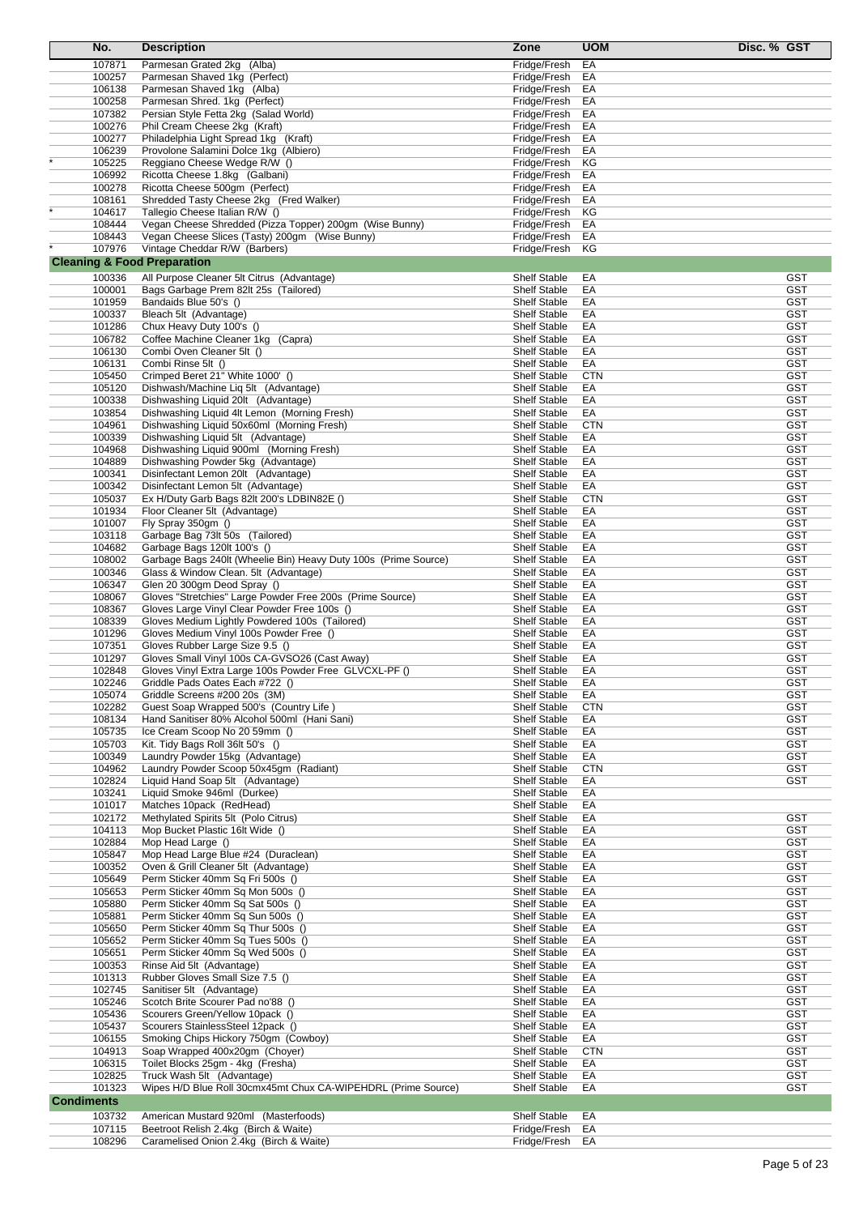| No.                                    | <b>Description</b>                                                                      | Zone                                       | <b>UOM</b>       | Disc. % GST              |
|----------------------------------------|-----------------------------------------------------------------------------------------|--------------------------------------------|------------------|--------------------------|
| 107871                                 | Parmesan Grated 2kg (Alba)                                                              | Fridge/Fresh                               | EA               |                          |
| 100257                                 | Parmesan Shaved 1kg (Perfect)                                                           | Fridge/Fresh                               | EA               |                          |
| 106138                                 | Parmesan Shaved 1kg (Alba)                                                              | Fridge/Fresh                               | EA               |                          |
| 100258                                 | Parmesan Shred. 1kg (Perfect)                                                           | Fridge/Fresh                               | EA               |                          |
| 107382                                 | Persian Style Fetta 2kg (Salad World)                                                   | Fridge/Fresh                               | EA               |                          |
| 100276                                 | Phil Cream Cheese 2kg (Kraft)                                                           | Fridge/Fresh                               | EA               |                          |
| 100277                                 | Philadelphia Light Spread 1kg (Kraft)                                                   | Fridge/Fresh                               | EA               |                          |
| 106239                                 | Provolone Salamini Dolce 1kg (Albiero)                                                  | Fridge/Fresh                               | EA               |                          |
| 105225                                 | Reggiano Cheese Wedge R/W ()                                                            | Fridge/Fresh                               | ΚG               |                          |
| 106992                                 | Ricotta Cheese 1.8kg (Galbani)                                                          | Fridge/Fresh                               | EA               |                          |
| 100278                                 | Ricotta Cheese 500gm (Perfect)                                                          | Fridge/Fresh                               | EA               |                          |
| 108161                                 | Shredded Tasty Cheese 2kg (Fred Walker)                                                 | Fridge/Fresh                               | EA               |                          |
| 104617                                 | Tallegio Cheese Italian R/W ()                                                          | Fridge/Fresh                               | ΚG               |                          |
| 108444                                 | Vegan Cheese Shredded (Pizza Topper) 200gm (Wise Bunny)                                 | Fridge/Fresh                               | EA               |                          |
| 108443                                 | Vegan Cheese Slices (Tasty) 200gm (Wise Bunny)                                          | Fridge/Fresh                               | EA               |                          |
| 107976                                 | Vintage Cheddar R/W (Barbers)                                                           | Fridge/Fresh                               | ΚG               |                          |
| <b>Cleaning &amp; Food Preparation</b> |                                                                                         |                                            |                  |                          |
| 100336                                 | All Purpose Cleaner 5lt Citrus (Advantage)                                              | <b>Shelf Stable</b>                        | EA               | GST                      |
| 100001                                 | Bags Garbage Prem 82lt 25s (Tailored)                                                   | <b>Shelf Stable</b>                        | EA               | <b>GST</b>               |
| 101959                                 | Bandaids Blue 50's ()                                                                   | <b>Shelf Stable</b>                        | EA               | GST                      |
| 100337                                 | Bleach 5lt (Advantage)                                                                  | <b>Shelf Stable</b>                        | EA               | <b>GST</b>               |
| 101286                                 | Chux Heavy Duty 100's ()                                                                | <b>Shelf Stable</b>                        | EA               | <b>GST</b>               |
| 106782                                 | Coffee Machine Cleaner 1kg (Capra)                                                      | <b>Shelf Stable</b>                        | EA               | <b>GST</b>               |
| 106130                                 | Combi Oven Cleaner 5lt ()                                                               | <b>Shelf Stable</b>                        | EA               | <b>GST</b>               |
| 106131                                 | Combi Rinse 5lt ()                                                                      | <b>Shelf Stable</b>                        | EA               | <b>GST</b><br><b>GST</b> |
| 105450                                 | Crimped Beret 21" White 1000' ()                                                        | <b>Shelf Stable</b>                        | <b>CTN</b>       |                          |
| 105120<br>100338                       | Dishwash/Machine Lig 5lt (Advantage)<br>Dishwashing Liquid 20lt (Advantage)             | <b>Shelf Stable</b><br><b>Shelf Stable</b> | EA<br>EA         | <b>GST</b><br><b>GST</b> |
| 103854                                 | Dishwashing Liquid 4lt Lemon (Morning Fresh)                                            | <b>Shelf Stable</b>                        | EA               | <b>GST</b>               |
| 104961                                 | Dishwashing Liquid 50x60ml (Morning Fresh)                                              | <b>Shelf Stable</b>                        | <b>CTN</b>       | <b>GST</b>               |
| 100339                                 | Dishwashing Liquid 5lt (Advantage)                                                      | <b>Shelf Stable</b>                        | EA               | <b>GST</b>               |
| 104968                                 | Dishwashing Liquid 900ml (Morning Fresh)                                                | <b>Shelf Stable</b>                        | EA               | GST                      |
| 104889                                 | Dishwashing Powder 5kg (Advantage)                                                      | <b>Shelf Stable</b>                        | EA               | GST                      |
| 100341                                 | Disinfectant Lemon 20lt (Advantage)                                                     | <b>Shelf Stable</b>                        | EA               | <b>GST</b>               |
| 100342                                 | Disinfectant Lemon 5lt (Advantage)                                                      | <b>Shelf Stable</b>                        | EA               | <b>GST</b>               |
| 105037                                 | Ex H/Duty Garb Bags 82lt 200's LDBIN82E ()                                              | <b>Shelf Stable</b>                        | <b>CTN</b>       | <b>GST</b>               |
| 101934                                 | Floor Cleaner 5lt (Advantage)                                                           | <b>Shelf Stable</b>                        | EA               | <b>GST</b>               |
| 101007                                 | Fly Spray 350gm ()                                                                      | <b>Shelf Stable</b>                        | EA               | <b>GST</b>               |
| 103118                                 | Garbage Bag 73lt 50s (Tailored)                                                         | <b>Shelf Stable</b>                        | EA               | GST                      |
| 104682                                 | Garbage Bags 120lt 100's ()                                                             | <b>Shelf Stable</b>                        | EA               | <b>GST</b>               |
| 108002                                 | Garbage Bags 240lt (Wheelie Bin) Heavy Duty 100s (Prime Source)                         | <b>Shelf Stable</b>                        | EA               | <b>GST</b>               |
| 100346                                 | Glass & Window Clean. 5lt (Advantage)                                                   | <b>Shelf Stable</b>                        | EA               | <b>GST</b>               |
| 106347                                 | Glen 20 300gm Deod Spray ()                                                             | <b>Shelf Stable</b>                        | EA               | <b>GST</b>               |
| 108067                                 | Gloves "Stretchies" Large Powder Free 200s (Prime Source)                               | <b>Shelf Stable</b>                        | EA               | <b>GST</b>               |
| 108367                                 | Gloves Large Vinyl Clear Powder Free 100s ()                                            | <b>Shelf Stable</b>                        | EA               | <b>GST</b>               |
| 108339                                 | Gloves Medium Lightly Powdered 100s (Tailored)                                          | <b>Shelf Stable</b>                        | EA               | <b>GST</b>               |
| 101296                                 | Gloves Medium Vinyl 100s Powder Free ()                                                 | <b>Shelf Stable</b>                        | EA               | <b>GST</b>               |
| 107351                                 | Gloves Rubber Large Size 9.5 ()                                                         | <b>Shelf Stable</b>                        | EA               | <b>GST</b>               |
| 101297                                 | Gloves Small Vinyl 100s CA-GVSO26 (Cast Away)                                           | <b>Shelf Stable</b>                        | EA               | <b>GST</b>               |
| 102848                                 | Gloves Vinyl Extra Large 100s Powder Free GLVCXL-PF ()                                  | <b>Shelf Stable</b>                        | EA               | <b>GST</b>               |
| 102246                                 | Griddle Pads Oates Each #722 ()                                                         | <b>Shelf Stable</b>                        | EA               | GST                      |
| 105074<br>102282                       | Griddle Screens #200 20s (3M)                                                           | <b>Shelf Stable</b><br><b>Shelf Stable</b> | EA<br><b>CTN</b> | <b>GST</b><br><b>GST</b> |
| 108134                                 | Guest Soap Wrapped 500's (Country Life)<br>Hand Sanitiser 80% Alcohol 500ml (Hani Sani) | <b>Shelf Stable</b>                        | EA               | GST                      |
| 105735                                 | Ice Cream Scoop No 20 59mm ()                                                           | <b>Shelf Stable</b>                        | EA               | <b>GST</b>               |
| 105703                                 | Kit. Tidy Bags Roll 36lt 50's ()                                                        | <b>Shelf Stable</b>                        | EA               | <b>GST</b>               |
| 100349                                 | Laundry Powder 15kg (Advantage)                                                         | <b>Shelf Stable</b>                        | EA               | <b>GST</b>               |
| 104962                                 | Laundry Powder Scoop 50x45gm (Radiant)                                                  | <b>Shelf Stable</b>                        | <b>CTN</b>       | <b>GST</b>               |
| 102824                                 | Liquid Hand Soap 5lt (Advantage)                                                        | <b>Shelf Stable</b>                        | EA               | <b>GST</b>               |
| 103241                                 | Liquid Smoke 946ml (Durkee)                                                             | <b>Shelf Stable</b>                        | EA               |                          |
| 101017                                 | Matches 10pack (RedHead)                                                                | <b>Shelf Stable</b>                        | EA               |                          |
| 102172                                 | Methylated Spirits 5lt (Polo Citrus)                                                    | <b>Shelf Stable</b>                        | EA               | <b>GST</b>               |
| 104113                                 | Mop Bucket Plastic 16lt Wide ()                                                         | <b>Shelf Stable</b>                        | EA               | <b>GST</b>               |
| 102884                                 | Mop Head Large ()                                                                       | <b>Shelf Stable</b>                        | EA               | <b>GST</b>               |
| 105847                                 | Mop Head Large Blue #24 (Duraclean)                                                     | <b>Shelf Stable</b>                        | EA               | <b>GST</b>               |
| 100352                                 | Oven & Grill Cleaner 5lt (Advantage)                                                    | <b>Shelf Stable</b>                        | EA               | <b>GST</b>               |
| 105649                                 | Perm Sticker 40mm Sq Fri 500s ()                                                        | <b>Shelf Stable</b>                        | EA               | <b>GST</b>               |
| 105653                                 | Perm Sticker 40mm Sq Mon 500s ()                                                        | <b>Shelf Stable</b>                        | EA               | <b>GST</b>               |
| 105880                                 | Perm Sticker 40mm Sq Sat 500s ()                                                        | <b>Shelf Stable</b>                        | EA               | <b>GST</b><br><b>GST</b> |
| 105881                                 | Perm Sticker 40mm Sq Sun 500s ()                                                        | <b>Shelf Stable</b>                        | EA               |                          |
| 105650<br>105652                       | Perm Sticker 40mm Sq Thur 500s ()<br>Perm Sticker 40mm Sq Tues 500s ()                  | <b>Shelf Stable</b><br><b>Shelf Stable</b> | EA<br>EA         | <b>GST</b><br><b>GST</b> |
| 105651                                 | Perm Sticker 40mm Sq Wed 500s ()                                                        | Shelf Stable                               | EA               | <b>GST</b>               |
| 100353                                 | Rinse Aid 5lt (Advantage)                                                               | <b>Shelf Stable</b>                        | EA               | <b>GST</b>               |
| 101313                                 | Rubber Gloves Small Size 7.5 ()                                                         | <b>Shelf Stable</b>                        | EA               | <b>GST</b>               |
| 102745                                 | Sanitiser 5lt (Advantage)                                                               | <b>Shelf Stable</b>                        | EA               | <b>GST</b>               |
| 105246                                 | Scotch Brite Scourer Pad no'88 ()                                                       | <b>Shelf Stable</b>                        | EA               | <b>GST</b>               |
| 105436                                 | Scourers Green/Yellow 10pack ()                                                         | <b>Shelf Stable</b>                        | EA               | <b>GST</b>               |
| 105437                                 | Scourers StainlessSteel 12pack ()                                                       | <b>Shelf Stable</b>                        | EA               | <b>GST</b>               |
| 106155                                 | Smoking Chips Hickory 750gm (Cowboy)                                                    | <b>Shelf Stable</b>                        | EA               | <b>GST</b>               |
| 104913                                 | Soap Wrapped 400x20gm (Choyer)                                                          | <b>Shelf Stable</b>                        | <b>CTN</b>       | <b>GST</b>               |
| 106315                                 | Toilet Blocks 25gm - 4kg (Fresha)                                                       | <b>Shelf Stable</b>                        | EA               | <b>GST</b>               |
| 102825                                 | Truck Wash 5lt (Advantage)                                                              | Shelf Stable                               | EA               | <b>GST</b>               |
| 101323                                 | Wipes H/D Blue Roll 30cmx45mt Chux CA-WIPEHDRL (Prime Source)                           | Shelf Stable                               | EA               | <b>GST</b>               |
| <b>Condiments</b>                      |                                                                                         |                                            |                  |                          |
| 103732                                 | American Mustard 920ml (Masterfoods)                                                    | <b>Shelf Stable</b>                        | EA               |                          |
| 107115                                 | Beetroot Relish 2.4kg (Birch & Waite)                                                   | Fridge/Fresh                               | EA               |                          |
| 108296                                 | Caramelised Onion 2.4kg (Birch & Waite)                                                 | Fridge/Fresh                               | EA               |                          |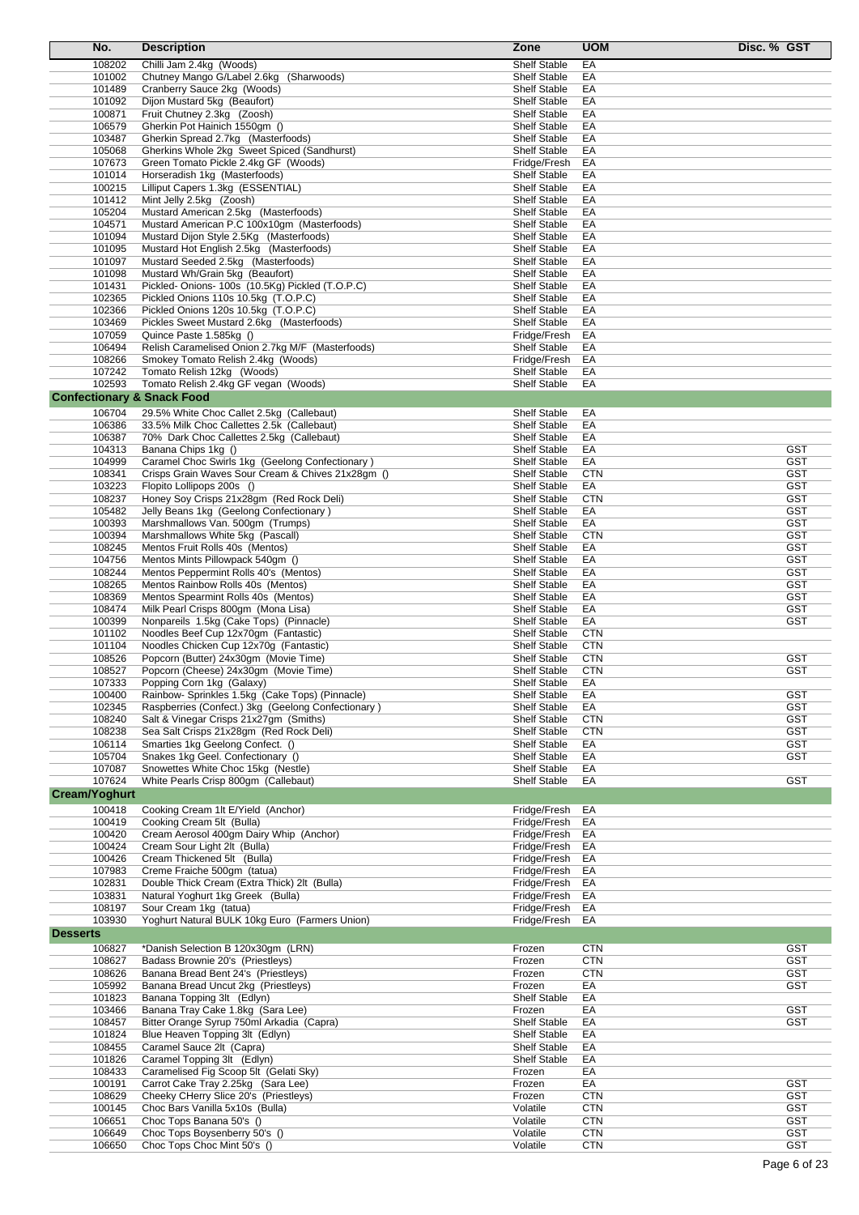| No.                                   | <b>Description</b>                                                                                    | Zone                                       | <b>UOM</b> | Disc. % GST              |
|---------------------------------------|-------------------------------------------------------------------------------------------------------|--------------------------------------------|------------|--------------------------|
| 108202                                | Chilli Jam 2.4kg (Woods)                                                                              | <b>Shelf Stable</b>                        | EA         |                          |
| 101002                                | Chutney Mango G/Label 2.6kg (Sharwoods)                                                               | <b>Shelf Stable</b>                        | EA         |                          |
| 101489                                | Cranberry Sauce 2kg (Woods)                                                                           | <b>Shelf Stable</b>                        | EA         |                          |
| 101092                                | Dijon Mustard 5kg (Beaufort)                                                                          | <b>Shelf Stable</b>                        | EA         |                          |
| 100871<br>106579                      | Fruit Chutney 2.3kg (Zoosh)<br>Gherkin Pot Hainich 1550gm ()                                          | Shelf Stable<br>Shelf Stable               | EA<br>EA   |                          |
| 103487                                | Gherkin Spread 2.7kg (Masterfoods)                                                                    | <b>Shelf Stable</b>                        | EA         |                          |
| 105068                                | Gherkins Whole 2kg Sweet Spiced (Sandhurst)                                                           | Shelf Stable                               | EA         |                          |
| 107673                                | Green Tomato Pickle 2.4kg GF (Woods)                                                                  | Fridge/Fresh                               | EA         |                          |
| 101014                                | Horseradish 1kg (Masterfoods)                                                                         | <b>Shelf Stable</b>                        | EA         |                          |
| 100215                                | Lilliput Capers 1.3kg (ESSENTIAL)                                                                     | <b>Shelf Stable</b>                        | EA         |                          |
| 101412                                | Mint Jelly 2.5kg (Zoosh)                                                                              | Shelf Stable                               | EA         |                          |
| 105204                                | Mustard American 2.5kg (Masterfoods)                                                                  | <b>Shelf Stable</b>                        | EA         |                          |
| 104571                                | Mustard American P.C 100x10gm (Masterfoods)                                                           | <b>Shelf Stable</b>                        | EA         |                          |
| 101094                                | Mustard Dijon Style 2.5Kg (Masterfoods)                                                               | Shelf Stable                               | EA         |                          |
| 101095                                | Mustard Hot English 2.5kg (Masterfoods)                                                               | <b>Shelf Stable</b>                        | EA         |                          |
| 101097<br>101098                      | Mustard Seeded 2.5kg (Masterfoods)<br>Mustard Wh/Grain 5kg (Beaufort)                                 | <b>Shelf Stable</b><br><b>Shelf Stable</b> | EA<br>EA   |                          |
| 101431                                | Pickled-Onions- 100s (10.5Kg) Pickled (T.O.P.C)                                                       | <b>Shelf Stable</b>                        | EA         |                          |
| 102365                                | Pickled Onions 110s 10.5kg (T.O.P.C)                                                                  | <b>Shelf Stable</b>                        | EA         |                          |
| 102366                                | Pickled Onions 120s 10.5kg (T.O.P.C)                                                                  | Shelf Stable                               | EA         |                          |
| 103469                                | Pickles Sweet Mustard 2.6kg (Masterfoods)                                                             | Shelf Stable                               | EA         |                          |
| 107059                                | Quince Paste 1.585kg ()                                                                               | Fridge/Fresh                               | EA         |                          |
| 106494                                | Relish Caramelised Onion 2.7kg M/F (Masterfoods)                                                      | Shelf Stable                               | EA         |                          |
| 108266                                | Smokey Tomato Relish 2.4kg (Woods)                                                                    | Fridge/Fresh                               | EA         |                          |
| 107242                                | Tomato Relish 12kg (Woods)                                                                            | Shelf Stable                               | EA         |                          |
| 102593                                | Tomato Relish 2.4kg GF vegan (Woods)                                                                  | <b>Shelf Stable</b>                        | EA         |                          |
| <b>Confectionary &amp; Snack Food</b> |                                                                                                       |                                            |            |                          |
| 106704                                | 29.5% White Choc Callet 2.5kg (Callebaut)                                                             | <b>Shelf Stable</b>                        | EA         |                          |
| 106386                                | 33.5% Milk Choc Callettes 2.5k (Callebaut)                                                            | <b>Shelf Stable</b>                        | EA         |                          |
| 106387<br>104313                      | 70% Dark Choc Callettes 2.5kg (Callebaut)<br>Banana Chips 1kg ()                                      | Shelf Stable<br><b>Shelf Stable</b>        | EA<br>EA   | <b>GST</b>               |
| 104999                                | Caramel Choc Swirls 1kg (Geelong Confectionary)                                                       | Shelf Stable                               | EA         | <b>GST</b>               |
| 108341                                | Crisps Grain Waves Sour Cream & Chives 21x28gm ()                                                     | <b>Shelf Stable</b>                        | <b>CTN</b> | <b>GST</b>               |
| 103223                                | Flopito Lollipops 200s ()                                                                             | <b>Shelf Stable</b>                        | EA         | <b>GST</b>               |
| 108237                                | Honey Soy Crisps 21x28gm (Red Rock Deli)                                                              | <b>Shelf Stable</b>                        | <b>CTN</b> | <b>GST</b>               |
| 105482                                | Jelly Beans 1kg (Geelong Confectionary)                                                               | Shelf Stable                               | EA         | <b>GST</b>               |
| 100393                                | Marshmallows Van. 500gm (Trumps)                                                                      | <b>Shelf Stable</b>                        | EA         | <b>GST</b>               |
| 100394                                | Marshmallows White 5kg (Pascall)                                                                      | Shelf Stable                               | <b>CTN</b> | GST                      |
| 108245                                | Mentos Fruit Rolls 40s (Mentos)                                                                       | <b>Shelf Stable</b>                        | EA         | <b>GST</b>               |
| 104756                                | Mentos Mints Pillowpack 540gm ()                                                                      | <b>Shelf Stable</b>                        | EA         | <b>GST</b>               |
| 108244<br>108265                      | Mentos Peppermint Rolls 40's (Mentos)<br>Mentos Rainbow Rolls 40s (Mentos)                            | <b>Shelf Stable</b><br>Shelf Stable        | EA<br>EA   | <b>GST</b><br>GST        |
| 108369                                | Mentos Spearmint Rolls 40s (Mentos)                                                                   | <b>Shelf Stable</b>                        | EA         | <b>GST</b>               |
| 108474                                | Milk Pearl Crisps 800gm (Mona Lisa)                                                                   | Shelf Stable                               | EA         | <b>GST</b>               |
| 100399                                | Nonpareils 1.5kg (Cake Tops) (Pinnacle)                                                               | <b>Shelf Stable</b>                        | EA         | <b>GST</b>               |
| 101102                                | Noodles Beef Cup 12x70qm (Fantastic)                                                                  | <b>Shelf Stable</b>                        | <b>CTN</b> |                          |
| 101104                                | Noodles Chicken Cup 12x70g (Fantastic)                                                                | Shelf Stable                               | <b>CTN</b> |                          |
| 108526                                | Popcorn (Butter) 24x30gm (Movie Time)                                                                 | Shelf Stable                               | <b>CTN</b> | <b>GST</b>               |
| 108527                                | Popcorn (Cheese) 24x30gm (Movie Time)                                                                 | <b>Shelf Stable</b>                        | <b>CTN</b> | <b>GST</b>               |
| 107333                                | Popping Corn 1kg (Galaxy)                                                                             | <b>Shelf Stable</b>                        | EA         |                          |
| 100400<br>102345                      | Rainbow- Sprinkles 1.5kg (Cake Tops) (Pinnacle)<br>Raspberries (Confect.) 3kg (Geelong Confectionary) | <b>Shelf Stable</b><br>Shelf Stable        | EA<br>EA   | <b>GST</b><br><b>GST</b> |
| 108240                                | Salt & Vinegar Crisps 21x27gm (Smiths)                                                                | Shelf Stable                               | <b>CTN</b> | <b>GST</b>               |
| 108238                                | Sea Salt Crisps 21x28gm (Red Rock Deli)                                                               | Shelf Stable                               | <b>CTN</b> | GST                      |
| 106114                                | Smarties 1kg Geelong Confect. ()                                                                      | Shelf Stable                               | EA         | <b>GST</b>               |
| 105704                                | Snakes 1kg Geel. Confectionary ()                                                                     | Shelf Stable                               | EA         | GST                      |
| 107087                                | Snowettes White Choc 15kg (Nestle)                                                                    | Shelf Stable                               | EA         |                          |
| 107624                                | White Pearls Crisp 800qm (Callebaut)                                                                  | Shelf Stable                               | EA         | <b>GST</b>               |
| <b>Cream/Yoghurt</b>                  |                                                                                                       |                                            |            |                          |
| 100418                                | Cooking Cream 1lt E/Yield (Anchor)                                                                    | Fridge/Fresh                               | EA         |                          |
| 100419                                | Cooking Cream 5lt (Bulla)                                                                             | Fridge/Fresh                               | EA         |                          |
| 100420                                | Cream Aerosol 400qm Dairy Whip (Anchor)                                                               | Fridge/Fresh                               | EA         |                          |
| 100424                                | Cream Sour Light 2lt (Bulla)                                                                          | Fridge/Fresh                               | EA         |                          |
| 100426                                | Cream Thickened 5lt (Bulla)                                                                           | Fridge/Fresh                               | EA         |                          |
| 107983<br>102831                      | Creme Fraiche 500gm (tatua)<br>Double Thick Cream (Extra Thick) 2lt (Bulla)                           | Fridge/Fresh<br>Fridge/Fresh               | EA<br>EA   |                          |
| 103831                                | Natural Yoghurt 1kg Greek (Bulla)                                                                     | Fridge/Fresh                               | EA         |                          |
| 108197                                | Sour Cream 1kg (tatua)                                                                                | Fridge/Fresh                               | EA         |                          |
| 103930                                | Yoghurt Natural BULK 10kg Euro (Farmers Union)                                                        | Fridge/Fresh                               | EA         |                          |
| <b>Desserts</b>                       |                                                                                                       |                                            |            |                          |
| 106827                                | *Danish Selection B 120x30gm (LRN)                                                                    | Frozen                                     | <b>CTN</b> | <b>GST</b>               |
| 108627                                | Badass Brownie 20's (Priestleys)                                                                      | Frozen                                     | <b>CTN</b> | <b>GST</b>               |
| 108626                                | Banana Bread Bent 24's (Priestleys)                                                                   | Frozen                                     | <b>CTN</b> | <b>GST</b>               |
| 105992                                | Banana Bread Uncut 2kg (Priestleys)                                                                   | Frozen                                     | EA         | GST                      |
| 101823                                | Banana Topping 3lt (Edlyn)                                                                            | <b>Shelf Stable</b>                        | EA         |                          |
| 103466                                | Banana Tray Cake 1.8kg (Sara Lee)                                                                     | Frozen                                     | EA         | <b>GST</b>               |
| 108457                                | Bitter Orange Syrup 750ml Arkadia (Capra)                                                             | Shelf Stable                               | EA         | <b>GST</b>               |
| 101824<br>108455                      | Blue Heaven Topping 3lt (Edlyn)<br>Caramel Sauce 2lt (Capra)                                          | Shelf Stable<br><b>Shelf Stable</b>        | EA<br>EA   |                          |
| 101826                                | Caramel Topping 3lt (Edlyn)                                                                           | <b>Shelf Stable</b>                        | EA         |                          |
| 108433                                | Caramelised Fig Scoop 5lt (Gelati Sky)                                                                | Frozen                                     | EA         |                          |
| 100191                                | Carrot Cake Tray 2.25kg (Sara Lee)                                                                    | Frozen                                     | EA         | <b>GST</b>               |
| 108629                                | Cheeky CHerry Slice 20's (Priestleys)                                                                 | Frozen                                     | <b>CTN</b> | <b>GST</b>               |
| 100145                                | Choc Bars Vanilla 5x10s (Bulla)                                                                       | Volatile                                   | <b>CTN</b> | <b>GST</b>               |
| 106651                                | Choc Tops Banana 50's ()                                                                              | Volatile                                   | <b>CTN</b> | <b>GST</b>               |
| 106649                                | Choc Tops Boysenberry 50's ()                                                                         | Volatile                                   | <b>CTN</b> | <b>GST</b>               |
| 106650                                | Choc Tops Choc Mint 50's ()                                                                           | Volatile                                   | <b>CTN</b> | GST                      |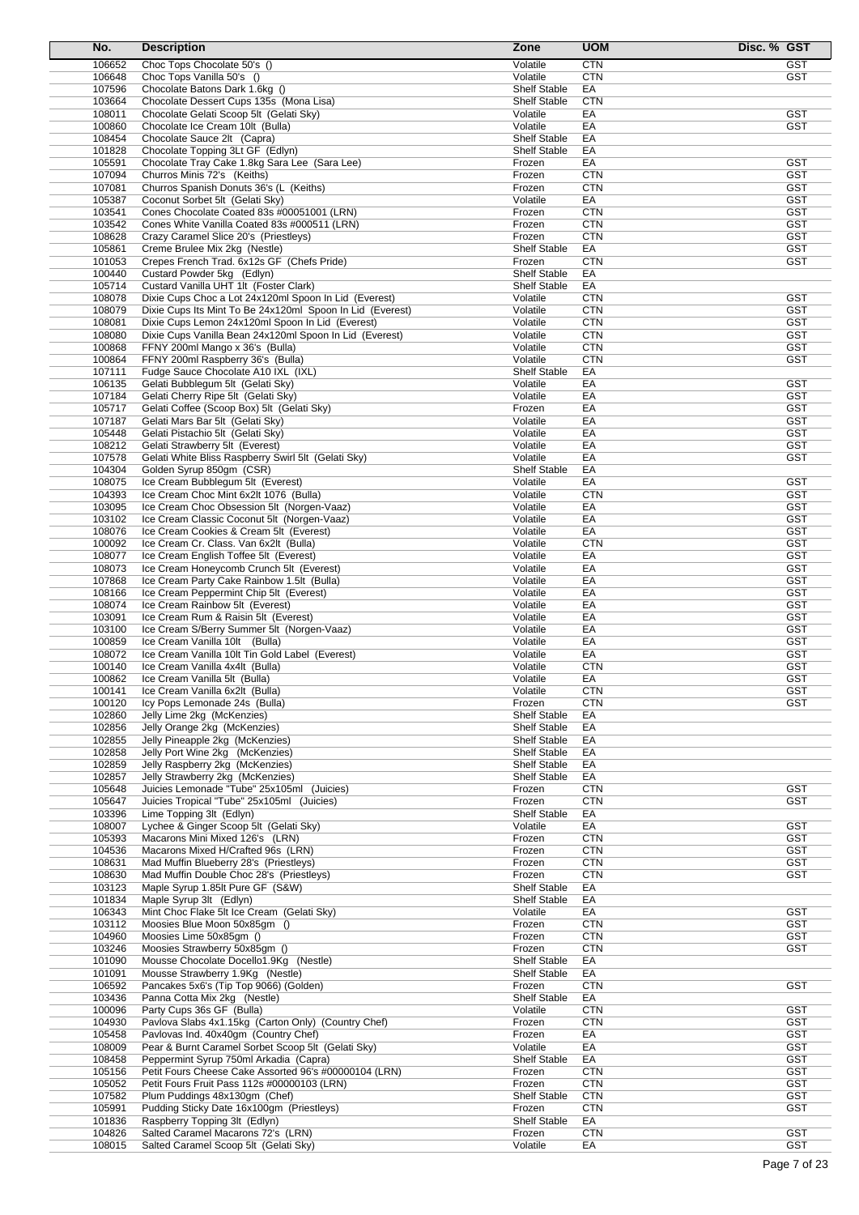| No.              | <b>Description</b>                                                                     | Zone                                       | <b>UOM</b>       | Disc. % GST              |
|------------------|----------------------------------------------------------------------------------------|--------------------------------------------|------------------|--------------------------|
| 106652           | Choc Tops Chocolate 50's ()                                                            | Volatile                                   | <b>CTN</b>       | <b>GST</b>               |
| 106648           | Choc Tops Vanilla 50's ()                                                              | Volatile                                   | <b>CTN</b>       | <b>GST</b>               |
| 107596           | Chocolate Batons Dark 1.6kg ()                                                         | <b>Shelf Stable</b>                        | EA               |                          |
| 103664           | Chocolate Dessert Cups 135s (Mona Lisa)                                                | <b>Shelf Stable</b>                        | <b>CTN</b>       |                          |
| 108011           | Chocolate Gelati Scoop 5lt (Gelati Sky)                                                | Volatile                                   | EA               | <b>GST</b>               |
| 100860           | Chocolate Ice Cream 10lt (Bulla)                                                       | Volatile                                   | EA               | <b>GST</b>               |
| 108454           | Chocolate Sauce 2lt (Capra)                                                            | <b>Shelf Stable</b>                        | EA               |                          |
| 101828           | Chocolate Topping 3Lt GF (Edlyn)                                                       | <b>Shelf Stable</b>                        | EA               |                          |
| 105591           | Chocolate Tray Cake 1.8kg Sara Lee (Sara Lee)                                          | Frozen                                     | EA               | <b>GST</b>               |
| 107094           | Churros Minis 72's (Keiths)                                                            | Frozen                                     | <b>CTN</b>       | <b>GST</b><br><b>GST</b> |
| 107081           | Churros Spanish Donuts 36's (L (Keiths)                                                | Frozen<br>Volatile                         | <b>CTN</b><br>EA | <b>GST</b>               |
| 105387<br>103541 | Coconut Sorbet 5lt (Gelati Sky)<br>Cones Chocolate Coated 83s #00051001 (LRN)          | Frozen                                     | <b>CTN</b>       | <b>GST</b>               |
| 103542           | Cones White Vanilla Coated 83s #000511 (LRN)                                           | Frozen                                     | <b>CTN</b>       | <b>GST</b>               |
| 108628           | Crazy Caramel Slice 20's (Priestleys)                                                  | Frozen                                     | <b>CTN</b>       | <b>GST</b>               |
| 105861           | Creme Brulee Mix 2kg (Nestle)                                                          | <b>Shelf Stable</b>                        | EA               | <b>GST</b>               |
| 101053           | Crepes French Trad. 6x12s GF (Chefs Pride)                                             | Frozen                                     | <b>CTN</b>       | <b>GST</b>               |
| 100440           | Custard Powder 5kg (Edlyn)                                                             | <b>Shelf Stable</b>                        | EA               |                          |
| 105714           | Custard Vanilla UHT 1It (Foster Clark)                                                 | <b>Shelf Stable</b>                        | EA               |                          |
| 108078           | Dixie Cups Choc a Lot 24x120ml Spoon In Lid (Everest)                                  | Volatile                                   | <b>CTN</b>       | <b>GST</b>               |
| 108079           | Dixie Cups Its Mint To Be 24x120ml Spoon In Lid (Everest)                              | Volatile                                   | <b>CTN</b>       | <b>GST</b>               |
| 108081           | Dixie Cups Lemon 24x120ml Spoon In Lid (Everest)                                       | Volatile                                   | <b>CTN</b>       | <b>GST</b>               |
| 108080           | Dixie Cups Vanilla Bean 24x120ml Spoon In Lid (Everest)                                | Volatile                                   | <b>CTN</b>       | <b>GST</b>               |
| 100868           | FFNY 200ml Mango x 36's (Bulla)                                                        | Volatile                                   | <b>CTN</b>       | <b>GST</b>               |
| 100864           | FFNY 200ml Raspberry 36's (Bulla)                                                      | Volatile                                   | <b>CTN</b>       | <b>GST</b>               |
| 107111           | Fudge Sauce Chocolate A10 IXL (IXL)                                                    | <b>Shelf Stable</b>                        | EA               |                          |
| 106135           | Gelati Bubblegum 5lt (Gelati Sky)                                                      | Volatile                                   | EA               | <b>GST</b>               |
| 107184           | Gelati Cherry Ripe 5lt (Gelati Sky)                                                    | Volatile                                   | EA               | <b>GST</b>               |
| 105717           | Gelati Coffee (Scoop Box) 5lt (Gelati Sky)                                             | Frozen                                     | EA               | <b>GST</b>               |
| 107187           | Gelati Mars Bar 5lt (Gelati Sky)                                                       | Volatile                                   | EA               | <b>GST</b>               |
| 105448           | Gelati Pistachio 5lt (Gelati Sky)                                                      | Volatile<br>Volatile                       | EA<br>EA         | <b>GST</b><br><b>GST</b> |
| 108212<br>107578 | Gelati Strawberry 5lt (Everest)<br>Gelati White Bliss Raspberry Swirl 5lt (Gelati Sky) | Volatile                                   | EA               | <b>GST</b>               |
| 104304           | Golden Syrup 850gm (CSR)                                                               | <b>Shelf Stable</b>                        | EA               |                          |
| 108075           | Ice Cream Bubblegum 5lt (Everest)                                                      | Volatile                                   | EA               | <b>GST</b>               |
| 104393           | Ice Cream Choc Mint 6x2lt 1076 (Bulla)                                                 | Volatile                                   | <b>CTN</b>       | <b>GST</b>               |
| 103095           | Ice Cream Choc Obsession 5It (Norgen-Vaaz)                                             | Volatile                                   | EA               | <b>GST</b>               |
| 103102           | Ice Cream Classic Coconut 5It (Norgen-Vaaz)                                            | Volatile                                   | EA               | <b>GST</b>               |
| 108076           | Ice Cream Cookies & Cream 5It (Everest)                                                | Volatile                                   | EA               | <b>GST</b>               |
| 100092           | Ice Cream Cr. Class. Van 6x2lt (Bulla)                                                 | Volatile                                   | <b>CTN</b>       | <b>GST</b>               |
| 108077           | Ice Cream English Toffee 5It (Everest)                                                 | Volatile                                   | EA               | <b>GST</b>               |
| 108073           | Ice Cream Honeycomb Crunch 5It (Everest)                                               | Volatile                                   | EA               | <b>GST</b>               |
| 107868           | Ice Cream Party Cake Rainbow 1.5It (Bulla)                                             | Volatile                                   | EA               | <b>GST</b>               |
| 108166           | Ice Cream Peppermint Chip 5It (Everest)                                                | Volatile                                   | EA               | <b>GST</b>               |
| 108074           | Ice Cream Rainbow 5It (Everest)                                                        | Volatile                                   | EA               | <b>GST</b>               |
| 103091           | Ice Cream Rum & Raisin 5It (Everest)                                                   | Volatile                                   | EA               | <b>GST</b>               |
| 103100           | Ice Cream S/Berry Summer 5It (Norgen-Vaaz)                                             | Volatile                                   | EA               | <b>GST</b>               |
| 100859           | Ice Cream Vanilla 10lt (Bulla)                                                         | Volatile                                   | EA               | <b>GST</b>               |
| 108072           | Ice Cream Vanilla 10lt Tin Gold Label (Everest)                                        | Volatile                                   | EA               | <b>GST</b>               |
| 100140           | Ice Cream Vanilla 4x4lt (Bulla)                                                        | Volatile                                   | <b>CTN</b>       | <b>GST</b>               |
| 100862           | Ice Cream Vanilla 5lt (Bulla)                                                          | Volatile                                   | EА               | <b>GST</b>               |
| 100141           | Ice Cream Vanilla 6x2lt (Bulla)                                                        | Volatile                                   | <b>CTN</b>       | <b>GST</b>               |
| 100120           | Icy Pops Lemonade 24s (Bulla)                                                          | Frozen<br><b>Shelf Stable</b>              | <b>CTN</b>       | <b>GST</b>               |
| 102860<br>102856 | Jelly Lime 2kg (McKenzies)<br>Jelly Orange 2kg (McKenzies)                             | <b>Shelf Stable</b>                        | EA<br>EA         |                          |
| 102855           | Jelly Pineapple 2kg (McKenzies)                                                        | Shelf Stable                               | EA               |                          |
| 102858           | Jelly Port Wine 2kg (McKenzies)                                                        | <b>Shelf Stable</b>                        | EA               |                          |
| 102859           | Jelly Raspberry 2kg (McKenzies)                                                        | <b>Shelf Stable</b>                        | EA               |                          |
| 102857           | Jelly Strawberry 2kg (McKenzies)                                                       | <b>Shelf Stable</b>                        | EA               |                          |
| 105648           | Juicies Lemonade "Tube" 25x105ml (Juicies)                                             | Frozen                                     | <b>CTN</b>       | <b>GST</b>               |
| 105647           | Juicies Tropical "Tube" 25x105ml (Juicies)                                             | Frozen                                     | <b>CTN</b>       | <b>GST</b>               |
| 103396           | Lime Topping 3lt (Edlyn)                                                               | <b>Shelf Stable</b>                        | EA               |                          |
| 108007           | Lychee & Ginger Scoop 5lt (Gelati Sky)                                                 | Volatile                                   | EA               | <b>GST</b>               |
| 105393           | Macarons Mini Mixed 126's (LRN)                                                        | Frozen                                     | <b>CTN</b>       | <b>GST</b>               |
| 104536           | Macarons Mixed H/Crafted 96s (LRN)                                                     | Frozen                                     | <b>CTN</b>       | <b>GST</b>               |
| 108631           | Mad Muffin Blueberry 28's (Priestleys)                                                 | Frozen                                     | <b>CTN</b>       | <b>GST</b>               |
| 108630           | Mad Muffin Double Choc 28's (Priestleys)                                               | Frozen                                     | <b>CTN</b>       | <b>GST</b>               |
| 103123           | Maple Syrup 1.85lt Pure GF (S&W)                                                       | <b>Shelf Stable</b>                        | EA               |                          |
| 101834           | Maple Syrup 3lt (Edlyn)                                                                | <b>Shelf Stable</b>                        | EA               |                          |
| 106343           | Mint Choc Flake 5lt Ice Cream (Gelati Sky)                                             | Volatile                                   | EA               | <b>GST</b>               |
| 103112           | Moosies Blue Moon 50x85gm ()                                                           | Frozen                                     | <b>CTN</b>       | <b>GST</b>               |
| 104960           | Moosies Lime 50x85gm ()                                                                | Frozen                                     | <b>CTN</b>       | <b>GST</b>               |
| 103246           | Moosies Strawberry 50x85gm ()                                                          | Frozen                                     | <b>CTN</b>       | <b>GST</b>               |
| 101090<br>101091 | Mousse Chocolate Docello1.9Kg (Nestle)                                                 | <b>Shelf Stable</b><br><b>Shelf Stable</b> | EA<br>EA         |                          |
| 106592           | Mousse Strawberry 1.9Kg (Nestle)<br>Pancakes 5x6's (Tip Top 9066) (Golden)             | Frozen                                     | <b>CTN</b>       | GST                      |
| 103436           | Panna Cotta Mix 2kg (Nestle)                                                           | Shelf Stable                               | EA               |                          |
| 100096           | Party Cups 36s GF (Bulla)                                                              | Volatile                                   | <b>CTN</b>       | <b>GST</b>               |
| 104930           | Pavlova Slabs 4x1.15kg (Carton Only) (Country Chef)                                    | Frozen                                     | <b>CTN</b>       | <b>GST</b>               |
| 105458           | Pavlovas Ind. 40x40gm (Country Chef)                                                   | Frozen                                     | EA               | <b>GST</b>               |
| 108009           | Pear & Burnt Caramel Sorbet Scoop 5lt (Gelati Sky)                                     | Volatile                                   | EA               | <b>GST</b>               |
| 108458           | Peppermint Syrup 750ml Arkadia (Capra)                                                 | <b>Shelf Stable</b>                        | EA               | <b>GST</b>               |
| 105156           | Petit Fours Cheese Cake Assorted 96's #00000104 (LRN)                                  | Frozen                                     | <b>CTN</b>       | <b>GST</b>               |
| 105052           | Petit Fours Fruit Pass 112s #00000103 (LRN)                                            | Frozen                                     | <b>CTN</b>       | <b>GST</b>               |
| 107582           | Plum Puddings 48x130gm (Chef)                                                          | Shelf Stable                               | <b>CTN</b>       | <b>GST</b>               |
| 105991           | Pudding Sticky Date 16x100gm (Priestleys)                                              | Frozen                                     | <b>CTN</b>       | <b>GST</b>               |
| 101836           | Raspberry Topping 3lt (Edlyn)                                                          | <b>Shelf Stable</b>                        | EA               |                          |
| 104826           | Salted Caramel Macarons 72's (LRN)                                                     | Frozen                                     | <b>CTN</b>       | <b>GST</b>               |
| 108015           | Salted Caramel Scoop 5lt (Gelati Sky)                                                  | Volatile                                   | EA               | <b>GST</b>               |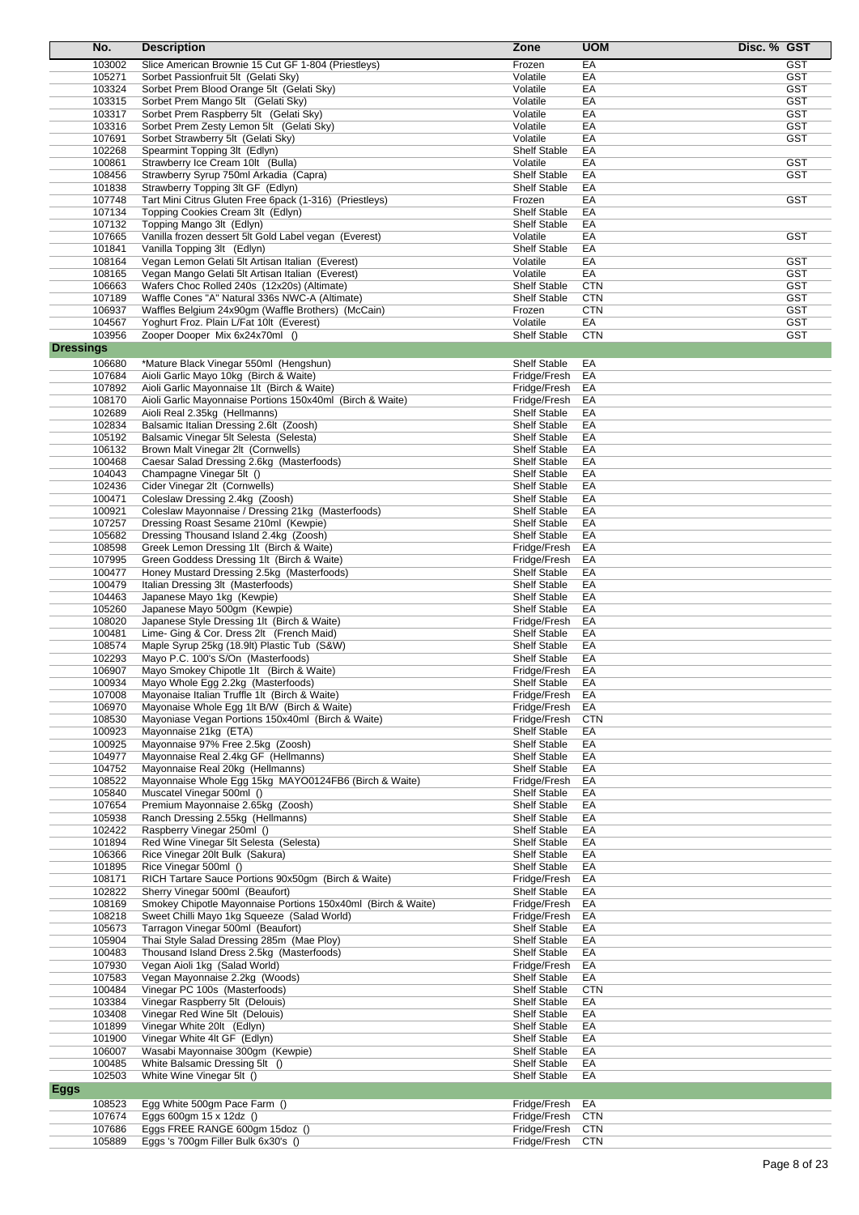|                  | No.              | <b>Description</b>                                                                                   | Zone                                       | <b>UOM</b>               | Disc. % GST |                          |
|------------------|------------------|------------------------------------------------------------------------------------------------------|--------------------------------------------|--------------------------|-------------|--------------------------|
|                  | 103002           | Slice American Brownie 15 Cut GF 1-804 (Priestleys)                                                  | Frozen                                     | EA                       |             | <b>GST</b>               |
|                  | 105271           | Sorbet Passionfruit 5lt (Gelati Sky)                                                                 | Volatile                                   | EA                       |             | <b>GST</b>               |
|                  | 103324           | Sorbet Prem Blood Orange 5lt (Gelati Sky)                                                            | Volatile                                   | EA                       |             | <b>GST</b>               |
|                  | 103315           | Sorbet Prem Mango 5lt (Gelati Sky)                                                                   | Volatile                                   | EA                       |             | <b>GST</b>               |
|                  | 103317           | Sorbet Prem Raspberry 5lt (Gelati Sky)                                                               | Volatile                                   | EA                       |             | <b>GST</b>               |
|                  | 103316           | Sorbet Prem Zesty Lemon 5lt (Gelati Sky)                                                             | Volatile                                   | EA                       |             | <b>GST</b>               |
|                  | 107691           | Sorbet Strawberry 5lt (Gelati Sky)                                                                   | Volatile                                   | EA                       |             | <b>GST</b>               |
|                  | 102268           | Spearmint Topping 3lt (Edlyn)                                                                        | <b>Shelf Stable</b><br>Volatile            | EA<br>EA                 |             | <b>GST</b>               |
|                  | 100861<br>108456 | Strawberry Ice Cream 10It (Bulla)<br>Strawberry Syrup 750ml Arkadia (Capra)                          | <b>Shelf Stable</b>                        | EA                       |             | GST                      |
|                  | 101838           | Strawberry Topping 3lt GF (Edlyn)                                                                    | <b>Shelf Stable</b>                        | EA                       |             |                          |
|                  | 107748           | Tart Mini Citrus Gluten Free 6pack (1-316) (Priestleys)                                              | Frozen                                     | EA                       |             | <b>GST</b>               |
|                  | 107134           | Topping Cookies Cream 3lt (Edlyn)                                                                    | <b>Shelf Stable</b>                        | EA                       |             |                          |
|                  | 107132           | Topping Mango 3lt (Edlyn)                                                                            | <b>Shelf Stable</b>                        | EA                       |             |                          |
|                  | 107665           | Vanilla frozen dessert 5lt Gold Label vegan (Everest)                                                | Volatile                                   | EA                       |             | <b>GST</b>               |
|                  | 101841           | Vanilla Topping 3lt (Edlyn)                                                                          | <b>Shelf Stable</b>                        | EA                       |             |                          |
|                  | 108164           | Vegan Lemon Gelati 5lt Artisan Italian (Everest)                                                     | Volatile                                   | EA                       |             | <b>GST</b>               |
|                  | 108165           | Vegan Mango Gelati 5lt Artisan Italian (Everest)                                                     | Volatile                                   | EA                       |             | <b>GST</b>               |
|                  | 106663           | Wafers Choc Rolled 240s (12x20s) (Altimate)                                                          | <b>Shelf Stable</b>                        | <b>CTN</b><br><b>CTN</b> |             | <b>GST</b><br><b>GST</b> |
|                  | 107189<br>106937 | Waffle Cones "A" Natural 336s NWC-A (Altimate)<br>Waffles Belgium 24x90gm (Waffle Brothers) (McCain) | <b>Shelf Stable</b><br>Frozen              | <b>CTN</b>               |             | <b>GST</b>               |
|                  | 104567           | Yoghurt Froz. Plain L/Fat 10lt (Everest)                                                             | Volatile                                   | EA                       |             | <b>GST</b>               |
|                  | 103956           | Zooper Dooper Mix 6x24x70ml ()                                                                       | <b>Shelf Stable</b>                        | <b>CTN</b>               |             | <b>GST</b>               |
| <b>Dressings</b> |                  |                                                                                                      |                                            |                          |             |                          |
|                  | 106680           | *Mature Black Vinegar 550ml (Hengshun)                                                               | <b>Shelf Stable</b>                        | EA                       |             |                          |
|                  | 107684           | Aioli Garlic Mayo 10kg (Birch & Waite)                                                               | Fridge/Fresh                               | EA                       |             |                          |
|                  | 107892           | Aioli Garlic Mayonnaise 1lt (Birch & Waite)                                                          | Fridge/Fresh                               | EA                       |             |                          |
|                  | 108170           | Aioli Garlic Mayonnaise Portions 150x40ml (Birch & Waite)                                            | Fridge/Fresh                               | EA                       |             |                          |
|                  | 102689           | Aioli Real 2.35kg (Hellmanns)                                                                        | <b>Shelf Stable</b>                        | EA                       |             |                          |
|                  | 102834           | Balsamic Italian Dressing 2.6lt (Zoosh)                                                              | Shelf Stable                               | EA                       |             |                          |
|                  | 105192           | Balsamic Vinegar 5lt Selesta (Selesta)                                                               | <b>Shelf Stable</b>                        | EA                       |             |                          |
|                  | 106132           | Brown Malt Vinegar 2lt (Cornwells)                                                                   | <b>Shelf Stable</b>                        | EA                       |             |                          |
|                  | 100468           | Caesar Salad Dressing 2.6kg (Masterfoods)                                                            | <b>Shelf Stable</b>                        | EA                       |             |                          |
|                  | 104043           | Champagne Vinegar 5lt ()                                                                             | <b>Shelf Stable</b>                        | EA                       |             |                          |
|                  | 102436           | Cider Vinegar 2lt (Cornwells)                                                                        | <b>Shelf Stable</b>                        | EA                       |             |                          |
|                  | 100471<br>100921 | Coleslaw Dressing 2.4kg (Zoosh)<br>Coleslaw Mayonnaise / Dressing 21kg (Masterfoods)                 | <b>Shelf Stable</b><br><b>Shelf Stable</b> | EA<br>EA                 |             |                          |
|                  | 107257           | Dressing Roast Sesame 210ml (Kewpie)                                                                 | <b>Shelf Stable</b>                        | EA                       |             |                          |
|                  | 105682           | Dressing Thousand Island 2.4kg (Zoosh)                                                               | <b>Shelf Stable</b>                        | EA                       |             |                          |
|                  | 108598           | Greek Lemon Dressing 1It (Birch & Waite)                                                             | Fridge/Fresh                               | EA                       |             |                          |
|                  | 107995           | Green Goddess Dressing 1lt (Birch & Waite)                                                           | Fridge/Fresh                               | EA                       |             |                          |
|                  | 100477           | Honey Mustard Dressing 2.5kg (Masterfoods)                                                           | <b>Shelf Stable</b>                        | EA                       |             |                          |
|                  | 100479           | Italian Dressing 3lt (Masterfoods)                                                                   | <b>Shelf Stable</b>                        | EA                       |             |                          |
|                  | 104463           | Japanese Mayo 1kg (Kewpie)                                                                           | <b>Shelf Stable</b>                        | EA                       |             |                          |
|                  | 105260           | Japanese Mayo 500gm (Kewpie)                                                                         | <b>Shelf Stable</b>                        | EA                       |             |                          |
|                  | 108020           | Japanese Style Dressing 1lt (Birch & Waite)                                                          | Fridge/Fresh                               | EA                       |             |                          |
|                  | 100481<br>108574 | Lime- Ging & Cor. Dress 2lt (French Maid)<br>Maple Syrup 25kg (18.9lt) Plastic Tub (S&W)             | <b>Shelf Stable</b><br><b>Shelf Stable</b> | EA<br>EA                 |             |                          |
|                  | 102293           | Mayo P.C. 100's S/On (Masterfoods)                                                                   | <b>Shelf Stable</b>                        | EA                       |             |                          |
|                  | 106907           | Mayo Smokey Chipotle 1lt (Birch & Waite)                                                             | Fridge/Fresh                               | EA                       |             |                          |
|                  | 100934           | Mayo Whole Egg 2.2kg (Masterfoods)                                                                   | <b>Shelf Stable</b>                        | EA                       |             |                          |
|                  | 107008           | Mayonaise Italian Truffle 1lt (Birch & Waite)                                                        | Fridge/Fresh                               | EA                       |             |                          |
|                  | 106970           | Mayonaise Whole Egg 1lt B/W (Birch & Waite)                                                          | Fridge/Fresh                               | EA                       |             |                          |
|                  | 108530           | Mayoniase Vegan Portions 150x40ml (Birch & Waite)                                                    | Fridge/Fresh                               | <b>CTN</b>               |             |                          |
|                  | 100923           | Mayonnaise 21kg (ETA)                                                                                | <b>Shelf Stable</b>                        | EA                       |             |                          |
|                  | 100925           | Mayonnaise 97% Free 2.5kg (Zoosh)                                                                    | <b>Shelf Stable</b>                        | EA                       |             |                          |
|                  | 104977           | Mayonnaise Real 2.4kg GF (Hellmanns)                                                                 | <b>Shelf Stable</b>                        | EA                       |             |                          |
|                  | 104752<br>108522 | Mayonnaise Real 20kg (Hellmanns)<br>Mayonnaise Whole Egg 15kg MAYO0124FB6 (Birch & Waite)            | <b>Shelf Stable</b><br>Fridge/Fresh        | EA<br>EA                 |             |                          |
|                  | 105840           | Muscatel Vinegar 500ml ()                                                                            | <b>Shelf Stable</b>                        | EA                       |             |                          |
|                  | 107654           | Premium Mayonnaise 2.65kg (Zoosh)                                                                    | <b>Shelf Stable</b>                        | EA                       |             |                          |
|                  | 105938           | Ranch Dressing 2.55kg (Hellmanns)                                                                    | <b>Shelf Stable</b>                        | EA                       |             |                          |
|                  | 102422           | Raspberry Vinegar 250ml ()                                                                           | <b>Shelf Stable</b>                        | EA                       |             |                          |
|                  | 101894           | Red Wine Vinegar 5lt Selesta (Selesta)                                                               | <b>Shelf Stable</b>                        | EA                       |             |                          |
|                  | 106366           | Rice Vinegar 20lt Bulk (Sakura)                                                                      | <b>Shelf Stable</b>                        | EA                       |             |                          |
|                  | 101895           | Rice Vinegar 500ml ()                                                                                | <b>Shelf Stable</b>                        | EA                       |             |                          |
|                  | 108171           | RICH Tartare Sauce Portions 90x50gm (Birch & Waite)                                                  | Fridge/Fresh                               | EA                       |             |                          |
|                  | 102822           | Sherry Vinegar 500ml (Beaufort)                                                                      | <b>Shelf Stable</b>                        | EA                       |             |                          |
|                  | 108169           | Smokey Chipotle Mayonnaise Portions 150x40ml (Birch & Waite)                                         | Fridge/Fresh                               | EA                       |             |                          |
|                  | 108218<br>105673 | Sweet Chilli Mayo 1kg Squeeze (Salad World)<br>Tarragon Vinegar 500ml (Beaufort)                     | Fridge/Fresh<br><b>Shelf Stable</b>        | EA<br>EA                 |             |                          |
|                  | 105904           | Thai Style Salad Dressing 285m (Mae Ploy)                                                            | <b>Shelf Stable</b>                        | EA                       |             |                          |
|                  | 100483           | Thousand Island Dress 2.5kg (Masterfoods)                                                            | <b>Shelf Stable</b>                        | EA                       |             |                          |
|                  | 107930           | Vegan Aioli 1kg (Salad World)                                                                        | Fridge/Fresh                               | EA                       |             |                          |
|                  | 107583           | Vegan Mayonnaise 2.2kg (Woods)                                                                       | <b>Shelf Stable</b>                        | EA                       |             |                          |
|                  | 100484           | Vinegar PC 100s (Masterfoods)                                                                        | <b>Shelf Stable</b>                        | <b>CTN</b>               |             |                          |
|                  | 103384           | Vinegar Raspberry 5lt (Delouis)                                                                      | <b>Shelf Stable</b>                        | EA                       |             |                          |
|                  | 103408           | Vinegar Red Wine 5lt (Delouis)                                                                       | <b>Shelf Stable</b>                        | EA                       |             |                          |
|                  | 101899           | Vinegar White 20lt (Edlyn)                                                                           | <b>Shelf Stable</b>                        | EA                       |             |                          |
|                  | 101900           | Vinegar White 4lt GF (Edlyn)                                                                         | <b>Shelf Stable</b>                        | EA                       |             |                          |
|                  | 106007<br>100485 | Wasabi Mayonnaise 300gm (Kewpie)<br>White Balsamic Dressing 5lt ()                                   | <b>Shelf Stable</b><br><b>Shelf Stable</b> | EA<br>EA                 |             |                          |
|                  | 102503           | White Wine Vinegar 5lt ()                                                                            | <b>Shelf Stable</b>                        | EA                       |             |                          |
| Eggs             |                  |                                                                                                      |                                            |                          |             |                          |
|                  | 108523           | Egg White 500gm Pace Farm ()                                                                         | Fridge/Fresh                               | EA                       |             |                          |
|                  | 107674           | Eggs 600gm 15 x 12dz ()                                                                              | Fridge/Fresh                               | <b>CTN</b>               |             |                          |
|                  | 107686           | Eggs FREE RANGE 600gm 15doz ()                                                                       | Fridge/Fresh                               | <b>CTN</b>               |             |                          |
|                  | 105889           | Eggs 's 700gm Filler Bulk 6x30's ()                                                                  | Fridge/Fresh                               | CTN                      |             |                          |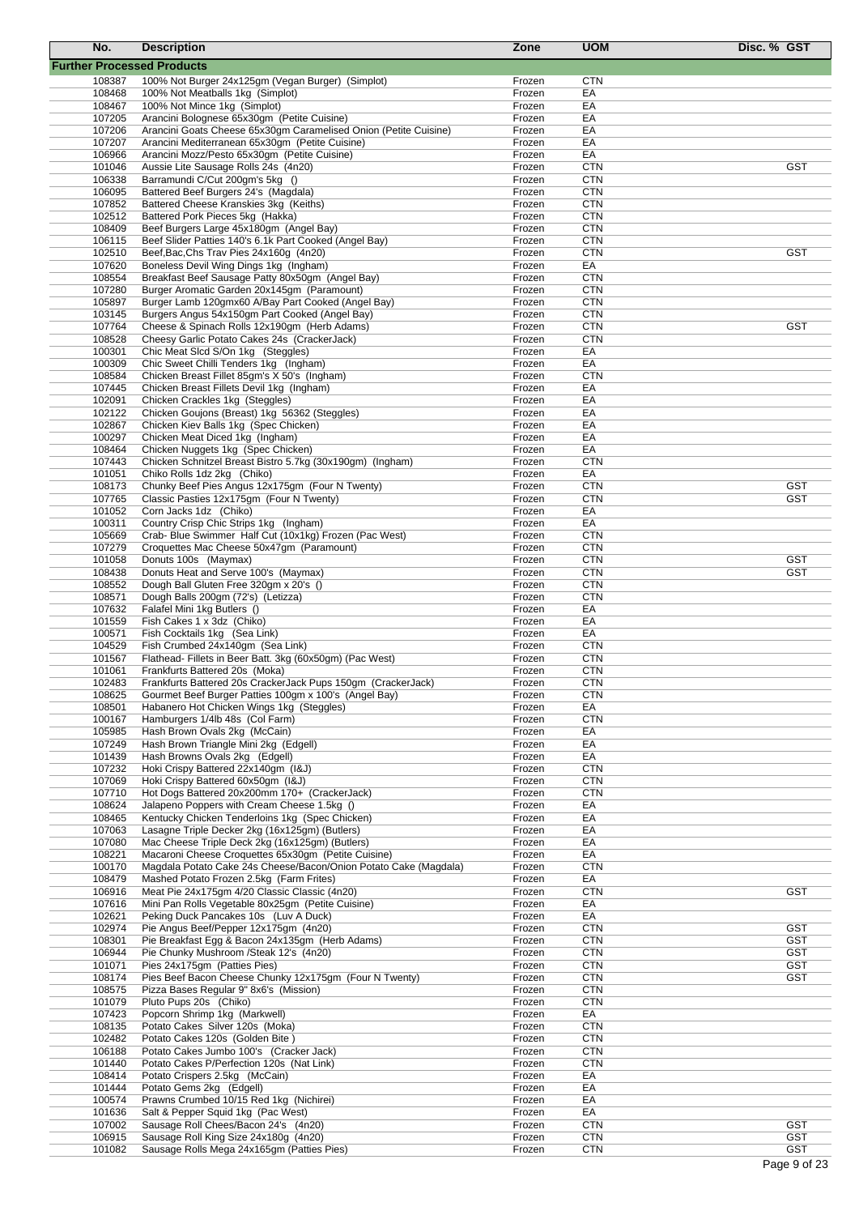| No.              | <b>Description</b>                                                                                                  | Zone             | <b>UOM</b>               | Disc. % GST |
|------------------|---------------------------------------------------------------------------------------------------------------------|------------------|--------------------------|-------------|
|                  | <b>Further Processed Products</b>                                                                                   |                  |                          |             |
| 108387           | 100% Not Burger 24x125gm (Vegan Burger) (Simplot)                                                                   | Frozen           | <b>CTN</b>               |             |
| 108468           | 100% Not Meatballs 1kg (Simplot)                                                                                    | Frozen           | EA                       |             |
| 108467           | 100% Not Mince 1kg (Simplot)                                                                                        | Frozen           | EA                       |             |
| 107205           | Arancini Bolognese 65x30gm (Petite Cuisine)                                                                         | Frozen           | EA                       |             |
| 107206<br>107207 | Arancini Goats Cheese 65x30gm Caramelised Onion (Petite Cuisine)<br>Arancini Mediterranean 65x30gm (Petite Cuisine) | Frozen<br>Frozen | EA<br>EA                 |             |
| 106966           | Arancini Mozz/Pesto 65x30gm (Petite Cuisine)                                                                        | Frozen           | EA                       |             |
| 101046           | Aussie Lite Sausage Rolls 24s (4n20)                                                                                | Frozen           | <b>CTN</b>               | <b>GST</b>  |
| 106338           | Barramundi C/Cut 200gm's 5kg ()                                                                                     | Frozen           | <b>CTN</b>               |             |
| 106095           | Battered Beef Burgers 24's (Magdala)                                                                                | Frozen           | <b>CTN</b>               |             |
| 107852           | Battered Cheese Kranskies 3kg (Keiths)                                                                              | Frozen           | <b>CTN</b>               |             |
| 102512           | Battered Pork Pieces 5kg (Hakka)<br>Beef Burgers Large 45x180gm (Angel Bay)                                         | Frozen           | <b>CTN</b>               |             |
| 108409<br>106115 | Beef Slider Patties 140's 6.1k Part Cooked (Angel Bay)                                                              | Frozen<br>Frozen | <b>CTN</b><br><b>CTN</b> |             |
| 102510           | Beef, Bac, Chs Trav Pies 24x160g (4n20)                                                                             | Frozen           | <b>CTN</b>               | <b>GST</b>  |
| 107620           | Boneless Devil Wing Dings 1kg (Ingham)                                                                              | Frozen           | EA                       |             |
| 108554           | Breakfast Beef Sausage Patty 80x50gm (Angel Bay)                                                                    | Frozen           | <b>CTN</b>               |             |
| 107280           | Burger Aromatic Garden 20x145gm (Paramount)                                                                         | Frozen           | <b>CTN</b>               |             |
| 105897           | Burger Lamb 120gmx60 A/Bay Part Cooked (Angel Bay)                                                                  | Frozen           | <b>CTN</b>               |             |
| 103145           | Burgers Angus 54x150gm Part Cooked (Angel Bay)                                                                      | Frozen<br>Frozen | <b>CTN</b><br><b>CTN</b> | <b>GST</b>  |
| 107764<br>108528 | Cheese & Spinach Rolls 12x190gm (Herb Adams)<br>Cheesy Garlic Potato Cakes 24s (CrackerJack)                        | Frozen           | <b>CTN</b>               |             |
| 100301           | Chic Meat Slcd S/On 1kg (Steggles)                                                                                  | Frozen           | EA                       |             |
| 100309           | Chic Sweet Chilli Tenders 1kg (Ingham)                                                                              | Frozen           | EA                       |             |
| 108584           | Chicken Breast Fillet 85gm's X 50's (Ingham)                                                                        | Frozen           | <b>CTN</b>               |             |
| 107445           | Chicken Breast Fillets Devil 1kg (Ingham)                                                                           | Frozen           | EA                       |             |
| 102091           | Chicken Crackles 1kg (Steggles)                                                                                     | Frozen           | EA                       |             |
| 102122           | Chicken Goujons (Breast) 1kg 56362 (Steggles)                                                                       | Frozen           | EA                       |             |
| 102867           | Chicken Kiev Balls 1kg (Spec Chicken)                                                                               | Frozen           | EA                       |             |
| 100297           | Chicken Meat Diced 1kg (Ingham)                                                                                     | Frozen           | EA                       |             |
| 108464           | Chicken Nuggets 1kg (Spec Chicken)                                                                                  | Frozen           | EA                       |             |
| 107443<br>101051 | Chicken Schnitzel Breast Bistro 5.7kg (30x190gm) (Ingham)<br>Chiko Rolls 1dz 2kg (Chiko)                            | Frozen<br>Frozen | <b>CTN</b><br>EA         |             |
| 108173           | Chunky Beef Pies Angus 12x175gm (Four N Twenty)                                                                     | Frozen           | <b>CTN</b>               | <b>GST</b>  |
| 107765           | Classic Pasties 12x175gm (Four N Twenty)                                                                            | Frozen           | <b>CTN</b>               | <b>GST</b>  |
| 101052           | Corn Jacks 1dz (Chiko)                                                                                              | Frozen           | EA                       |             |
| 100311           | Country Crisp Chic Strips 1kg (Ingham)                                                                              | Frozen           | EA                       |             |
| 105669           | Crab- Blue Swimmer Half Cut (10x1kg) Frozen (Pac West)                                                              | Frozen           | <b>CTN</b>               |             |
| 107279           | Croquettes Mac Cheese 50x47gm (Paramount)                                                                           | Frozen           | <b>CTN</b>               |             |
| 101058           | Donuts 100s (Maymax)                                                                                                | Frozen           | <b>CTN</b>               | <b>GST</b>  |
| 108438           | Donuts Heat and Serve 100's (Maymax)                                                                                | Frozen           | <b>CTN</b>               | <b>GST</b>  |
| 108552<br>108571 | Dough Ball Gluten Free 320gm x 20's ()<br>Dough Balls 200gm (72's) (Letizza)                                        | Frozen<br>Frozen | <b>CTN</b><br><b>CTN</b> |             |
| 107632           | Falafel Mini 1kg Butlers ()                                                                                         | Frozen           | EA                       |             |
| 101559           | Fish Cakes 1 x 3dz (Chiko)                                                                                          | Frozen           | EA                       |             |
| 100571           | Fish Cocktails 1kg (Sea Link)                                                                                       | Frozen           | EA                       |             |
| 104529           | Fish Crumbed 24x140gm (Sea Link)                                                                                    | Frozen           | <b>CTN</b>               |             |
| 101567           | Flathead- Fillets in Beer Batt. 3kg (60x50gm) (Pac West)                                                            | Frozen           | <b>CTN</b>               |             |
| 101061           | Frankfurts Battered 20s (Moka)                                                                                      | Frozen           | <b>CTN</b>               |             |
| 102483           | Frankfurts Battered 20s CrackerJack Pups 150gm (CrackerJack)                                                        | Frozen           | <b>CTN</b>               |             |
| 108625           | Gourmet Beef Burger Patties 100gm x 100's (Angel Bay)                                                               | Frozen           | <b>CTN</b>               |             |
| 108501<br>100167 | Habanero Hot Chicken Wings 1kg (Steggles)<br>Hamburgers 1/4lb 48s (Col Farm)                                        | Frozen<br>Frozen | EA<br><b>CTN</b>         |             |
| 105985           | Hash Brown Ovals 2kg (McCain)                                                                                       | Frozen           | EA                       |             |
| 107249           | Hash Brown Triangle Mini 2kg (Edgell)                                                                               | Frozen           | EA                       |             |
| 101439           | Hash Browns Ovals 2kg (Edgell)                                                                                      | Frozen           | EA                       |             |
| 107232           | Hoki Crispy Battered 22x140qm (I&J)                                                                                 | Frozen           | <b>CTN</b>               |             |
| 107069           | Hoki Crispy Battered 60x50gm (I&J)                                                                                  | Frozen           | <b>CTN</b>               |             |
| 107710           | Hot Dogs Battered 20x200mm 170+ (CrackerJack)                                                                       | Frozen           | <b>CTN</b>               |             |
| 108624           | Jalapeno Poppers with Cream Cheese 1.5kg ()                                                                         | Frozen           | EA                       |             |
| 108465           | Kentucky Chicken Tenderloins 1kg (Spec Chicken)                                                                     | Frozen           | EA                       |             |
| 107063<br>107080 | Lasagne Triple Decker 2kg (16x125gm) (Butlers)<br>Mac Cheese Triple Deck 2kg (16x125gm) (Butlers)                   | Frozen<br>Frozen | EA<br>EA                 |             |
| 108221           | Macaroni Cheese Croquettes 65x30gm (Petite Cuisine)                                                                 | Frozen           | EA                       |             |
| 100170           | Magdala Potato Cake 24s Cheese/Bacon/Onion Potato Cake (Magdala)                                                    | Frozen           | <b>CTN</b>               |             |
| 108479           | Mashed Potato Frozen 2.5kg (Farm Frites)                                                                            | Frozen           | EA                       |             |
| 106916           | Meat Pie 24x175gm 4/20 Classic Classic (4n20)                                                                       | Frozen           | <b>CTN</b>               | <b>GST</b>  |
| 107616           | Mini Pan Rolls Vegetable 80x25gm (Petite Cuisine)                                                                   | Frozen           | EA                       |             |
| 102621           | Peking Duck Pancakes 10s (Luv A Duck)                                                                               | Frozen           | EA                       |             |
| 102974           | Pie Angus Beef/Pepper 12x175gm (4n20)                                                                               | Frozen           | <b>CTN</b>               | <b>GST</b>  |
| 108301           | Pie Breakfast Egg & Bacon 24x135gm (Herb Adams)                                                                     | Frozen           | <b>CTN</b>               | <b>GST</b>  |
| 106944           | Pie Chunky Mushroom / Steak 12's (4n20)                                                                             | Frozen           | <b>CTN</b>               | <b>GST</b>  |
| 101071           | Pies 24x175gm (Patties Pies)                                                                                        | Frozen           | <b>CTN</b><br><b>CTN</b> | <b>GST</b>  |
| 108174<br>108575 | Pies Beef Bacon Cheese Chunky 12x175gm (Four N Twenty)<br>Pizza Bases Regular 9" 8x6's (Mission)                    | Frozen<br>Frozen | <b>CTN</b>               | GST         |
| 101079           | Pluto Pups 20s (Chiko)                                                                                              | Frozen           | <b>CTN</b>               |             |
| 107423           | Popcorn Shrimp 1kg (Markwell)                                                                                       | Frozen           | EA                       |             |
| 108135           | Potato Cakes Silver 120s (Moka)                                                                                     | Frozen           | <b>CTN</b>               |             |
| 102482           | Potato Cakes 120s (Golden Bite)                                                                                     | Frozen           | <b>CTN</b>               |             |
| 106188           | Potato Cakes Jumbo 100's (Cracker Jack)                                                                             | Frozen           | <b>CTN</b>               |             |
| 101440           | Potato Cakes P/Perfection 120s (Nat Link)                                                                           | Frozen           | <b>CTN</b>               |             |
| 108414           | Potato Crispers 2.5kg (McCain)                                                                                      | Frozen           | EA                       |             |
| 101444           | Potato Gems 2kg (Edgell)                                                                                            | Frozen           | EA                       |             |
| 100574           | Prawns Crumbed 10/15 Red 1kg (Nichirei)                                                                             | Frozen           | EA                       |             |
| 101636<br>107002 | Salt & Pepper Squid 1kg (Pac West)<br>Sausage Roll Chees/Bacon 24's (4n20)                                          | Frozen<br>Frozen | EA<br><b>CTN</b>         | <b>GST</b>  |
| 106915           | Sausage Roll King Size 24x180g (4n20)                                                                               | Frozen           | <b>CTN</b>               | <b>GST</b>  |
| 101082           | Sausage Rolls Mega 24x165gm (Patties Pies)                                                                          | Frozen           | <b>CTN</b>               | <b>GST</b>  |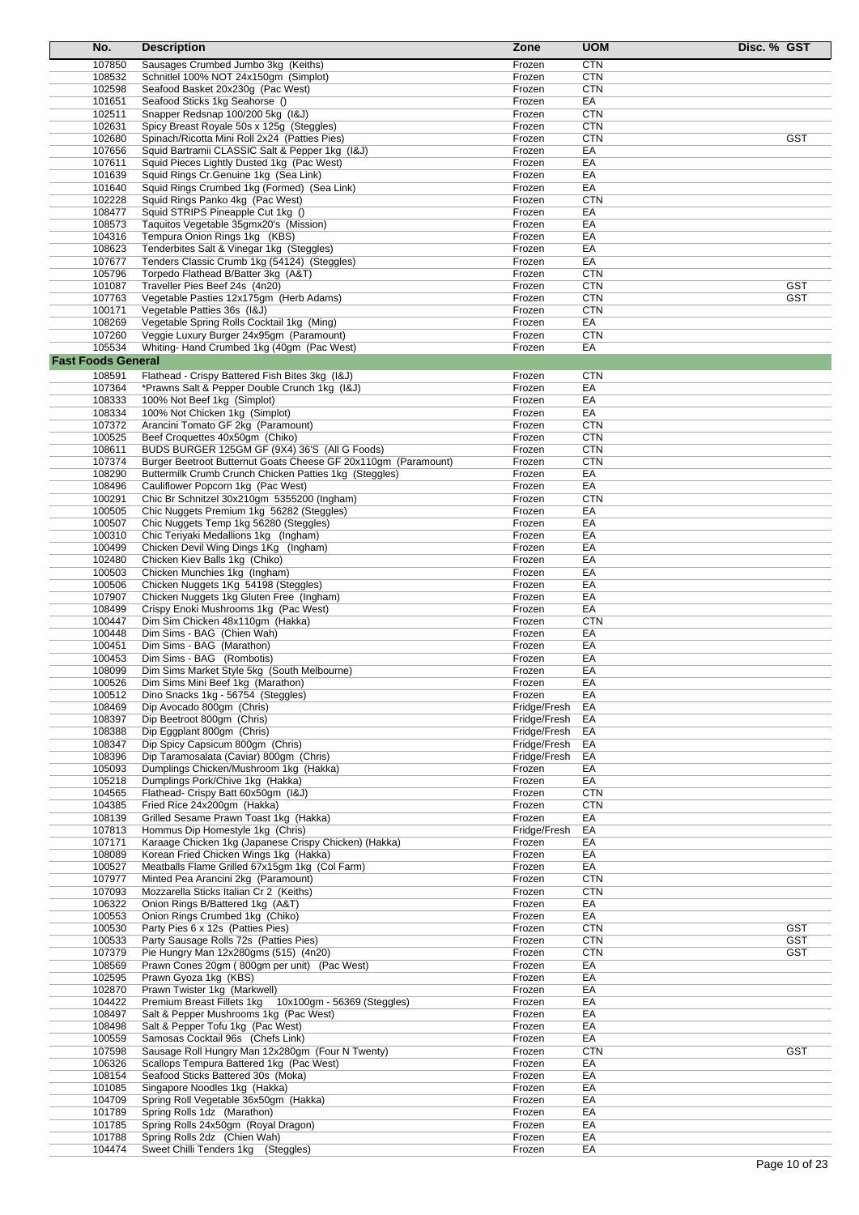| No.                       | <b>Description</b>                                                                   | Zone             | <b>UOM</b>               | Disc. % GST              |
|---------------------------|--------------------------------------------------------------------------------------|------------------|--------------------------|--------------------------|
| 107850                    | Sausages Crumbed Jumbo 3kg (Keiths)                                                  | Frozen           | <b>CTN</b>               |                          |
| 108532                    | Schnitlel 100% NOT 24x150gm (Simplot)                                                | Frozen           | <b>CTN</b>               |                          |
| 102598                    | Seafood Basket 20x230g (Pac West)                                                    | Frozen           | <b>CTN</b>               |                          |
| 101651                    | Seafood Sticks 1kg Seahorse ()                                                       | Frozen           | EA                       |                          |
| 102511                    | Snapper Redsnap 100/200 5kg (I&J)                                                    | Frozen           | <b>CTN</b>               |                          |
| 102631                    | Spicy Breast Royale 50s x 125g (Steggles)                                            | Frozen           | <b>CTN</b>               |                          |
| 102680                    | Spinach/Ricotta Mini Roll 2x24 (Patties Pies)                                        | Frozen           | <b>CTN</b>               | <b>GST</b>               |
| 107656<br>107611          | Squid Bartramii CLASSIC Salt & Pepper 1kg (I&J)                                      | Frozen<br>Frozen | EA<br>EA                 |                          |
| 101639                    | Squid Pieces Lightly Dusted 1kg (Pac West)<br>Squid Rings Cr. Genuine 1kg (Sea Link) | Frozen           | EA                       |                          |
| 101640                    | Squid Rings Crumbed 1kg (Formed) (Sea Link)                                          | Frozen           | EA                       |                          |
| 102228                    | Squid Rings Panko 4kg (Pac West)                                                     | Frozen           | <b>CTN</b>               |                          |
| 108477                    | Squid STRIPS Pineapple Cut 1kg ()                                                    | Frozen           | EA                       |                          |
| 108573                    | Taquitos Vegetable 35gmx20's (Mission)                                               | Frozen           | EA                       |                          |
| 104316                    | Tempura Onion Rings 1kg (KBS)                                                        | Frozen           | EA                       |                          |
| 108623                    | Tenderbites Salt & Vinegar 1kg (Steggles)                                            | Frozen           | EA                       |                          |
| 107677                    | Tenders Classic Crumb 1kg (54124) (Steggles)                                         | Frozen           | EA                       |                          |
| 105796                    | Torpedo Flathead B/Batter 3kg (A&T)                                                  | Frozen           | <b>CTN</b>               |                          |
| 101087<br>107763          | Traveller Pies Beef 24s (4n20)<br>Vegetable Pasties 12x175gm (Herb Adams)            | Frozen<br>Frozen | <b>CTN</b><br><b>CTN</b> | <b>GST</b><br><b>GST</b> |
| 100171                    | Vegetable Patties 36s (I&J)                                                          | Frozen           | <b>CTN</b>               |                          |
| 108269                    | Vegetable Spring Rolls Cocktail 1kg (Ming)                                           | Frozen           | EA                       |                          |
| 107260                    | Veggie Luxury Burger 24x95gm (Paramount)                                             | Frozen           | <b>CTN</b>               |                          |
| 105534                    | Whiting-Hand Crumbed 1kg (40gm (Pac West)                                            | Frozen           | EA                       |                          |
| <b>Fast Foods General</b> |                                                                                      |                  |                          |                          |
| 108591                    | Flathead - Crispy Battered Fish Bites 3kg (I&J)                                      | Frozen           | <b>CTN</b>               |                          |
| 107364                    | *Prawns Salt & Pepper Double Crunch 1kg (I&J)                                        | Frozen           | EA                       |                          |
| 108333                    | 100% Not Beef 1kg (Simplot)                                                          | Frozen           | EA                       |                          |
| 108334                    | 100% Not Chicken 1kg (Simplot)                                                       | Frozen           | EA                       |                          |
| 107372                    | Arancini Tomato GF 2kg (Paramount)                                                   | Frozen           | <b>CTN</b>               |                          |
| 100525                    | Beef Croquettes 40x50qm (Chiko)                                                      | Frozen           | <b>CTN</b>               |                          |
| 108611                    | BUDS BURGER 125GM GF (9X4) 36'S (All G Foods)                                        | Frozen           | <b>CTN</b>               |                          |
| 107374                    | Burger Beetroot Butternut Goats Cheese GF 20x110gm (Paramount)                       | Frozen           | <b>CTN</b>               |                          |
| 108290                    | Buttermilk Crumb Crunch Chicken Patties 1kg (Steggles)                               | Frozen           | EA                       |                          |
| 108496<br>100291          | Cauliflower Popcorn 1kg (Pac West)<br>Chic Br Schnitzel 30x210gm 5355200 (Ingham)    | Frozen<br>Frozen | EA<br><b>CTN</b>         |                          |
| 100505                    | Chic Nuggets Premium 1kg 56282 (Steggles)                                            | Frozen           | EA                       |                          |
| 100507                    | Chic Nuggets Temp 1kg 56280 (Steggles)                                               | Frozen           | EA                       |                          |
| 100310                    | Chic Teriyaki Medallions 1kg (Ingham)                                                | Frozen           | EA                       |                          |
| 100499                    | Chicken Devil Wing Dings 1Kg (Ingham)                                                | Frozen           | EA                       |                          |
| 102480                    | Chicken Kiev Balls 1kg (Chiko)                                                       | Frozen           | EA                       |                          |
| 100503                    | Chicken Munchies 1kg (Ingham)                                                        | Frozen           | EA                       |                          |
| 100506                    | Chicken Nuggets 1Kg 54198 (Steggles)                                                 | Frozen           | EA                       |                          |
| 107907                    | Chicken Nuggets 1kg Gluten Free (Ingham)                                             | Frozen           | EA                       |                          |
| 108499                    | Crispy Enoki Mushrooms 1kg (Pac West)                                                | Frozen           | EA                       |                          |
| 100447                    | Dim Sim Chicken 48x110qm (Hakka)<br>Dim Sims - BAG (Chien Wah)                       | Frozen           | <b>CTN</b><br>EA         |                          |
| 100448<br>100451          | Dim Sims - BAG (Marathon)                                                            | Frozen<br>Frozen | EA                       |                          |
| 100453                    | Dim Sims - BAG (Rombotis)                                                            | Frozen           | EA                       |                          |
| 108099                    | Dim Sims Market Style 5kg (South Melbourne)                                          | Frozen           | EA                       |                          |
| 100526                    | Dim Sims Mini Beef 1kg (Marathon)                                                    | Frozen           | EA                       |                          |
| 100512                    | Dino Snacks 1kg - 56754 (Steggles)                                                   | Frozen           | EA                       |                          |
| 108469                    | Dip Avocado 800gm (Chris)                                                            | Fridge/Fresh     | EA                       |                          |
| 108397                    | Dip Beetroot 800gm (Chris)                                                           | Fridge/Fresh     | EA                       |                          |
| 108388                    | Dip Eggplant 800gm (Chris)                                                           | Fridge/Fresh     | EA                       |                          |
| 108347                    | Dip Spicy Capsicum 800gm (Chris)                                                     | Fridge/Fresh     | EA                       |                          |
| 108396                    | Dip Taramosalata (Caviar) 800gm (Chris)                                              | Fridge/Fresh     | EA                       |                          |
| 105093<br>105218          | Dumplings Chicken/Mushroom 1kg (Hakka)<br>Dumplings Pork/Chive 1kg (Hakka)           | Frozen<br>Frozen | EA<br>EA                 |                          |
| 104565                    | Flathead- Crispy Batt 60x50gm (I&J)                                                  | Frozen           | <b>CTN</b>               |                          |
| 104385                    | Fried Rice 24x200gm (Hakka)                                                          | Frozen           | <b>CTN</b>               |                          |
| 108139                    | Grilled Sesame Prawn Toast 1kg (Hakka)                                               | Frozen           | EA                       |                          |
| 107813                    | Hommus Dip Homestyle 1kg (Chris)                                                     | Fridge/Fresh     | EA                       |                          |
| 107171                    | Karaage Chicken 1kg (Japanese Crispy Chicken) (Hakka)                                | Frozen           | EA                       |                          |
| 108089                    | Korean Fried Chicken Wings 1kg (Hakka)                                               | Frozen           | EA                       |                          |
| 100527                    | Meatballs Flame Grilled 67x15qm 1kg (Col Farm)                                       | Frozen           | EA                       |                          |
| 107977                    | Minted Pea Arancini 2kg (Paramount)                                                  | Frozen           | <b>CTN</b>               |                          |
| 107093                    | Mozzarella Sticks Italian Cr 2 (Keiths)                                              | Frozen           | <b>CTN</b>               |                          |
| 106322<br>100553          | Onion Rings B/Battered 1kg (A&T)<br>Onion Rings Crumbed 1kg (Chiko)                  | Frozen<br>Frozen | EA<br>EA                 |                          |
| 100530                    | Party Pies 6 x 12s (Patties Pies)                                                    | Frozen           | <b>CTN</b>               | <b>GST</b>               |
| 100533                    | Party Sausage Rolls 72s (Patties Pies)                                               | Frozen           | <b>CTN</b>               | <b>GST</b>               |
| 107379                    | Pie Hungry Man 12x280gms (515) (4n20)                                                | Frozen           | <b>CTN</b>               | <b>GST</b>               |
| 108569                    | Prawn Cones 20gm (800gm per unit) (Pac West)                                         | Frozen           | EA                       |                          |
| 102595                    | Prawn Gyoza 1kg (KBS)                                                                | Frozen           | EA                       |                          |
| 102870                    | Prawn Twister 1kg (Markwell)                                                         | Frozen           | EA                       |                          |
| 104422                    | Premium Breast Fillets 1kg<br>10x100gm - 56369 (Steggles)                            | Frozen           | EA                       |                          |
| 108497                    | Salt & Pepper Mushrooms 1kg (Pac West)                                               | Frozen           | EA                       |                          |
| 108498                    | Salt & Pepper Tofu 1kg (Pac West)                                                    | Frozen           | EA                       |                          |
| 100559                    | Samosas Cocktail 96s (Chefs Link)                                                    | Frozen           | EA                       |                          |
| 107598                    | Sausage Roll Hungry Man 12x280gm (Four N Twenty)                                     | Frozen           | <b>CTN</b>               | <b>GST</b>               |
| 106326<br>108154          | Scallops Tempura Battered 1kg (Pac West)                                             | Frozen           | EA                       |                          |
| 101085                    | Seafood Sticks Battered 30s (Moka)<br>Singapore Noodles 1kg (Hakka)                  | Frozen<br>Frozen | EA<br>EA                 |                          |
| 104709                    | Spring Roll Vegetable 36x50gm (Hakka)                                                | Frozen           | EA                       |                          |
| 101789                    | Spring Rolls 1dz (Marathon)                                                          | Frozen           | EA                       |                          |
| 101785                    | Spring Rolls 24x50gm (Royal Dragon)                                                  | Frozen           | EA                       |                          |
| 101788                    | Spring Rolls 2dz (Chien Wah)                                                         | Frozen           | EA                       |                          |
| 104474                    | Sweet Chilli Tenders 1kg (Steggles)                                                  | Frozen           | EA                       |                          |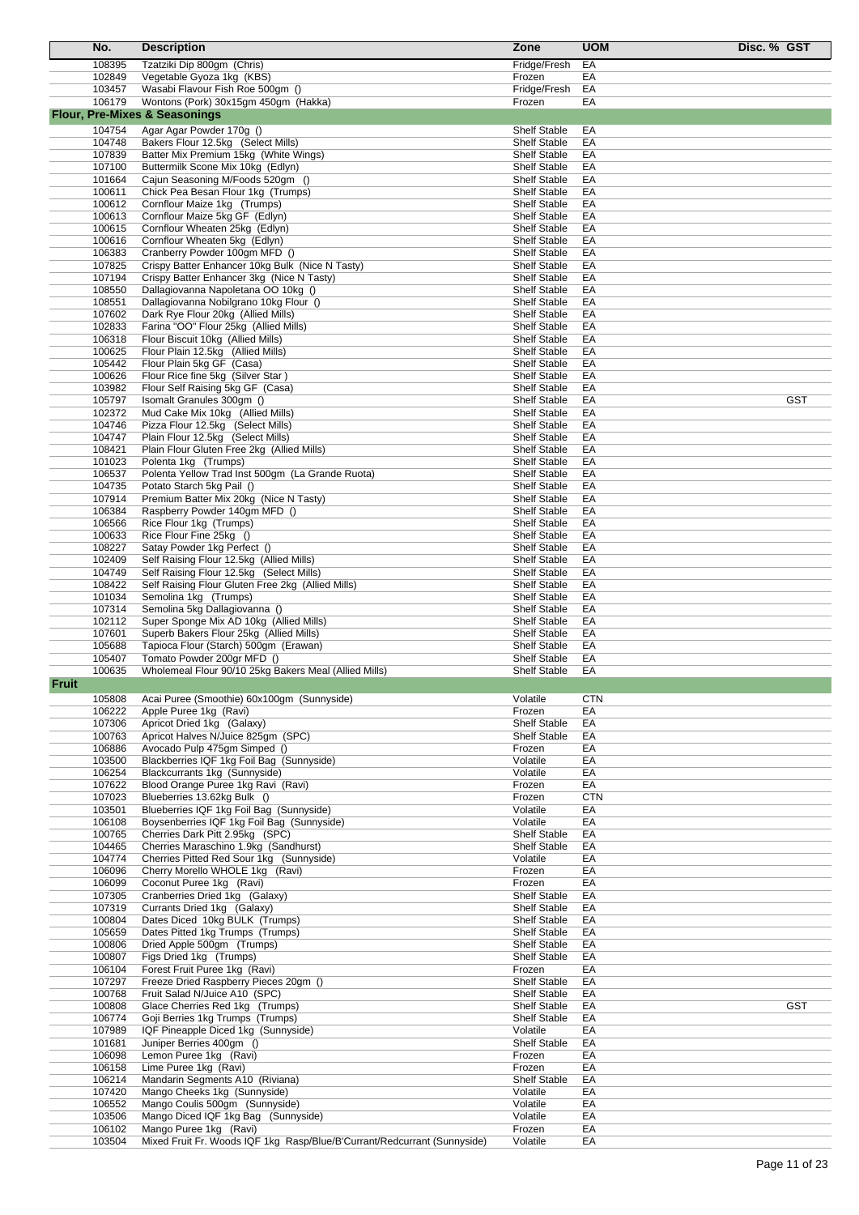|              | No.              | <b>Description</b>                                                                           | Zone                                       | <b>UOM</b> | Disc. % GST |
|--------------|------------------|----------------------------------------------------------------------------------------------|--------------------------------------------|------------|-------------|
|              | 108395           | Tzatziki Dip 800gm (Chris)                                                                   | Fridge/Fresh                               | EA         |             |
|              | 102849           | Vegetable Gyoza 1kg (KBS)                                                                    | Frozen                                     | EA         |             |
|              | 103457           | Wasabi Flavour Fish Roe 500gm ()                                                             | Fridge/Fresh                               | EA         |             |
|              | 106179           | Wontons (Pork) 30x15gm 450gm (Hakka)<br><b>Flour, Pre-Mixes &amp; Seasonings</b>             | Frozen                                     | EA         |             |
|              | 104754           | Agar Agar Powder 170g ()                                                                     | <b>Shelf Stable</b>                        | EA         |             |
|              | 104748           | Bakers Flour 12.5kg (Select Mills)                                                           | <b>Shelf Stable</b>                        | EA         |             |
|              | 107839           | Batter Mix Premium 15kg (White Wings)                                                        | <b>Shelf Stable</b>                        | EA         |             |
|              | 107100           | Buttermilk Scone Mix 10kg (Edlyn)                                                            | <b>Shelf Stable</b>                        | EA         |             |
|              | 101664           | Cajun Seasoning M/Foods 520gm ()                                                             | <b>Shelf Stable</b>                        | EA         |             |
|              | 100611<br>100612 | Chick Pea Besan Flour 1kg (Trumps)<br>Cornflour Maize 1kg (Trumps)                           | <b>Shelf Stable</b><br><b>Shelf Stable</b> | EA<br>EA   |             |
|              | 100613           | Cornflour Maize 5kg GF (Edlyn)                                                               | <b>Shelf Stable</b>                        | EA         |             |
|              | 100615           | Cornflour Wheaten 25kg (Edlyn)                                                               | <b>Shelf Stable</b>                        | EA         |             |
|              | 100616           | Cornflour Wheaten 5kg (Edlyn)                                                                | <b>Shelf Stable</b>                        | EA         |             |
|              | 106383           | Cranberry Powder 100gm MFD ()                                                                | <b>Shelf Stable</b>                        | EA         |             |
|              | 107825<br>107194 | Crispy Batter Enhancer 10kg Bulk (Nice N Tasty)<br>Crispy Batter Enhancer 3kg (Nice N Tasty) | <b>Shelf Stable</b><br><b>Shelf Stable</b> | EA<br>EA   |             |
|              | 108550           | Dallagiovanna Napoletana OO 10kg ()                                                          | <b>Shelf Stable</b>                        | EA         |             |
|              | 108551           | Dallagiovanna Nobilgrano 10kg Flour ()                                                       | <b>Shelf Stable</b>                        | EA         |             |
|              | 107602           | Dark Rye Flour 20kg (Allied Mills)                                                           | <b>Shelf Stable</b>                        | EA         |             |
|              | 102833<br>106318 | Farina "OO" Flour 25kg (Allied Mills)                                                        | <b>Shelf Stable</b><br><b>Shelf Stable</b> | EA<br>EA   |             |
|              | 100625           | Flour Biscuit 10kg (Allied Mills)<br>Flour Plain 12.5kg (Allied Mills)                       | <b>Shelf Stable</b>                        | EA         |             |
|              | 105442           | Flour Plain 5kg GF (Casa)                                                                    | <b>Shelf Stable</b>                        | EA         |             |
|              | 100626           | Flour Rice fine 5kg (Silver Star)                                                            | <b>Shelf Stable</b>                        | EA         |             |
|              | 103982           | Flour Self Raising 5kg GF (Casa)                                                             | <b>Shelf Stable</b>                        | EA         |             |
|              | 105797<br>102372 | Isomalt Granules 300gm ()<br>Mud Cake Mix 10kg (Allied Mills)                                | <b>Shelf Stable</b><br><b>Shelf Stable</b> | EA<br>EA   | <b>GST</b>  |
|              | 104746           | Pizza Flour 12.5kg (Select Mills)                                                            | <b>Shelf Stable</b>                        | EA         |             |
|              | 104747           | Plain Flour 12.5kg (Select Mills)                                                            | <b>Shelf Stable</b>                        | EA         |             |
|              | 108421           | Plain Flour Gluten Free 2kg (Allied Mills)                                                   | <b>Shelf Stable</b>                        | EA         |             |
|              | 101023           | Polenta 1kg (Trumps)                                                                         | <b>Shelf Stable</b>                        | EA         |             |
|              | 106537<br>104735 | Polenta Yellow Trad Inst 500gm (La Grande Ruota)<br>Potato Starch 5kg Pail ()                | <b>Shelf Stable</b><br><b>Shelf Stable</b> | EA<br>EA   |             |
|              | 107914           | Premium Batter Mix 20kg (Nice N Tasty)                                                       | <b>Shelf Stable</b>                        | EA         |             |
|              | 106384           | Raspberry Powder 140gm MFD ()                                                                | <b>Shelf Stable</b>                        | EA         |             |
|              | 106566           | Rice Flour 1kg (Trumps)                                                                      | <b>Shelf Stable</b>                        | EA         |             |
|              | 100633           | Rice Flour Fine 25kg ()                                                                      | <b>Shelf Stable</b>                        | EA         |             |
|              | 108227<br>102409 | Satay Powder 1kg Perfect ()<br>Self Raising Flour 12.5kg (Allied Mills)                      | <b>Shelf Stable</b><br><b>Shelf Stable</b> | EA<br>EA   |             |
|              | 104749           | Self Raising Flour 12.5kg (Select Mills)                                                     | <b>Shelf Stable</b>                        | EA         |             |
|              | 108422           | Self Raising Flour Gluten Free 2kg (Allied Mills)                                            | <b>Shelf Stable</b>                        | EA         |             |
|              | 101034           | Semolina 1kg (Trumps)                                                                        | <b>Shelf Stable</b>                        | EA         |             |
|              | 107314<br>102112 | Semolina 5kg Dallagiovanna ()<br>Super Sponge Mix AD 10kg (Allied Mills)                     | <b>Shelf Stable</b><br><b>Shelf Stable</b> | EA<br>EA   |             |
|              | 107601           | Superb Bakers Flour 25kg (Allied Mills)                                                      | <b>Shelf Stable</b>                        | EA         |             |
|              | 105688           | Tapioca Flour (Starch) 500gm (Erawan)                                                        | <b>Shelf Stable</b>                        | EA         |             |
|              | 105407           | Tomato Powder 200gr MFD ()                                                                   | <b>Shelf Stable</b>                        | EA         |             |
|              | 100635           | Wholemeal Flour 90/10 25kg Bakers Meal (Allied Mills)                                        | <b>Shelf Stable</b>                        | EA         |             |
| <b>Fruit</b> |                  |                                                                                              | Volatile                                   | <b>CTN</b> |             |
|              | 105808<br>106222 | Acai Puree (Smoothie) 60x100gm (Sunnyside)<br>Apple Puree 1kg (Ravi)                         | Frozen                                     | EA         |             |
|              | 107306           | Apricot Dried 1kg (Galaxy)                                                                   | <b>Shelf Stable</b>                        | EA         |             |
|              | 100763           | Apricot Halves N/Juice 825gm (SPC)                                                           | <b>Shelf Stable</b>                        | EA         |             |
|              | 106886           | Avocado Pulp 475gm Simped ()                                                                 | Frozen                                     | EA         |             |
|              | 103500<br>106254 | Blackberries IQF 1kg Foil Bag (Sunnyside)<br>Blackcurrants 1kg (Sunnyside)                   | Volatile<br>Volatile                       | EA<br>EA   |             |
|              | 107622           | Blood Orange Puree 1kg Ravi (Ravi)                                                           | Frozen                                     | EA         |             |
|              | 107023           | Blueberries 13.62kg Bulk ()                                                                  | Frozen                                     | <b>CTN</b> |             |
|              | 103501           | Blueberries IQF 1kg Foil Bag (Sunnyside)                                                     | Volatile                                   | EA         |             |
|              | 106108           | Boysenberries IQF 1kg Foil Bag (Sunnyside)<br>Cherries Dark Pitt 2.95kg (SPC)                | Volatile<br><b>Shelf Stable</b>            | EA         |             |
|              | 100765<br>104465 | Cherries Maraschino 1.9kg (Sandhurst)                                                        | <b>Shelf Stable</b>                        | EA<br>EA   |             |
|              | 104774           | Cherries Pitted Red Sour 1kg (Sunnyside)                                                     | Volatile                                   | EA         |             |
|              | 106096           | Cherry Morello WHOLE 1kg (Ravi)                                                              | Frozen                                     | EA         |             |
|              | 106099           | Coconut Puree 1kg (Ravi)                                                                     | Frozen                                     | EA         |             |
|              | 107305<br>107319 | Cranberries Dried 1kg (Galaxy)<br>Currants Dried 1kg (Galaxy)                                | <b>Shelf Stable</b><br><b>Shelf Stable</b> | EA<br>EA   |             |
|              | 100804           | Dates Diced 10kg BULK (Trumps)                                                               | <b>Shelf Stable</b>                        | EA         |             |
|              | 105659           | Dates Pitted 1kg Trumps (Trumps)                                                             | <b>Shelf Stable</b>                        | EA         |             |
|              | 100806           | Dried Apple 500gm (Trumps)                                                                   | <b>Shelf Stable</b>                        | EA         |             |
|              | 100807           | Figs Dried 1kg (Trumps)                                                                      | Shelf Stable                               | EA         |             |
|              | 106104<br>107297 | Forest Fruit Puree 1kg (Ravi)<br>Freeze Dried Raspberry Pieces 20gm ()                       | Frozen<br><b>Shelf Stable</b>              | EA<br>EA   |             |
|              | 100768           | Fruit Salad N/Juice A10 (SPC)                                                                | <b>Shelf Stable</b>                        | EA         |             |
|              | 100808           | Glace Cherries Red 1kg (Trumps)                                                              | <b>Shelf Stable</b>                        | EA         | <b>GST</b>  |
|              | 106774           | Goji Berries 1kg Trumps (Trumps)                                                             | <b>Shelf Stable</b>                        | EA         |             |
|              | 107989<br>101681 | IQF Pineapple Diced 1kg (Sunnyside)<br>Juniper Berries 400gm ()                              | Volatile<br>Shelf Stable                   | EA<br>EA   |             |
|              | 106098           | Lemon Puree 1kg (Ravi)                                                                       | Frozen                                     | EA         |             |
|              | 106158           | Lime Puree 1kg (Ravi)                                                                        | Frozen                                     | EA         |             |
|              | 106214           | Mandarin Segments A10 (Riviana)                                                              | <b>Shelf Stable</b>                        | EA         |             |
|              | 107420<br>106552 | Mango Cheeks 1kg (Sunnyside)<br>Mango Coulis 500gm (Sunnyside)                               | Volatile<br>Volatile                       | EA<br>EA   |             |
|              | 103506           | Mango Diced IQF 1kg Bag (Sunnyside)                                                          | Volatile                                   | EA         |             |
|              | 106102           | Mango Puree 1kg (Ravi)                                                                       | Frozen                                     | EA         |             |
|              | 103504           | Mixed Fruit Fr. Woods IQF 1kg Rasp/Blue/B'Currant/Redcurrant (Sunnyside)                     | Volatile                                   | EA         |             |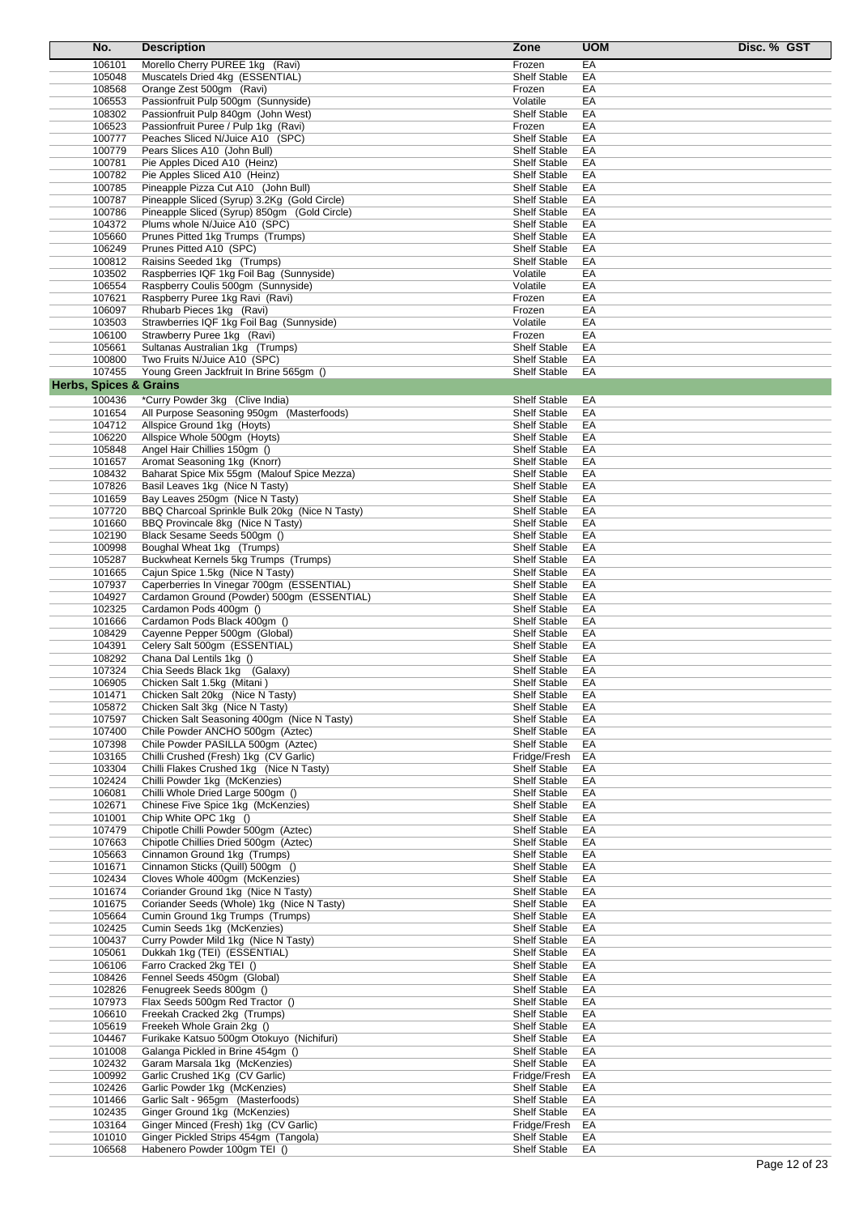| No.                               | <b>Description</b>                                                       | Zone                                       | <b>UOM</b> | Disc. % GST |
|-----------------------------------|--------------------------------------------------------------------------|--------------------------------------------|------------|-------------|
| 106101                            | Morello Cherry PUREE 1kg (Ravi)                                          | Frozen                                     | EA         |             |
| 105048                            | Muscatels Dried 4kg (ESSENTIAL)                                          | <b>Shelf Stable</b>                        | EA         |             |
| 108568                            | Orange Zest 500gm (Ravi)                                                 | Frozen                                     | EA         |             |
| 106553                            | Passionfruit Pulp 500gm (Sunnyside)                                      | Volatile                                   | EA         |             |
| 108302                            | Passionfruit Pulp 840gm (John West)                                      | <b>Shelf Stable</b>                        | EA         |             |
| 106523                            | Passionfruit Puree / Pulp 1kg (Ravi)                                     | Frozen                                     | EA         |             |
| 100777                            | Peaches Sliced N/Juice A10 (SPC)                                         | <b>Shelf Stable</b>                        | EA         |             |
| 100779                            | Pears Slices A10 (John Bull)                                             | <b>Shelf Stable</b>                        | EA         |             |
| 100781                            | Pie Apples Diced A10 (Heinz)                                             | <b>Shelf Stable</b>                        | EA         |             |
| 100782<br>100785                  | Pie Apples Sliced A10 (Heinz)<br>Pineapple Pizza Cut A10 (John Bull)     | <b>Shelf Stable</b><br><b>Shelf Stable</b> | EA<br>EA   |             |
| 100787                            | Pineapple Sliced (Syrup) 3.2Kg (Gold Circle)                             | <b>Shelf Stable</b>                        | EA         |             |
| 100786                            | Pineapple Sliced (Syrup) 850qm (Gold Circle)                             | <b>Shelf Stable</b>                        | EA         |             |
| 104372                            | Plums whole N/Juice A10 (SPC)                                            | <b>Shelf Stable</b>                        | EA         |             |
| 105660                            | Prunes Pitted 1kg Trumps (Trumps)                                        | <b>Shelf Stable</b>                        | EA         |             |
| 106249                            | Prunes Pitted A10 (SPC)                                                  | <b>Shelf Stable</b>                        | EA         |             |
| 100812                            | Raisins Seeded 1kg (Trumps)                                              | <b>Shelf Stable</b>                        | EA         |             |
| 103502                            | Raspberries IQF 1kg Foil Bag (Sunnyside)                                 | Volatile                                   | EA         |             |
| 106554                            | Raspberry Coulis 500gm (Sunnyside)                                       | Volatile                                   | EA         |             |
| 107621                            | Raspberry Puree 1kg Ravi (Ravi)                                          | Frozen                                     | EA         |             |
| 106097                            | Rhubarb Pieces 1kg (Ravi)                                                | Frozen                                     | EA         |             |
| 103503                            | Strawberries IQF 1kg Foil Bag (Sunnyside)                                | Volatile                                   | EA         |             |
| 106100                            | Strawberry Puree 1kg (Ravi)<br>Sultanas Australian 1kg (Trumps)          | Frozen<br><b>Shelf Stable</b>              | EA         |             |
| 105661<br>100800                  | Two Fruits N/Juice A10 (SPC)                                             | <b>Shelf Stable</b>                        | EA<br>EA   |             |
| 107455                            | Young Green Jackfruit In Brine 565gm ()                                  | <b>Shelf Stable</b>                        | EA         |             |
| <b>Herbs, Spices &amp; Grains</b> |                                                                          |                                            |            |             |
|                                   |                                                                          |                                            |            |             |
| 100436                            | *Curry Powder 3kg (Clive India)                                          | <b>Shelf Stable</b>                        | EA         |             |
| 101654<br>104712                  | All Purpose Seasoning 950gm (Masterfoods)<br>Allspice Ground 1kg (Hoyts) | <b>Shelf Stable</b><br><b>Shelf Stable</b> | EA<br>EA   |             |
| 106220                            | Allspice Whole 500gm (Hoyts)                                             | <b>Shelf Stable</b>                        | EA         |             |
| 105848                            | Angel Hair Chillies 150gm ()                                             | <b>Shelf Stable</b>                        | EA         |             |
| 101657                            | Aromat Seasoning 1kg (Knorr)                                             | <b>Shelf Stable</b>                        | EA         |             |
| 108432                            | Baharat Spice Mix 55gm (Malouf Spice Mezza)                              | <b>Shelf Stable</b>                        | EA         |             |
| 107826                            | Basil Leaves 1kg (Nice N Tasty)                                          | <b>Shelf Stable</b>                        | EA         |             |
| 101659                            | Bay Leaves 250gm (Nice N Tasty)                                          | <b>Shelf Stable</b>                        | EA         |             |
| 107720                            | BBQ Charcoal Sprinkle Bulk 20kg (Nice N Tasty)                           | <b>Shelf Stable</b>                        | EA         |             |
| 101660                            | BBQ Provincale 8kg (Nice N Tasty)                                        | <b>Shelf Stable</b>                        | EA         |             |
| 102190                            | Black Sesame Seeds 500gm ()                                              | <b>Shelf Stable</b>                        | EA         |             |
| 100998                            | Boughal Wheat 1kg (Trumps)                                               | <b>Shelf Stable</b>                        | EA         |             |
| 105287                            | Buckwheat Kernels 5kg Trumps (Trumps)                                    | <b>Shelf Stable</b>                        | EA         |             |
| 101665                            | Cajun Spice 1.5kg (Nice N Tasty)                                         | <b>Shelf Stable</b>                        | EA         |             |
| 107937                            | Caperberries In Vinegar 700gm (ESSENTIAL)                                | <b>Shelf Stable</b>                        | EA         |             |
| 104927<br>102325                  | Cardamon Ground (Powder) 500gm (ESSENTIAL)                               | <b>Shelf Stable</b><br><b>Shelf Stable</b> | EA<br>EA   |             |
| 101666                            | Cardamon Pods 400gm ()<br>Cardamon Pods Black 400gm ()                   | <b>Shelf Stable</b>                        | EA         |             |
| 108429                            | Cayenne Pepper 500gm (Global)                                            | <b>Shelf Stable</b>                        | EA         |             |
| 104391                            | Celery Salt 500gm (ESSENTIAL)                                            | <b>Shelf Stable</b>                        | EA         |             |
| 108292                            | Chana Dal Lentils 1kg ()                                                 | <b>Shelf Stable</b>                        | EA         |             |
| 107324                            | Chia Seeds Black 1kg (Galaxy)                                            | <b>Shelf Stable</b>                        | EA         |             |
| 106905                            | Chicken Salt 1.5kg (Mitani)                                              | Shelf Stable                               | EА         |             |
| 101471                            | Chicken Salt 20kg (Nice N Tasty)                                         | <b>Shelf Stable</b>                        | EA         |             |
| 105872                            | Chicken Salt 3kg (Nice N Tasty)                                          | Shelf Stable                               | EA         |             |
| 107597                            | Chicken Salt Seasoning 400gm (Nice N Tasty)                              | <b>Shelf Stable</b>                        | EA         |             |
| 107400                            | Chile Powder ANCHO 500gm (Aztec)                                         | <b>Shelf Stable</b>                        | EA         |             |
| 107398                            | Chile Powder PASILLA 500qm (Aztec)                                       | <b>Shelf Stable</b>                        | EA         |             |
| 103165                            | Chilli Crushed (Fresh) 1kg (CV Garlic)                                   | Fridge/Fresh                               | EA         |             |
| 103304                            | Chilli Flakes Crushed 1kg (Nice N Tasty)                                 | <b>Shelf Stable</b>                        | EA         |             |
| 102424                            | Chilli Powder 1kg (McKenzies)                                            | <b>Shelf Stable</b>                        | EA         |             |
| 106081<br>102671                  | Chilli Whole Dried Large 500gm ()                                        | <b>Shelf Stable</b><br><b>Shelf Stable</b> | EA         |             |
| 101001                            | Chinese Five Spice 1kg (McKenzies)<br>Chip White OPC 1kg ()              | Shelf Stable                               | EA<br>EA   |             |
| 107479                            | Chipotle Chilli Powder 500gm (Aztec)                                     | <b>Shelf Stable</b>                        | EA         |             |
| 107663                            | Chipotle Chillies Dried 500gm (Aztec)                                    | <b>Shelf Stable</b>                        | EA         |             |
| 105663                            | Cinnamon Ground 1kg (Trumps)                                             | <b>Shelf Stable</b>                        | EA         |             |
| 101671                            | Cinnamon Sticks (Quill) 500qm ()                                         | <b>Shelf Stable</b>                        | EA         |             |
| 102434                            | Cloves Whole 400gm (McKenzies)                                           | <b>Shelf Stable</b>                        | EA         |             |
| 101674                            | Coriander Ground 1kg (Nice N Tasty)                                      | <b>Shelf Stable</b>                        | EA         |             |
| 101675                            | Coriander Seeds (Whole) 1kg (Nice N Tasty)                               | <b>Shelf Stable</b>                        | EA         |             |
| 105664                            | Cumin Ground 1kg Trumps (Trumps)                                         | <b>Shelf Stable</b>                        | EA         |             |
| 102425                            | Cumin Seeds 1kg (McKenzies)                                              | Shelf Stable                               | EA         |             |
| 100437                            | Curry Powder Mild 1kg (Nice N Tasty)                                     | <b>Shelf Stable</b>                        | EA         |             |
| 105061                            | Dukkah 1kg (TEI) (ESSENTIAL)                                             | <b>Shelf Stable</b>                        | EA         |             |
| 106106                            | Farro Cracked 2kg TEI ()                                                 | <b>Shelf Stable</b>                        | EA         |             |
| 108426<br>102826                  | Fennel Seeds 450gm (Global)                                              | <b>Shelf Stable</b>                        | EA         |             |
| 107973                            | Fenugreek Seeds 800gm ()<br>Flax Seeds 500gm Red Tractor ()              | <b>Shelf Stable</b><br><b>Shelf Stable</b> | EA<br>EA   |             |
| 106610                            | Freekah Cracked 2kg (Trumps)                                             | <b>Shelf Stable</b>                        | EA         |             |
| 105619                            | Freekeh Whole Grain 2kg ()                                               | <b>Shelf Stable</b>                        | EA         |             |
| 104467                            | Furikake Katsuo 500gm Otokuyo (Nichifuri)                                | <b>Shelf Stable</b>                        | EA         |             |
| 101008                            | Galanga Pickled in Brine 454gm ()                                        | <b>Shelf Stable</b>                        | EA         |             |
| 102432                            | Garam Marsala 1kg (McKenzies)                                            | <b>Shelf Stable</b>                        | EA         |             |
| 100992                            | Garlic Crushed 1Kg (CV Garlic)                                           | Fridge/Fresh                               | EA         |             |
| 102426                            | Garlic Powder 1kg (McKenzies)                                            | <b>Shelf Stable</b>                        | EA         |             |
| 101466                            | Garlic Salt - 965gm (Masterfoods)                                        | <b>Shelf Stable</b>                        | EA         |             |
| 102435                            | Ginger Ground 1kg (McKenzies)                                            | <b>Shelf Stable</b>                        | EA         |             |
| 103164                            | Ginger Minced (Fresh) 1kg (CV Garlic)                                    | Fridge/Fresh                               | EA         |             |
| 101010                            | Ginger Pickled Strips 454gm (Tangola)                                    | <b>Shelf Stable</b>                        | EA         |             |
| 106568                            | Habenero Powder 100gm TEI ()                                             | Shelf Stable                               | EA         |             |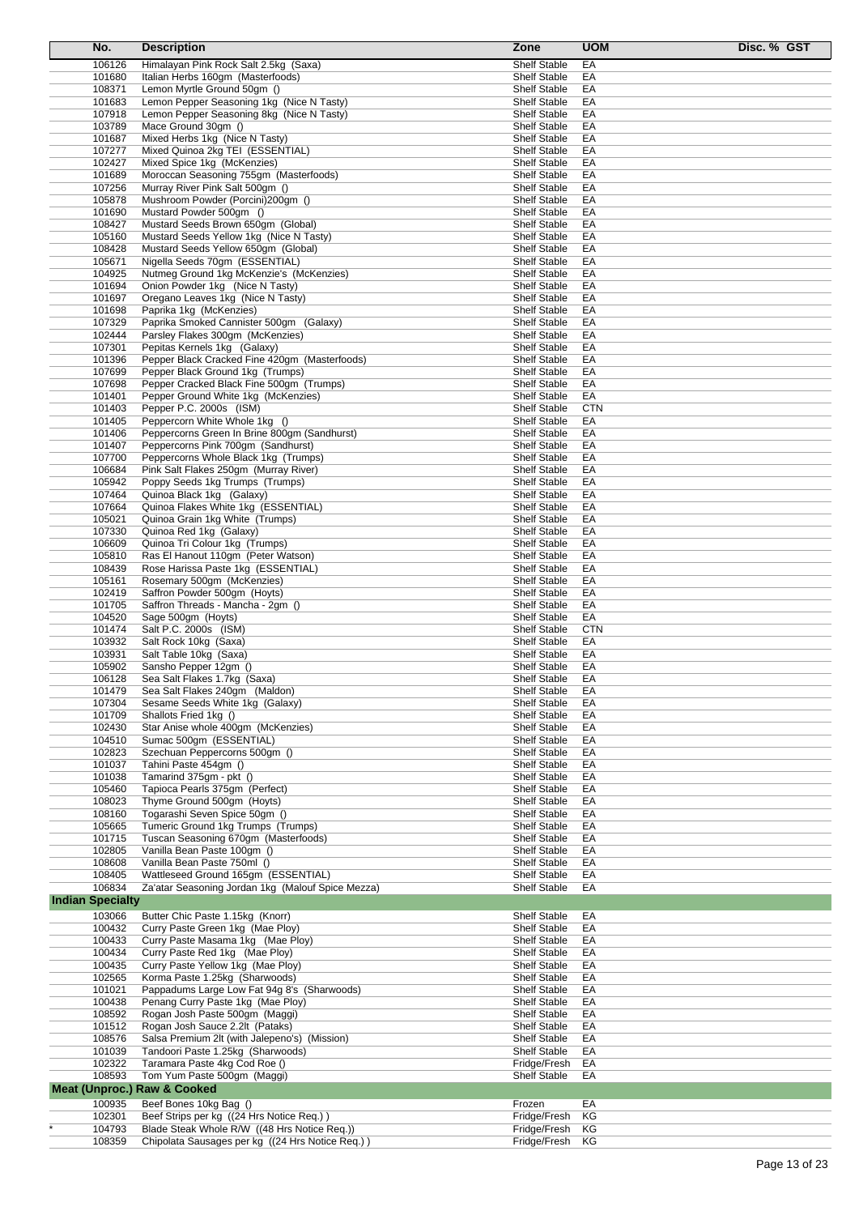| No.                     |                  | <b>Description</b>                                                            | Zone                                       | <b>UOM</b><br>Disc. % GST |
|-------------------------|------------------|-------------------------------------------------------------------------------|--------------------------------------------|---------------------------|
|                         | 106126           | Himalayan Pink Rock Salt 2.5kg (Saxa)                                         | Shelf Stable                               | EA                        |
|                         | 101680           | Italian Herbs 160gm (Masterfoods)                                             | Shelf Stable                               | ЕA                        |
|                         | 108371           | Lemon Myrtle Ground 50gm ()                                                   | <b>Shelf Stable</b>                        | EA                        |
|                         | 101683           | Lemon Pepper Seasoning 1kg (Nice N Tasty)                                     | <b>Shelf Stable</b>                        | EA                        |
|                         | 107918           | Lemon Pepper Seasoning 8kg (Nice N Tasty)                                     | <b>Shelf Stable</b>                        | EA                        |
|                         | 103789           | Mace Ground 30qm ()                                                           | <b>Shelf Stable</b>                        | EA                        |
|                         | 101687           | Mixed Herbs 1kg (Nice N Tasty)                                                | <b>Shelf Stable</b>                        | EA                        |
|                         | 107277           | Mixed Quinoa 2kg TEI (ESSENTIAL)                                              | <b>Shelf Stable</b>                        | EA                        |
|                         | 102427<br>101689 | Mixed Spice 1kg (McKenzies)<br>Moroccan Seasoning 755gm (Masterfoods)         | <b>Shelf Stable</b><br><b>Shelf Stable</b> | EА<br>EA                  |
|                         | 107256           | Murray River Pink Salt 500gm ()                                               | <b>Shelf Stable</b>                        | ЕA                        |
|                         | 105878           | Mushroom Powder (Porcini) 200gm ()                                            | <b>Shelf Stable</b>                        | EA                        |
|                         | 101690           | Mustard Powder 500gm ()                                                       | <b>Shelf Stable</b>                        | EA                        |
|                         | 108427           | Mustard Seeds Brown 650gm (Global)                                            | <b>Shelf Stable</b>                        | EA                        |
|                         | 105160           | Mustard Seeds Yellow 1kg (Nice N Tasty)                                       | <b>Shelf Stable</b>                        | EА                        |
|                         | 108428           | Mustard Seeds Yellow 650qm (Global)                                           | <b>Shelf Stable</b>                        | EA                        |
|                         | 105671           | Nigella Seeds 70gm (ESSENTIAL)                                                | <b>Shelf Stable</b>                        | EA                        |
|                         | 104925           | Nutmeg Ground 1kg McKenzie's (McKenzies)                                      | <b>Shelf Stable</b>                        | ЕA<br>EA                  |
|                         | 101694<br>101697 | Onion Powder 1kg (Nice N Tasty)<br>Oregano Leaves 1kg (Nice N Tasty)          | <b>Shelf Stable</b><br><b>Shelf Stable</b> | EA                        |
|                         | 101698           | Paprika 1kg (McKenzies)                                                       | <b>Shelf Stable</b>                        | EА                        |
|                         | 107329           | Paprika Smoked Cannister 500gm (Galaxy)                                       | <b>Shelf Stable</b>                        | EA                        |
|                         | 102444           | Parsley Flakes 300gm (McKenzies)                                              | <b>Shelf Stable</b>                        | EA                        |
|                         | 107301           | Pepitas Kernels 1kg (Galaxy)                                                  | <b>Shelf Stable</b>                        | EА                        |
|                         | 101396           | Pepper Black Cracked Fine 420qm (Masterfoods)                                 | <b>Shelf Stable</b>                        | EA                        |
|                         | 107699           | Pepper Black Ground 1kg (Trumps)                                              | <b>Shelf Stable</b>                        | EA                        |
|                         | 107698           | Pepper Cracked Black Fine 500gm (Trumps)                                      | <b>Shelf Stable</b>                        | EA                        |
|                         | 101401           | Pepper Ground White 1kg (McKenzies)                                           | <b>Shelf Stable</b>                        | EA                        |
|                         | 101403<br>101405 | Pepper P.C. 2000s (ISM)                                                       | <b>Shelf Stable</b><br><b>Shelf Stable</b> | <b>CTN</b><br>EА          |
|                         | 101406           | Peppercorn White Whole 1kg ()<br>Peppercorns Green In Brine 800gm (Sandhurst) | <b>Shelf Stable</b>                        | EA                        |
|                         | 101407           | Peppercorns Pink 700qm (Sandhurst)                                            | Shelf Stable                               | EA                        |
|                         | 107700           | Peppercorns Whole Black 1kg (Trumps)                                          | <b>Shelf Stable</b>                        | EA                        |
|                         | 106684           | Pink Salt Flakes 250gm (Murray River)                                         | <b>Shelf Stable</b>                        | EA                        |
|                         | 105942           | Poppy Seeds 1kg Trumps (Trumps)                                               | <b>Shelf Stable</b>                        | EA                        |
|                         | 107464           | Quinoa Black 1kg (Galaxy)                                                     | <b>Shelf Stable</b>                        | ЕA                        |
|                         | 107664           | Quinoa Flakes White 1kg (ESSENTIAL)                                           | <b>Shelf Stable</b>                        | EA                        |
|                         | 105021           | Quinoa Grain 1kg White (Trumps)                                               | <b>Shelf Stable</b>                        | EA                        |
|                         | 107330           | Quinoa Red 1kg (Galaxy)                                                       | <b>Shelf Stable</b>                        | EA                        |
|                         | 106609<br>105810 | Quinoa Tri Colour 1kg (Trumps)                                                | <b>Shelf Stable</b><br><b>Shelf Stable</b> | EA<br>EA                  |
|                         | 108439           | Ras El Hanout 110gm (Peter Watson)<br>Rose Harissa Paste 1kg (ESSENTIAL)      | <b>Shelf Stable</b>                        | EA                        |
|                         | 105161           | Rosemary 500gm (McKenzies)                                                    | <b>Shelf Stable</b>                        | ЕA                        |
|                         | 102419           | Saffron Powder 500gm (Hoyts)                                                  | Shelf Stable                               | EA                        |
|                         | 101705           | Saffron Threads - Mancha - 2gm ()                                             | <b>Shelf Stable</b>                        | EA                        |
|                         | 104520           | Sage 500gm (Hoyts)                                                            | <b>Shelf Stable</b>                        | EА                        |
|                         | 101474           | Salt P.C. 2000s (ISM)                                                         | <b>Shelf Stable</b>                        | <b>CTN</b>                |
|                         | 103932           | Salt Rock 10kg (Saxa)                                                         | <b>Shelf Stable</b>                        | EА                        |
|                         | 103931           | Salt Table 10kg (Saxa)                                                        | <b>Shelf Stable</b>                        | EA                        |
|                         | 105902           | Sansho Pepper 12gm ()                                                         | Shelf Stable                               | EА<br>EA                  |
|                         | 106128<br>101479 | Sea Salt Flakes 1.7kg (Saxa)<br>Sea Salt Flakes 240gm (Maldon)                | <b>Shelf Stable</b><br><b>Shelf Stable</b> | EА                        |
|                         | 107304           | Sesame Seeds White 1kg (Galaxy)                                               | <b>Shelf Stable</b>                        | EA                        |
|                         | 101709           | Shallots Fried 1kg ()                                                         | <b>Shelf Stable</b>                        | ЕA                        |
|                         | 102430           | Star Anise whole 400qm (McKenzies)                                            | Shelf Stable                               | EA                        |
|                         | 104510           | Sumac 500qm (ESSENTIAL)                                                       | <b>Shelf Stable</b>                        | EA                        |
|                         | 102823           | Szechuan Peppercorns 500gm ()                                                 | <b>Shelf Stable</b>                        | ЕA                        |
|                         | 101037           | Tahini Paste 454gm ()                                                         | Shelf Stable                               | EA                        |
|                         | 101038           | Tamarind 375gm - pkt ()                                                       | <b>Shelf Stable</b>                        | ЕA                        |
|                         | 105460           | Tapioca Pearls 375gm (Perfect)                                                | <b>Shelf Stable</b>                        | EA                        |
|                         | 108023<br>108160 | Thyme Ground 500gm (Hoyts)<br>Togarashi Seven Spice 50gm ()                   | Shelf Stable<br><b>Shelf Stable</b>        | EA<br>ЕA                  |
|                         | 105665           | Tumeric Ground 1kg Trumps (Trumps)                                            | Shelf Stable                               | EA                        |
|                         | 101715           | Tuscan Seasoning 670gm (Masterfoods)                                          | <b>Shelf Stable</b>                        | ЕA                        |
|                         | 102805           | Vanilla Bean Paste 100gm ()                                                   | Shelf Stable                               | ЕA                        |
|                         | 108608           | Vanilla Bean Paste 750ml ()                                                   | <b>Shelf Stable</b>                        | ЕA                        |
|                         | 108405           | Wattleseed Ground 165gm (ESSENTIAL)                                           | Shelf Stable                               | ЕA                        |
|                         | 106834           | Za'atar Seasoning Jordan 1kg (Malouf Spice Mezza)                             | <b>Shelf Stable</b>                        | ЕA                        |
| <b>Indian Specialty</b> |                  |                                                                               |                                            |                           |
|                         | 103066           | Butter Chic Paste 1.15kg (Knorr)                                              | <b>Shelf Stable</b>                        | EА                        |
|                         | 100432           | Curry Paste Green 1kg (Mae Ploy)                                              | <b>Shelf Stable</b>                        | EA                        |
|                         | 100433           | Curry Paste Masama 1kg (Mae Ploy)                                             | <b>Shelf Stable</b>                        | ЕA                        |
|                         | 100434           | Curry Paste Red 1kg (Mae Ploy)                                                | Shelf Stable                               | EA                        |
|                         | 100435<br>102565 | Curry Paste Yellow 1kg (Mae Ploy)<br>Korma Paste 1.25kg (Sharwoods)           | <b>Shelf Stable</b><br><b>Shelf Stable</b> | EA                        |
|                         | 101021           | Pappadums Large Low Fat 94g 8's (Sharwoods)                                   | Shelf Stable                               | ЕA<br>ЕA                  |
|                         | 100438           | Penang Curry Paste 1kg (Mae Ploy)                                             | <b>Shelf Stable</b>                        | EA                        |
|                         | 108592           | Rogan Josh Paste 500gm (Maggi)                                                | <b>Shelf Stable</b>                        | EA                        |
|                         | 101512           | Rogan Josh Sauce 2.2lt (Pataks)                                               | Shelf Stable                               | EA                        |
|                         | 108576           | Salsa Premium 2lt (with Jalepeno's) (Mission)                                 | <b>Shelf Stable</b>                        | ЕA                        |
|                         | 101039           | Tandoori Paste 1.25kg (Sharwoods)                                             | <b>Shelf Stable</b>                        | EA                        |
|                         | 102322           | Taramara Paste 4kg Cod Roe ()                                                 | Fridge/Fresh                               | EA                        |
|                         | 108593           | Tom Yum Paste 500gm (Maggi)                                                   | <b>Shelf Stable</b>                        | ЕA                        |
|                         |                  | <b>Meat (Unproc.) Raw &amp; Cooked</b>                                        |                                            |                           |
|                         | 100935           | Beef Bones 10kg Bag ()                                                        | Frozen                                     | EA                        |
|                         | 102301           | Beef Strips per kg ((24 Hrs Notice Req.))                                     | Fridge/Fresh                               | ΚG                        |
|                         | 104793           | Blade Steak Whole R/W ((48 Hrs Notice Req.))                                  | Fridge/Fresh                               | ΚG                        |
|                         | 108359           | Chipolata Sausages per kg ((24 Hrs Notice Req.))                              | Fridge/Fresh                               | КG                        |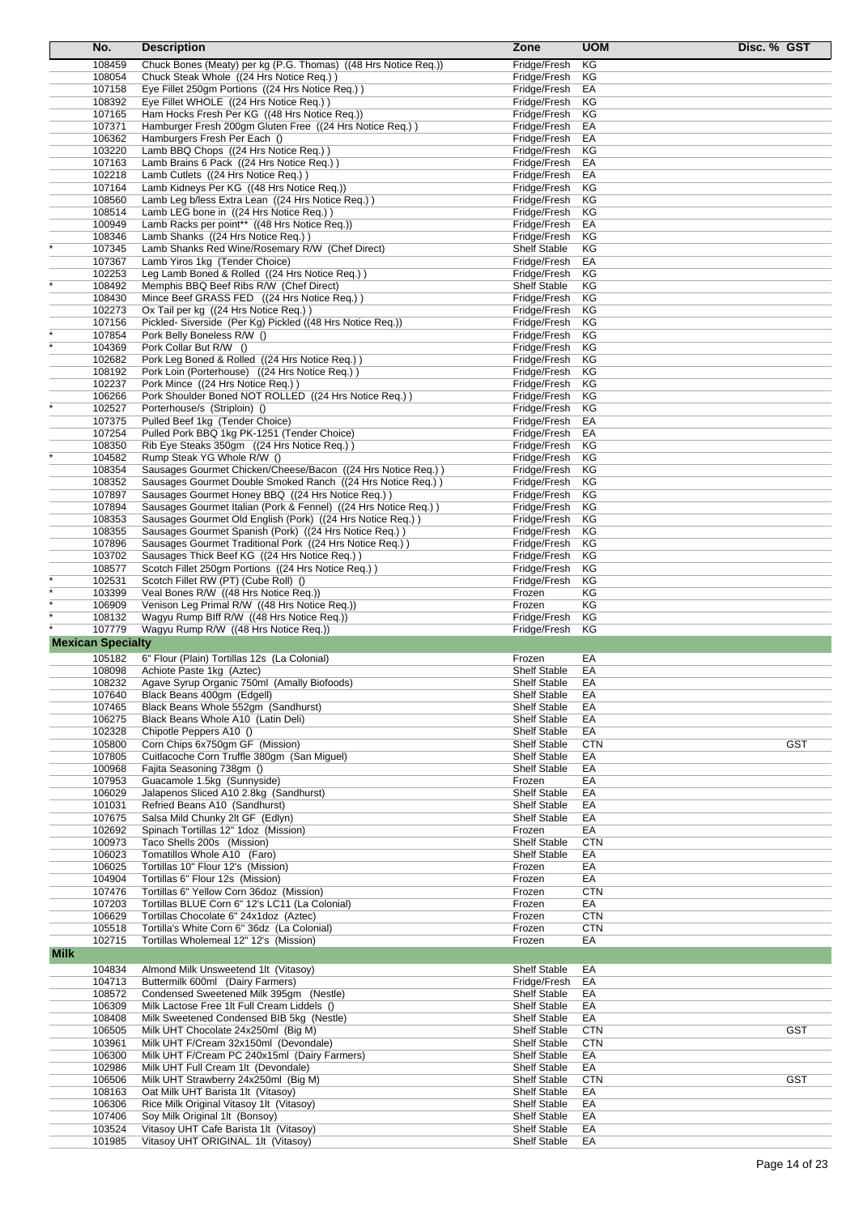|             | No.                      | <b>Description</b>                                                                                   | Zone                                       | <b>UOM</b>       | Disc. % GST |            |
|-------------|--------------------------|------------------------------------------------------------------------------------------------------|--------------------------------------------|------------------|-------------|------------|
|             | 108459                   | Chuck Bones (Meaty) per kg (P.G. Thomas) ((48 Hrs Notice Req.))                                      | Fridge/Fresh                               | ΚG               |             |            |
|             | 108054                   | Chuck Steak Whole ((24 Hrs Notice Req.))                                                             | Fridge/Fresh                               | ΚG               |             |            |
|             | 107158                   | Eye Fillet 250gm Portions ((24 Hrs Notice Req.))                                                     | Fridge/Fresh                               | EA               |             |            |
|             | 108392                   | Eye Fillet WHOLE ((24 Hrs Notice Req.))                                                              | Fridge/Fresh                               | ΚG               |             |            |
|             | 107165                   | Ham Hocks Fresh Per KG ((48 Hrs Notice Req.))                                                        | Fridge/Fresh                               | ΚG               |             |            |
|             | 107371                   | Hamburger Fresh 200gm Gluten Free ((24 Hrs Notice Req.))                                             | Fridge/Fresh                               | EA               |             |            |
|             | 106362                   | Hamburgers Fresh Per Each ()                                                                         | Fridge/Fresh                               | EA               |             |            |
|             | 103220                   | Lamb BBQ Chops ((24 Hrs Notice Req.))                                                                | Fridge/Fresh                               | ΚG               |             |            |
|             | 107163                   | Lamb Brains 6 Pack ((24 Hrs Notice Req.))                                                            | Fridge/Fresh                               | EA               |             |            |
|             | 102218                   | Lamb Cutlets ((24 Hrs Notice Req.))                                                                  | Fridge/Fresh                               | EA               |             |            |
|             | 107164                   | Lamb Kidneys Per KG ((48 Hrs Notice Req.))                                                           | Fridge/Fresh<br>Fridge/Fresh               | ΚG               |             |            |
|             | 108560<br>108514         | Lamb Leg b/less Extra Lean ((24 Hrs Notice Req.))<br>Lamb LEG bone in ((24 Hrs Notice Req.))         | Fridge/Fresh                               | ΚG<br>ΚG         |             |            |
|             | 100949                   | Lamb Racks per point** ((48 Hrs Notice Req.))                                                        | Fridge/Fresh                               | EA               |             |            |
|             | 108346                   | Lamb Shanks ((24 Hrs Notice Req.))                                                                   | Fridge/Fresh                               | ΚG               |             |            |
|             | 107345                   | Lamb Shanks Red Wine/Rosemary R/W (Chef Direct)                                                      | <b>Shelf Stable</b>                        | ΚG               |             |            |
|             | 107367                   | Lamb Yiros 1kg (Tender Choice)                                                                       | Fridge/Fresh                               | EA               |             |            |
|             | 102253                   | Leg Lamb Boned & Rolled ((24 Hrs Notice Req.))                                                       | Fridge/Fresh                               | ΚG               |             |            |
|             | 108492                   | Memphis BBQ Beef Ribs R/W (Chef Direct)                                                              | <b>Shelf Stable</b>                        | ΚG               |             |            |
|             | 108430                   | Mince Beef GRASS FED ((24 Hrs Notice Req.))                                                          | Fridge/Fresh                               | ΚG               |             |            |
|             | 102273                   | Ox Tail per kg ((24 Hrs Notice Req.))                                                                | Fridge/Fresh                               | ΚG               |             |            |
|             | 107156                   | Pickled-Siverside (Per Kg) Pickled ((48 Hrs Notice Req.))                                            | Fridge/Fresh                               | ΚG               |             |            |
|             | 107854                   | Pork Belly Boneless R/W ()                                                                           | Fridge/Fresh                               | ΚG               |             |            |
|             | 104369                   | Pork Collar But R/W ()                                                                               | Fridge/Fresh                               | ΚG               |             |            |
|             | 102682<br>108192         | Pork Leg Boned & Rolled ((24 Hrs Notice Req.))<br>Pork Loin (Porterhouse) ((24 Hrs Notice Req.))     | Fridge/Fresh<br>Fridge/Fresh               | ΚG<br>ΚG         |             |            |
|             | 102237                   | Pork Mince ((24 Hrs Notice Req.))                                                                    | Fridge/Fresh                               | ΚG               |             |            |
|             | 106266                   | Pork Shoulder Boned NOT ROLLED ((24 Hrs Notice Req.))                                                | Fridge/Fresh                               | ΚG               |             |            |
|             | 102527                   | Porterhouse/s (Striploin) ()                                                                         | Fridge/Fresh                               | ΚG               |             |            |
|             | 107375                   | Pulled Beef 1kg (Tender Choice)                                                                      | Fridge/Fresh                               | EA               |             |            |
|             | 107254                   | Pulled Pork BBQ 1kg PK-1251 (Tender Choice)                                                          | Fridge/Fresh                               | EA               |             |            |
|             | 108350                   | Rib Eye Steaks 350gm ((24 Hrs Notice Req.))                                                          | Fridge/Fresh                               | ΚG               |             |            |
|             | 104582                   | Rump Steak YG Whole R/W ()                                                                           | Fridge/Fresh                               | ΚG               |             |            |
|             | 108354                   | Sausages Gourmet Chicken/Cheese/Bacon ((24 Hrs Notice Req.))                                         | Fridge/Fresh                               | ΚG               |             |            |
|             | 108352                   | Sausages Gourmet Double Smoked Ranch ((24 Hrs Notice Req.))                                          | Fridge/Fresh                               | ΚG               |             |            |
|             | 107897                   | Sausages Gourmet Honey BBQ ((24 Hrs Notice Req.))                                                    | Fridge/Fresh                               | ΚG               |             |            |
|             | 107894                   | Sausages Gourmet Italian (Pork & Fennel) ((24 Hrs Notice Req.))                                      | Fridge/Fresh                               | ΚG               |             |            |
|             | 108353                   | Sausages Gourmet Old English (Pork) ((24 Hrs Notice Req.))                                           | Fridge/Fresh                               | ΚG               |             |            |
|             | 108355                   | Sausages Gourmet Spanish (Pork) ((24 Hrs Notice Req.))                                               | Fridge/Fresh                               | ΚG               |             |            |
|             | 107896                   | Sausages Gourmet Traditional Pork ((24 Hrs Notice Req.))                                             | Fridge/Fresh                               | ΚG               |             |            |
|             | 103702<br>108577         | Sausages Thick Beef KG ((24 Hrs Notice Req.))<br>Scotch Fillet 250gm Portions ((24 Hrs Notice Req.)) | Fridge/Fresh<br>Fridge/Fresh               | ΚG<br>ΚG         |             |            |
|             | 102531                   | Scotch Fillet RW (PT) (Cube Roll) ()                                                                 | Fridge/Fresh                               | ΚG               |             |            |
|             | 103399                   | Veal Bones R/W ((48 Hrs Notice Req.))                                                                | Frozen                                     | KG               |             |            |
|             | 106909                   | Venison Leg Primal R/W ((48 Hrs Notice Reg.))                                                        | Frozen                                     | KG               |             |            |
|             | 108132                   | Wagyu Rump Blff R/W ((48 Hrs Notice Req.))                                                           | Fridge/Fresh                               | ΚG               |             |            |
|             | 107779                   | Wagyu Rump R/W ((48 Hrs Notice Req.))                                                                | Fridge/Fresh                               | ΚG               |             |            |
|             | <b>Mexican Specialty</b> |                                                                                                      |                                            |                  |             |            |
|             | 105182                   | 6" Flour (Plain) Tortillas 12s (La Colonial)                                                         | Frozen                                     | EA               |             |            |
|             | 108098                   | Achiote Paste 1kg (Aztec)                                                                            | <b>Shelf Stable</b>                        | EA               |             |            |
|             | 108232                   | Agave Syrup Organic 750ml (Amally Biofoods)                                                          | Shelf Stable                               | EА               |             |            |
|             | 107640                   | Black Beans 400gm (Edgell)                                                                           | <b>Shelf Stable</b>                        | EA               |             |            |
|             | 107465                   | Black Beans Whole 552gm (Sandhurst)                                                                  | <b>Shelf Stable</b>                        | EA               |             |            |
|             | 106275                   | Black Beans Whole A10 (Latin Deli)                                                                   | <b>Shelf Stable</b>                        | EA               |             |            |
|             | 102328                   | Chipotle Peppers A10 ()                                                                              | <b>Shelf Stable</b>                        | EA               |             |            |
|             | 105800                   | Corn Chips 6x750gm GF (Mission)                                                                      | <b>Shelf Stable</b>                        | <b>CTN</b>       |             | <b>GST</b> |
|             | 107805                   | Cuitlacoche Corn Truffle 380gm (San Miguel)                                                          | Shelf Stable                               | EA               |             |            |
|             | 100968                   | Fajita Seasoning 738gm ()                                                                            | <b>Shelf Stable</b>                        | EA               |             |            |
|             | 107953                   | Guacamole 1.5kg (Sunnyside)                                                                          | Frozen                                     | EA               |             |            |
|             | 106029                   | Jalapenos Sliced A10 2.8kg (Sandhurst)                                                               | <b>Shelf Stable</b>                        | EA               |             |            |
|             | 101031<br>107675         | Refried Beans A10 (Sandhurst)<br>Salsa Mild Chunky 2lt GF (Edlyn)                                    | <b>Shelf Stable</b><br><b>Shelf Stable</b> | EA<br>EA         |             |            |
|             | 102692                   | Spinach Tortillas 12" 1doz (Mission)                                                                 | Frozen                                     | EA               |             |            |
|             | 100973                   | Taco Shells 200s (Mission)                                                                           | Shelf Stable                               | <b>CTN</b>       |             |            |
|             | 106023                   | Tomatillos Whole A10 (Faro)                                                                          | <b>Shelf Stable</b>                        | EA               |             |            |
|             | 106025                   | Tortillas 10" Flour 12's (Mission)                                                                   | Frozen                                     | EA               |             |            |
|             | 104904                   | Tortillas 6" Flour 12s (Mission)                                                                     | Frozen                                     | EA               |             |            |
|             | 107476                   | Tortillas 6" Yellow Corn 36doz (Mission)                                                             | Frozen                                     | <b>CTN</b>       |             |            |
|             | 107203                   | Tortillas BLUE Corn 6" 12's LC11 (La Colonial)                                                       | Frozen                                     | EA               |             |            |
|             | 106629                   | Tortillas Chocolate 6" 24x1doz (Aztec)                                                               | Frozen                                     | <b>CTN</b>       |             |            |
|             | 105518                   | Tortilla's White Corn 6" 36dz (La Colonial)                                                          | Frozen                                     | <b>CTN</b>       |             |            |
|             | 102715                   | Tortillas Wholemeal 12" 12's (Mission)                                                               | Frozen                                     | EA               |             |            |
| <b>Milk</b> |                          |                                                                                                      |                                            |                  |             |            |
|             | 104834                   | Almond Milk Unsweetend 1lt (Vitasoy)                                                                 | <b>Shelf Stable</b>                        | EA               |             |            |
|             | 104713                   | Buttermilk 600ml (Dairy Farmers)                                                                     | Fridge/Fresh                               | EA               |             |            |
|             | 108572                   | Condensed Sweetened Milk 395gm (Nestle)                                                              | <b>Shelf Stable</b>                        | EA               |             |            |
|             | 106309                   | Milk Lactose Free 1lt Full Cream Liddels ()                                                          | <b>Shelf Stable</b>                        | EA               |             |            |
|             | 108408                   | Milk Sweetened Condensed BIB 5kg (Nestle)                                                            | <b>Shelf Stable</b>                        | EA               |             |            |
|             | 106505                   | Milk UHT Chocolate 24x250ml (Big M)                                                                  | <b>Shelf Stable</b>                        | <b>CTN</b>       |             | <b>GST</b> |
|             | 103961<br>106300         | Milk UHT F/Cream 32x150ml (Devondale)<br>Milk UHT F/Cream PC 240x15ml (Dairy Farmers)                | <b>Shelf Stable</b><br><b>Shelf Stable</b> | <b>CTN</b><br>EA |             |            |
|             | 102986                   | Milk UHT Full Cream 1lt (Devondale)                                                                  | Shelf Stable                               | EA               |             |            |
|             | 106506                   | Milk UHT Strawberry 24x250ml (Big M)                                                                 | <b>Shelf Stable</b>                        | <b>CTN</b>       |             | <b>GST</b> |
|             | 108163                   | Oat Milk UHT Barista 1lt (Vitasoy)                                                                   | <b>Shelf Stable</b>                        | EA               |             |            |
|             | 106306                   | Rice Milk Original Vitasoy 1lt (Vitasoy)                                                             | <b>Shelf Stable</b>                        | EA               |             |            |
|             | 107406                   | Soy Milk Original 1lt (Bonsoy)                                                                       | <b>Shelf Stable</b>                        | EA               |             |            |
|             | 103524                   | Vitasoy UHT Cafe Barista 1lt (Vitasoy)                                                               | Shelf Stable                               | EA               |             |            |
|             | 101985                   | Vitasoy UHT ORIGINAL. 1It (Vitasoy)                                                                  | Shelf Stable                               | EA               |             |            |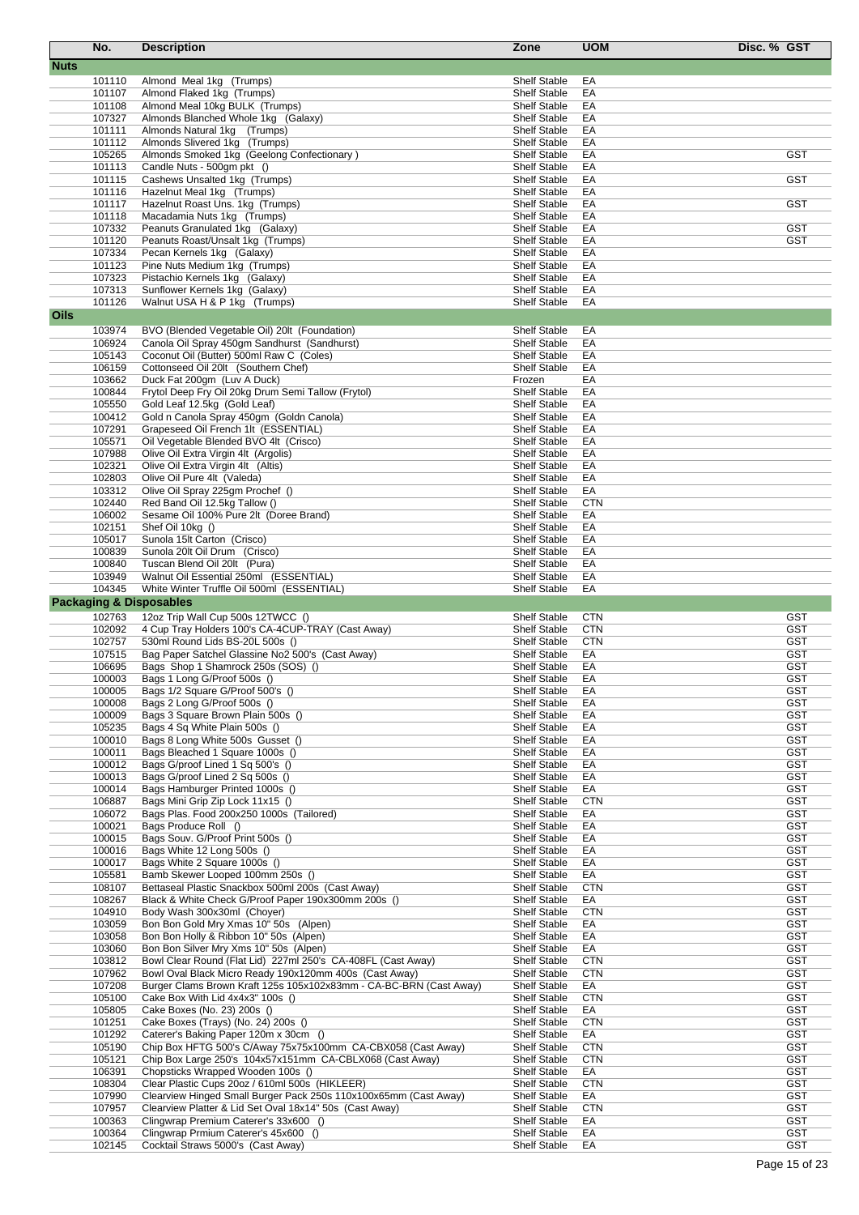|             | No.              | <b>Description</b>                                                                                     | Zone                                       | <b>UOM</b>               | Disc. % GST              |
|-------------|------------------|--------------------------------------------------------------------------------------------------------|--------------------------------------------|--------------------------|--------------------------|
| <b>Nuts</b> |                  |                                                                                                        |                                            |                          |                          |
|             | 101110           | Almond Meal 1kg (Trumps)                                                                               | <b>Shelf Stable</b>                        | EA                       |                          |
|             | 101107           | Almond Flaked 1kg (Trumps)                                                                             | <b>Shelf Stable</b>                        | EA                       |                          |
|             | 101108           | Almond Meal 10kg BULK (Trumps)                                                                         | <b>Shelf Stable</b>                        | EA                       |                          |
|             | 107327           | Almonds Blanched Whole 1kg (Galaxy)                                                                    | <b>Shelf Stable</b>                        | EA                       |                          |
|             | 101111           | Almonds Natural 1kg (Trumps)                                                                           | <b>Shelf Stable</b>                        | EA                       |                          |
|             | 101112           | Almonds Slivered 1kg (Trumps)                                                                          | <b>Shelf Stable</b>                        | EA                       |                          |
|             | 105265           | Almonds Smoked 1kg (Geelong Confectionary)                                                             | <b>Shelf Stable</b>                        | EA                       | <b>GST</b>               |
|             | 101113           | Candle Nuts - 500gm pkt ()                                                                             | <b>Shelf Stable</b>                        | EA                       |                          |
|             | 101115           | Cashews Unsalted 1kg (Trumps)                                                                          | <b>Shelf Stable</b>                        | EA                       | GST                      |
|             | 101116           | Hazelnut Meal 1kg (Trumps)                                                                             | Shelf Stable                               | EA                       |                          |
|             | 101117<br>101118 | Hazelnut Roast Uns. 1kg (Trumps)<br>Macadamia Nuts 1kg (Trumps)                                        | <b>Shelf Stable</b><br><b>Shelf Stable</b> | EA<br>EA                 | <b>GST</b>               |
|             | 107332           | Peanuts Granulated 1kg (Galaxy)                                                                        | <b>Shelf Stable</b>                        | EA                       | <b>GST</b>               |
|             | 101120           | Peanuts Roast/Unsalt 1kg (Trumps)                                                                      | <b>Shelf Stable</b>                        | EA                       | <b>GST</b>               |
|             | 107334           | Pecan Kernels 1kg (Galaxy)                                                                             | <b>Shelf Stable</b>                        | EA                       |                          |
|             | 101123           | Pine Nuts Medium 1kg (Trumps)                                                                          | <b>Shelf Stable</b>                        | EA                       |                          |
|             | 107323           | Pistachio Kernels 1kg (Galaxy)                                                                         | <b>Shelf Stable</b>                        | EA                       |                          |
|             | 107313           | Sunflower Kernels 1kg (Galaxy)                                                                         | <b>Shelf Stable</b>                        | EA                       |                          |
|             | 101126           | Walnut USA H & P 1kg (Trumps)                                                                          | <b>Shelf Stable</b>                        | EA                       |                          |
| Oils        |                  |                                                                                                        |                                            |                          |                          |
|             | 103974           | BVO (Blended Vegetable Oil) 20lt (Foundation)                                                          | <b>Shelf Stable</b>                        | EA                       |                          |
|             | 106924           | Canola Oil Spray 450gm Sandhurst (Sandhurst)                                                           | <b>Shelf Stable</b>                        | EA                       |                          |
|             | 105143           | Coconut Oil (Butter) 500ml Raw C (Coles)                                                               | <b>Shelf Stable</b>                        | EA                       |                          |
|             | 106159           | Cottonseed Oil 20lt (Southern Chef)                                                                    | <b>Shelf Stable</b>                        | EA                       |                          |
|             | 103662           | Duck Fat 200qm (Luv A Duck)                                                                            | Frozen                                     | EA                       |                          |
|             | 100844           | Frytol Deep Fry Oil 20kg Drum Semi Tallow (Frytol)                                                     | <b>Shelf Stable</b>                        | EA                       |                          |
|             | 105550           | Gold Leaf 12.5kg (Gold Leaf)                                                                           | <b>Shelf Stable</b>                        | EA                       |                          |
|             | 100412<br>107291 | Gold n Canola Spray 450gm (Goldn Canola)<br>Grapeseed Oil French 1lt (ESSENTIAL)                       | <b>Shelf Stable</b><br><b>Shelf Stable</b> | EA<br>EA                 |                          |
|             | 105571           | Oil Vegetable Blended BVO 4lt (Crisco)                                                                 | <b>Shelf Stable</b>                        | EA                       |                          |
|             | 107988           | Olive Oil Extra Virgin 4lt (Argolis)                                                                   | <b>Shelf Stable</b>                        | EA                       |                          |
|             | 102321           | Olive Oil Extra Virgin 4lt (Altis)                                                                     | <b>Shelf Stable</b>                        | EA                       |                          |
|             | 102803           | Olive Oil Pure 4lt (Valeda)                                                                            | <b>Shelf Stable</b>                        | EA                       |                          |
|             | 103312           | Olive Oil Spray 225gm Prochef ()                                                                       | <b>Shelf Stable</b>                        | EA                       |                          |
|             | 102440           | Red Band Oil 12.5kg Tallow ()                                                                          | <b>Shelf Stable</b>                        | <b>CTN</b>               |                          |
|             | 106002           | Sesame Oil 100% Pure 2lt (Doree Brand)                                                                 | <b>Shelf Stable</b>                        | EA                       |                          |
|             | 102151           | Shef Oil 10kg ()                                                                                       | <b>Shelf Stable</b>                        | EA                       |                          |
|             | 105017           | Sunola 15lt Carton (Crisco)                                                                            | <b>Shelf Stable</b>                        | EA                       |                          |
|             | 100839           | Sunola 20lt Oil Drum (Crisco)                                                                          | <b>Shelf Stable</b>                        | EA                       |                          |
|             | 100840           | Tuscan Blend Oil 20lt (Pura)                                                                           | <b>Shelf Stable</b>                        | EA                       |                          |
|             | 103949           | Walnut Oil Essential 250ml (ESSENTIAL)                                                                 | <b>Shelf Stable</b>                        | EA                       |                          |
|             | 104345           | White Winter Truffle Oil 500ml (ESSENTIAL)                                                             | <b>Shelf Stable</b>                        | EA                       |                          |
|             |                  | <b>Packaging &amp; Disposables</b>                                                                     |                                            |                          |                          |
|             | 102763           | 12oz Trip Wall Cup 500s 12TWCC ()                                                                      | <b>Shelf Stable</b>                        | <b>CTN</b>               | <b>GST</b>               |
|             | 102092<br>102757 | 4 Cup Tray Holders 100's CA-4CUP-TRAY (Cast Away)                                                      | <b>Shelf Stable</b><br><b>Shelf Stable</b> | <b>CTN</b><br><b>CTN</b> | <b>GST</b><br><b>GST</b> |
|             | 107515           | 530ml Round Lids BS-20L 500s ()<br>Bag Paper Satchel Glassine No2 500's (Cast Away)                    | <b>Shelf Stable</b>                        | EA                       | GST                      |
|             | 106695           | Bags Shop 1 Shamrock 250s (SOS) ()                                                                     | <b>Shelf Stable</b>                        | EA                       | <b>GST</b>               |
|             | 100003           | Bags 1 Long G/Proof 500s ()                                                                            | Shelf Stable                               | EA                       | <b>GST</b>               |
|             | 100005           | Bags 1/2 Square G/Proof 500's ()                                                                       | <b>Shelf Stable</b>                        | EA                       | GST                      |
|             | 100008           | Bags 2 Long G/Proof 500s ()                                                                            | <b>Shelf Stable</b>                        | EA                       | <b>GST</b>               |
|             | 100009           | Bags 3 Square Brown Plain 500s ()                                                                      | <b>Shelf Stable</b>                        | EA                       | <b>GST</b>               |
|             | 105235           | Bags 4 Sq White Plain 500s ()                                                                          | <b>Shelf Stable</b>                        | EA                       | <b>GST</b>               |
|             | 100010           | Bags 8 Long White 500s Gusset ()                                                                       | <b>Shelf Stable</b>                        | EA                       | <b>GST</b>               |
|             | 100011           | Bags Bleached 1 Square 1000s ()                                                                        | <b>Shelf Stable</b>                        | EA                       | <b>GST</b>               |
|             | 100012           | Bags G/proof Lined 1 Sq 500's ()                                                                       | <b>Shelf Stable</b>                        | EA                       | <b>GST</b>               |
|             | 100013           | Bags G/proof Lined 2 Sq 500s ()                                                                        | <b>Shelf Stable</b>                        | EA                       | <b>GST</b>               |
|             | 100014           | Bags Hamburger Printed 1000s ()                                                                        | <b>Shelf Stable</b>                        | EA                       | <b>GST</b>               |
|             | 106887           | Bags Mini Grip Zip Lock 11x15 ()                                                                       | <b>Shelf Stable</b>                        | <b>CTN</b>               | <b>GST</b>               |
|             | 106072           | Bags Plas. Food 200x250 1000s (Tailored)<br>Bags Produce Roll ()                                       | <b>Shelf Stable</b><br><b>Shelf Stable</b> | EA                       | <b>GST</b><br><b>GST</b> |
|             | 100021<br>100015 | Bags Souv. G/Proof Print 500s ()                                                                       | <b>Shelf Stable</b>                        | EA<br>EA                 | <b>GST</b>               |
|             | 100016           | Bags White 12 Long 500s ()                                                                             | <b>Shelf Stable</b>                        | EA                       | <b>GST</b>               |
|             | 100017           | Bags White 2 Square 1000s ()                                                                           | <b>Shelf Stable</b>                        | EA                       | <b>GST</b>               |
|             | 105581           | Bamb Skewer Looped 100mm 250s ()                                                                       | <b>Shelf Stable</b>                        | EA                       | <b>GST</b>               |
|             | 108107           | Bettaseal Plastic Snackbox 500ml 200s (Cast Away)                                                      | <b>Shelf Stable</b>                        | <b>CTN</b>               | <b>GST</b>               |
|             | 108267           | Black & White Check G/Proof Paper 190x300mm 200s ()                                                    | <b>Shelf Stable</b>                        | EA                       | <b>GST</b>               |
|             | 104910           | Body Wash 300x30ml (Chover)                                                                            | <b>Shelf Stable</b>                        | <b>CTN</b>               | <b>GST</b>               |
|             | 103059           | Bon Bon Gold Mry Xmas 10" 50s (Alpen)                                                                  | <b>Shelf Stable</b>                        | EA                       | <b>GST</b>               |
|             | 103058           | Bon Bon Holly & Ribbon 10" 50s (Alpen)                                                                 | <b>Shelf Stable</b>                        | EA                       | <b>GST</b>               |
|             | 103060           | Bon Bon Silver Mry Xms 10" 50s (Alpen)                                                                 | <b>Shelf Stable</b>                        | EA                       | <b>GST</b>               |
|             | 103812           | Bowl Clear Round (Flat Lid) 227ml 250's CA-408FL (Cast Away)                                           | <b>Shelf Stable</b>                        | <b>CTN</b>               | <b>GST</b>               |
|             | 107962           | Bowl Oval Black Micro Ready 190x120mm 400s (Cast Away)                                                 | <b>Shelf Stable</b>                        | <b>CTN</b>               | <b>GST</b>               |
|             | 107208           | Burger Clams Brown Kraft 125s 105x102x83mm - CA-BC-BRN (Cast Away)<br>Cake Box With Lid 4x4x3" 100s () | <b>Shelf Stable</b>                        | EA<br><b>CTN</b>         | <b>GST</b><br><b>GST</b> |
|             | 105100<br>105805 | Cake Boxes (No. 23) 200s ()                                                                            | <b>Shelf Stable</b><br><b>Shelf Stable</b> | EA                       | <b>GST</b>               |
|             | 101251           | Cake Boxes (Trays) (No. 24) 200s ()                                                                    | <b>Shelf Stable</b>                        | <b>CTN</b>               | <b>GST</b>               |
|             | 101292           | Caterer's Baking Paper 120m x 30cm ()                                                                  | <b>Shelf Stable</b>                        | EA                       | <b>GST</b>               |
|             | 105190           | Chip Box HFTG 500's C/Away 75x75x100mm CA-CBX058 (Cast Away)                                           | <b>Shelf Stable</b>                        | <b>CTN</b>               | <b>GST</b>               |
|             | 105121           | Chip Box Large 250's 104x57x151mm CA-CBLX068 (Cast Away)                                               | <b>Shelf Stable</b>                        | <b>CTN</b>               | <b>GST</b>               |
|             | 106391           | Chopsticks Wrapped Wooden 100s ()                                                                      | <b>Shelf Stable</b>                        | EA                       | <b>GST</b>               |
|             | 108304           | Clear Plastic Cups 20oz / 610ml 500s (HIKLEER)                                                         | <b>Shelf Stable</b>                        | <b>CTN</b>               | <b>GST</b>               |
|             | 107990           | Clearview Hinged Small Burger Pack 250s 110x100x65mm (Cast Away)                                       | <b>Shelf Stable</b>                        | EA                       | <b>GST</b>               |
|             | 107957           | Clearview Platter & Lid Set Oval 18x14" 50s (Cast Away)                                                | <b>Shelf Stable</b>                        | <b>CTN</b>               | <b>GST</b>               |
|             | 100363           | Clingwrap Premium Caterer's 33x600 ()                                                                  | <b>Shelf Stable</b>                        | EA                       | <b>GST</b>               |
|             | 100364           | Clingwrap Prmium Caterer's 45x600 ()                                                                   | <b>Shelf Stable</b>                        | EA                       | <b>GST</b>               |
|             | 102145           | Cocktail Straws 5000's (Cast Away)                                                                     | Shelf Stable                               | EA                       | <b>GST</b>               |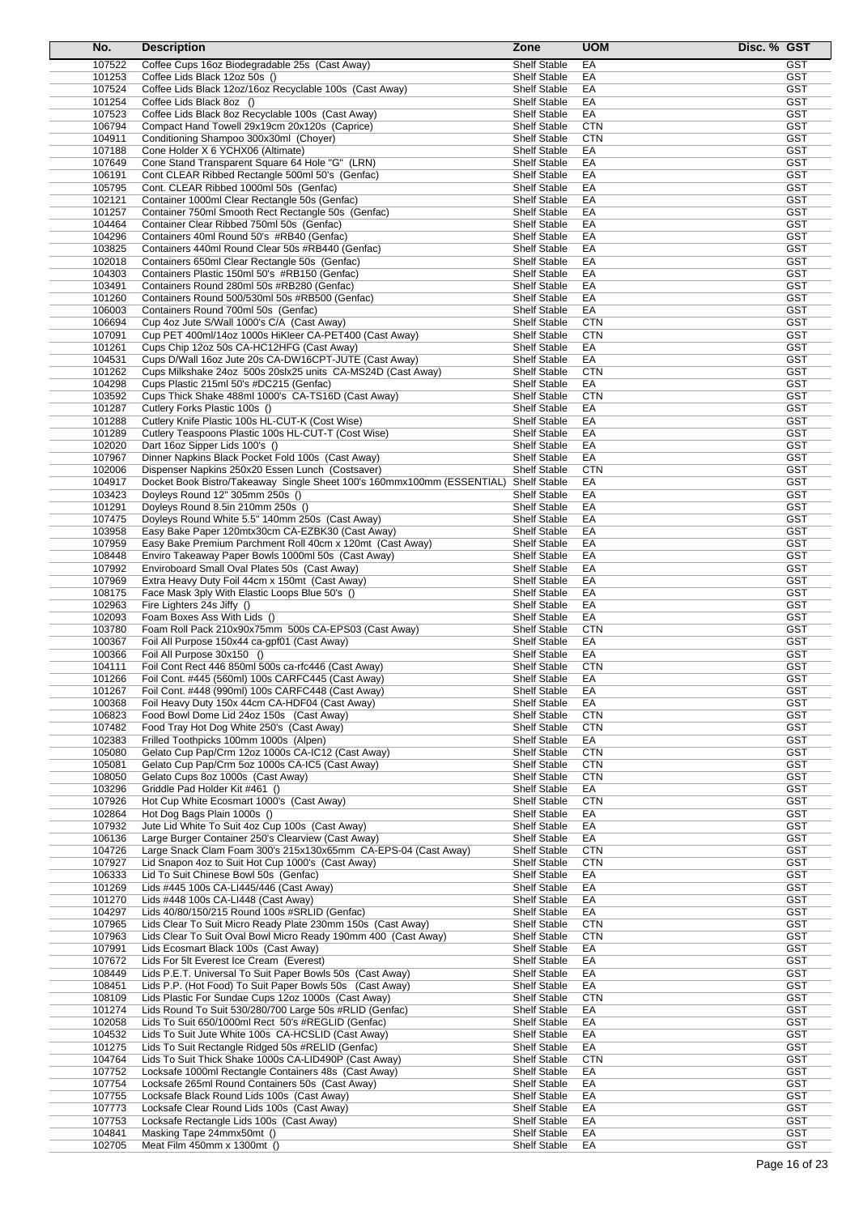| No.              | <b>Description</b>                                                                                                            | Zone                                       | <b>UOM</b>               | Disc. % GST |                          |
|------------------|-------------------------------------------------------------------------------------------------------------------------------|--------------------------------------------|--------------------------|-------------|--------------------------|
| 107522           | Coffee Cups 16oz Biodegradable 25s (Cast Away)                                                                                | <b>Shelf Stable</b>                        | EA                       |             | GST                      |
| 101253           | Coffee Lids Black 12oz 50s ()                                                                                                 | <b>Shelf Stable</b>                        | EA                       |             | <b>GST</b>               |
| 107524           | Coffee Lids Black 12oz/16oz Recyclable 100s (Cast Away)                                                                       | <b>Shelf Stable</b>                        | EA                       |             | <b>GST</b>               |
| 101254           | Coffee Lids Black 8oz ()                                                                                                      | Shelf Stable                               | EA                       |             | <b>GST</b>               |
| 107523           | Coffee Lids Black 8oz Recyclable 100s (Cast Away)                                                                             | <b>Shelf Stable</b>                        | EA                       |             | <b>GST</b>               |
| 106794           | Compact Hand Towell 29x19cm 20x120s (Caprice)                                                                                 | <b>Shelf Stable</b>                        | <b>CTN</b>               |             | <b>GST</b>               |
| 104911           | Conditioning Shampoo 300x30ml (Choyer)                                                                                        | <b>Shelf Stable</b>                        | <b>CTN</b>               |             | <b>GST</b>               |
| 107188           | Cone Holder X 6 YCHX06 (Altimate)                                                                                             | <b>Shelf Stable</b>                        | EA                       |             | <b>GST</b>               |
| 107649           | Cone Stand Transparent Square 64 Hole "G" (LRN)                                                                               | <b>Shelf Stable</b>                        | EA                       |             | <b>GST</b>               |
| 106191<br>105795 | Cont CLEAR Ribbed Rectangle 500ml 50's (Genfac)<br>Cont. CLEAR Ribbed 1000ml 50s (Genfac)                                     | <b>Shelf Stable</b><br><b>Shelf Stable</b> | EA<br>EA                 |             | <b>GST</b><br><b>GST</b> |
| 102121           | Container 1000ml Clear Rectangle 50s (Genfac)                                                                                 | <b>Shelf Stable</b>                        | EA                       |             | <b>GST</b>               |
| 101257           | Container 750ml Smooth Rect Rectangle 50s (Genfac)                                                                            | <b>Shelf Stable</b>                        | EA                       |             | <b>GST</b>               |
| 104464           | Container Clear Ribbed 750ml 50s (Genfac)                                                                                     | <b>Shelf Stable</b>                        | EA                       |             | <b>GST</b>               |
| 104296           | Containers 40ml Round 50's #RB40 (Genfac)                                                                                     | <b>Shelf Stable</b>                        | EA                       |             | <b>GST</b>               |
| 103825           | Containers 440ml Round Clear 50s #RB440 (Genfac)                                                                              | <b>Shelf Stable</b>                        | EA                       |             | <b>GST</b>               |
| 102018           | Containers 650ml Clear Rectangle 50s (Genfac)                                                                                 | <b>Shelf Stable</b>                        | EA                       |             | <b>GST</b>               |
| 104303           | Containers Plastic 150ml 50's #RB150 (Genfac)                                                                                 | <b>Shelf Stable</b>                        | EA                       |             | GST                      |
| 103491           | Containers Round 280ml 50s #RB280 (Genfac)                                                                                    | <b>Shelf Stable</b>                        | EA                       |             | GST                      |
| 101260           | Containers Round 500/530ml 50s #RB500 (Genfac)                                                                                | <b>Shelf Stable</b>                        | EA                       |             | <b>GST</b>               |
| 106003           | Containers Round 700ml 50s (Genfac)                                                                                           | <b>Shelf Stable</b>                        | EA                       |             | <b>GST</b>               |
| 106694           | Cup 4oz Jute S/Wall 1000's C/A (Cast Away)                                                                                    | <b>Shelf Stable</b>                        | <b>CTN</b>               |             | <b>GST</b>               |
| 107091           | Cup PET 400ml/14oz 1000s HiKleer CA-PET400 (Cast Away)                                                                        | <b>Shelf Stable</b>                        | <b>CTN</b>               |             | <b>GST</b>               |
| 101261           | Cups Chip 12oz 50s CA-HC12HFG (Cast Away)<br>Cups D/Wall 16oz Jute 20s CA-DW16CPT-JUTE (Cast Away)                            | <b>Shelf Stable</b>                        | EA                       |             | <b>GST</b>               |
| 104531<br>101262 | Cups Milkshake 24oz 500s 20slx25 units CA-MS24D (Cast Away)                                                                   | <b>Shelf Stable</b><br><b>Shelf Stable</b> | EA<br><b>CTN</b>         |             | GST<br><b>GST</b>        |
| 104298           | Cups Plastic 215ml 50's #DC215 (Genfac)                                                                                       | <b>Shelf Stable</b>                        | EA                       |             | <b>GST</b>               |
| 103592           | Cups Thick Shake 488ml 1000's CA-TS16D (Cast Away)                                                                            | <b>Shelf Stable</b>                        | <b>CTN</b>               |             | <b>GST</b>               |
| 101287           | Cutlery Forks Plastic 100s ()                                                                                                 | <b>Shelf Stable</b>                        | EA                       |             | <b>GST</b>               |
| 101288           | Cutlery Knife Plastic 100s HL-CUT-K (Cost Wise)                                                                               | <b>Shelf Stable</b>                        | EA                       |             | <b>GST</b>               |
| 101289           | Cutlery Teaspoons Plastic 100s HL-CUT-T (Cost Wise)                                                                           | <b>Shelf Stable</b>                        | EA                       |             | <b>GST</b>               |
| 102020           | Dart 16oz Sipper Lids 100's ()                                                                                                | <b>Shelf Stable</b>                        | EA                       |             | <b>GST</b>               |
| 107967           | Dinner Napkins Black Pocket Fold 100s (Cast Away)                                                                             | <b>Shelf Stable</b>                        | EA                       |             | <b>GST</b>               |
| 102006           | Dispenser Napkins 250x20 Essen Lunch (Costsaver)                                                                              | <b>Shelf Stable</b>                        | <b>CTN</b>               |             | <b>GST</b>               |
| 104917           | Docket Book Bistro/Takeaway Single Sheet 100's 160mmx100mm (ESSENTIAL) Shelf Stable                                           |                                            | EA                       |             | <b>GST</b>               |
| 103423           | Doyleys Round 12" 305mm 250s ()                                                                                               | <b>Shelf Stable</b>                        | EA                       |             | <b>GST</b>               |
| 101291           | Doyleys Round 8.5in 210mm 250s ()                                                                                             | <b>Shelf Stable</b>                        | EA                       |             | <b>GST</b>               |
| 107475           | Doyleys Round White 5.5" 140mm 250s (Cast Away)                                                                               | <b>Shelf Stable</b>                        | EA                       |             | <b>GST</b>               |
| 103958           | Easy Bake Paper 120mtx30cm CA-EZBK30 (Cast Away)                                                                              | <b>Shelf Stable</b>                        | EA                       |             | <b>GST</b>               |
| 107959           | Easy Bake Premium Parchment Roll 40cm x 120mt (Cast Away)                                                                     | <b>Shelf Stable</b>                        | EA                       |             | <b>GST</b><br><b>GST</b> |
| 108448<br>107992 | Enviro Takeaway Paper Bowls 1000ml 50s (Cast Away)<br>Enviroboard Small Oval Plates 50s (Cast Away)                           | <b>Shelf Stable</b><br><b>Shelf Stable</b> | EA<br>EA                 |             | <b>GST</b>               |
| 107969           | Extra Heavy Duty Foil 44cm x 150mt (Cast Away)                                                                                | <b>Shelf Stable</b>                        | EA                       |             | <b>GST</b>               |
| 108175           | Face Mask 3ply With Elastic Loops Blue 50's ()                                                                                | <b>Shelf Stable</b>                        | EA                       |             | <b>GST</b>               |
| 102963           | Fire Lighters 24s Jiffy ()                                                                                                    | <b>Shelf Stable</b>                        | EA                       |             | <b>GST</b>               |
| 102093           | Foam Boxes Ass With Lids ()                                                                                                   | <b>Shelf Stable</b>                        | EA                       |             | <b>GST</b>               |
| 103780           | Foam Roll Pack 210x90x75mm 500s CA-EPS03 (Cast Away)                                                                          | <b>Shelf Stable</b>                        | <b>CTN</b>               |             | <b>GST</b>               |
| 100367           | Foil All Purpose 150x44 ca-gpf01 (Cast Away)                                                                                  | <b>Shelf Stable</b>                        | EA                       |             | <b>GST</b>               |
| 100366           | Foil All Purpose 30x150 ()                                                                                                    | <b>Shelf Stable</b>                        | EA                       |             | GST                      |
| 104111           | Foil Cont Rect 446 850ml 500s ca-rfc446 (Cast Away)                                                                           | <b>Shelf Stable</b>                        | <b>CTN</b>               |             | <b>GST</b>               |
| 101266           | Foil Cont. #445 (560ml) 100s CARFC445 (Cast Away)                                                                             | <b>Shelf Stable</b>                        | EA                       |             | <b>GST</b>               |
| 101267           | Foil Cont. #448 (990ml) 100s CARFC448 (Cast Away)                                                                             | <b>Shelf Stable</b>                        | EA                       |             | GST                      |
| 100368           | Foil Heavy Duty 150x 44cm CA-HDF04 (Cast Away)                                                                                | <b>Shelf Stable</b>                        | EA                       |             | <b>GST</b>               |
| 106823           | Food Bowl Dome Lid 24oz 150s (Cast Away)                                                                                      | <b>Shelf Stable</b>                        | <b>CTN</b>               |             | <b>GST</b>               |
| 107482           | Food Tray Hot Dog White 250's (Cast Away)                                                                                     | <b>Shelf Stable</b>                        | <b>CTN</b>               |             | GST                      |
| 102383<br>105080 | Frilled Toothpicks 100mm 1000s (Alpen)                                                                                        | <b>Shelf Stable</b>                        | EA<br><b>CTN</b>         |             | <b>GST</b><br><b>GST</b> |
| 105081           | Gelato Cup Pap/Crm 12oz 1000s CA-IC12 (Cast Away)<br>Gelato Cup Pap/Crm 5oz 1000s CA-IC5 (Cast Away)                          | <b>Shelf Stable</b><br><b>Shelf Stable</b> | <b>CTN</b>               |             | <b>GST</b>               |
| 108050           | Gelato Cups 8oz 1000s (Cast Away)                                                                                             | <b>Shelf Stable</b>                        | <b>CTN</b>               |             | <b>GST</b>               |
| 103296           | Griddle Pad Holder Kit #461 ()                                                                                                | Shelf Stable                               | EA                       |             | <b>GST</b>               |
| 107926           | Hot Cup White Ecosmart 1000's (Cast Away)                                                                                     | <b>Shelf Stable</b>                        | <b>CTN</b>               |             | <b>GST</b>               |
| 102864           | Hot Dog Bags Plain 1000s ()                                                                                                   | <b>Shelf Stable</b>                        | EA                       |             | <b>GST</b>               |
| 107932           | Jute Lid White To Suit 4oz Cup 100s (Cast Away)                                                                               | <b>Shelf Stable</b>                        | EA                       |             | <b>GST</b>               |
| 106136           | Large Burger Container 250's Clearview (Cast Away)                                                                            | Shelf Stable                               | EA                       |             | <b>GST</b>               |
| 104726           | Large Snack Clam Foam 300's 215x130x65mm CA-EPS-04 (Cast Away)                                                                | <b>Shelf Stable</b>                        | <b>CTN</b>               |             | <b>GST</b>               |
| 107927           | Lid Snapon 4oz to Suit Hot Cup 1000's (Cast Away)                                                                             | <b>Shelf Stable</b>                        | <b>CTN</b>               |             | <b>GST</b>               |
| 106333           | Lid To Suit Chinese Bowl 50s (Genfac)                                                                                         | <b>Shelf Stable</b>                        | EA                       |             | <b>GST</b>               |
| 101269           | Lids #445 100s CA-LI445/446 (Cast Away)                                                                                       | <b>Shelf Stable</b>                        | EA                       |             | <b>GST</b>               |
| 101270           | Lids #448 100s CA-LI448 (Cast Away)                                                                                           | <b>Shelf Stable</b>                        | EA                       |             | <b>GST</b>               |
| 104297           | Lids 40/80/150/215 Round 100s #SRLID (Genfac)                                                                                 | <b>Shelf Stable</b>                        | EA                       |             | <b>GST</b>               |
| 107965<br>107963 | Lids Clear To Suit Micro Ready Plate 230mm 150s (Cast Away)<br>Lids Clear To Suit Oval Bowl Micro Ready 190mm 400 (Cast Away) | <b>Shelf Stable</b><br><b>Shelf Stable</b> | <b>CTN</b><br><b>CTN</b> |             | <b>GST</b><br><b>GST</b> |
| 107991           | Lids Ecosmart Black 100s (Cast Away)                                                                                          | <b>Shelf Stable</b>                        | EA                       |             | <b>GST</b>               |
| 107672           | Lids For 5lt Everest Ice Cream (Everest)                                                                                      | <b>Shelf Stable</b>                        | EA                       |             | <b>GST</b>               |
| 108449           | Lids P.E.T. Universal To Suit Paper Bowls 50s (Cast Away)                                                                     | <b>Shelf Stable</b>                        | EA                       |             | <b>GST</b>               |
| 108451           | Lids P.P. (Hot Food) To Suit Paper Bowls 50s (Cast Away)                                                                      | Shelf Stable                               | EA                       |             | <b>GST</b>               |
| 108109           | Lids Plastic For Sundae Cups 12oz 1000s (Cast Away)                                                                           | <b>Shelf Stable</b>                        | <b>CTN</b>               |             | <b>GST</b>               |
| 101274           | Lids Round To Suit 530/280/700 Large 50s #RLID (Genfac)                                                                       | <b>Shelf Stable</b>                        | EA                       |             | <b>GST</b>               |
| 102058           | Lids To Suit 650/1000ml Rect 50's #REGLID (Genfac)                                                                            | <b>Shelf Stable</b>                        | EA                       |             | <b>GST</b>               |
| 104532           | Lids To Suit Jute White 100s CA-HCSLID (Cast Away)                                                                            | <b>Shelf Stable</b>                        | EA                       |             | <b>GST</b>               |
| 101275           | Lids To Suit Rectangle Ridged 50s #RELID (Genfac)                                                                             | <b>Shelf Stable</b>                        | EA                       |             | <b>GST</b>               |
| 104764           | Lids To Suit Thick Shake 1000s CA-LID490P (Cast Away)                                                                         | Shelf Stable                               | <b>CTN</b>               |             | <b>GST</b>               |
| 107752           | Locksafe 1000ml Rectangle Containers 48s (Cast Away)                                                                          | Shelf Stable                               | EA                       |             | <b>GST</b>               |
| 107754           | Locksafe 265ml Round Containers 50s (Cast Away)                                                                               | <b>Shelf Stable</b>                        | EA                       |             | <b>GST</b>               |
| 107755           | Locksafe Black Round Lids 100s (Cast Away)                                                                                    | <b>Shelf Stable</b>                        | EA                       |             | <b>GST</b>               |
| 107773<br>107753 | Locksafe Clear Round Lids 100s (Cast Away)                                                                                    | <b>Shelf Stable</b><br><b>Shelf Stable</b> | EA<br>EA                 |             | GST<br><b>GST</b>        |
| 104841           | Locksafe Rectangle Lids 100s (Cast Away)<br>Masking Tape 24mmx50mt ()                                                         | Shelf Stable                               | EA                       |             | <b>GST</b>               |
| 102705           | Meat Film 450mm x 1300mt ()                                                                                                   | <b>Shelf Stable</b>                        | EA                       |             | <b>GST</b>               |
|                  |                                                                                                                               |                                            |                          |             |                          |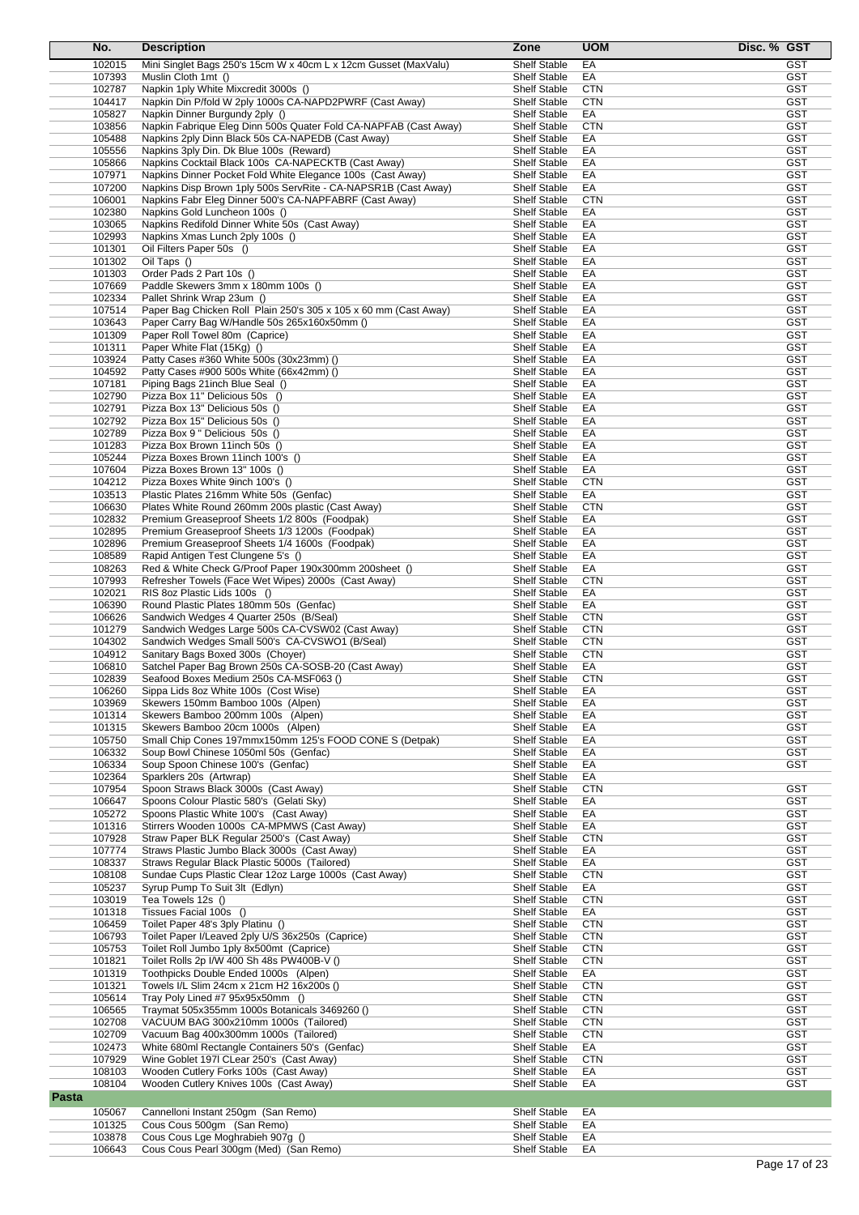| No.              | <b>Description</b>                                                                           | Zone                                       | <b>UOM</b>               | Disc. % GST              |
|------------------|----------------------------------------------------------------------------------------------|--------------------------------------------|--------------------------|--------------------------|
| 102015           | Mini Singlet Bags 250's 15cm W x 40cm L x 12cm Gusset (MaxValu)                              | <b>Shelf Stable</b>                        | EA                       | <b>GST</b>               |
| 107393           | Muslin Cloth 1mt ()                                                                          | <b>Shelf Stable</b>                        | EA                       | GST                      |
| 102787           | Napkin 1 ply White Mixcredit 3000s ()                                                        | <b>Shelf Stable</b>                        | <b>CTN</b>               | <b>GST</b>               |
| 104417           | Napkin Din P/fold W 2ply 1000s CA-NAPD2PWRF (Cast Away)                                      | <b>Shelf Stable</b>                        | <b>CTN</b>               | <b>GST</b>               |
| 105827           | Napkin Dinner Burgundy 2ply ()                                                               | <b>Shelf Stable</b>                        | EA                       | GST                      |
| 103856           | Napkin Fabrique Eleg Dinn 500s Quater Fold CA-NAPFAB (Cast Away)                             | <b>Shelf Stable</b>                        | <b>CTN</b>               | <b>GST</b>               |
| 105488<br>105556 | Napkins 2ply Dinn Black 50s CA-NAPEDB (Cast Away)<br>Napkins 3ply Din. Dk Blue 100s (Reward) | <b>Shelf Stable</b><br><b>Shelf Stable</b> | EA<br>EA                 | <b>GST</b><br>GST        |
| 105866           | Napkins Cocktail Black 100s CA-NAPECKTB (Cast Away)                                          | <b>Shelf Stable</b>                        | EA                       | <b>GST</b>               |
| 107971           | Napkins Dinner Pocket Fold White Elegance 100s (Cast Away)                                   | <b>Shelf Stable</b>                        | EA                       | <b>GST</b>               |
| 107200           | Napkins Disp Brown 1ply 500s ServRite - CA-NAPSR1B (Cast Away)                               | <b>Shelf Stable</b>                        | EA                       | <b>GST</b>               |
| 106001           | Napkins Fabr Eleg Dinner 500's CA-NAPFABRF (Cast Away)                                       | <b>Shelf Stable</b>                        | <b>CTN</b>               | <b>GST</b>               |
| 102380           | Napkins Gold Luncheon 100s ()                                                                | <b>Shelf Stable</b>                        | EA                       | <b>GST</b>               |
| 103065           | Napkins Redifold Dinner White 50s (Cast Away)                                                | <b>Shelf Stable</b>                        | EA                       | <b>GST</b>               |
| 102993           | Napkins Xmas Lunch 2ply 100s ()                                                              | <b>Shelf Stable</b>                        | EA                       | <b>GST</b>               |
| 101301           | Oil Filters Paper 50s ()                                                                     | <b>Shelf Stable</b>                        | EA                       | <b>GST</b>               |
| 101302           | Oil Taps ()                                                                                  | <b>Shelf Stable</b>                        | EA                       | <b>GST</b>               |
| 101303<br>107669 | Order Pads 2 Part 10s ()<br>Paddle Skewers 3mm x 180mm 100s ()                               | <b>Shelf Stable</b><br><b>Shelf Stable</b> | EA<br>EA                 | <b>GST</b><br><b>GST</b> |
| 102334           | Pallet Shrink Wrap 23um ()                                                                   | <b>Shelf Stable</b>                        | EA                       | GST                      |
| 107514           | Paper Bag Chicken Roll Plain 250's 305 x 105 x 60 mm (Cast Away)                             | <b>Shelf Stable</b>                        | EA                       | <b>GST</b>               |
| 103643           | Paper Carry Bag W/Handle 50s 265x160x50mm ()                                                 | <b>Shelf Stable</b>                        | EA                       | <b>GST</b>               |
| 101309           | Paper Roll Towel 80m (Caprice)                                                               | <b>Shelf Stable</b>                        | EA                       | <b>GST</b>               |
| 101311           | Paper White Flat (15Kg) ()                                                                   | <b>Shelf Stable</b>                        | EA                       | <b>GST</b>               |
| 103924           | Patty Cases #360 White 500s (30x23mm) ()                                                     | <b>Shelf Stable</b>                        | EA                       | <b>GST</b>               |
| 104592           | Patty Cases #900 500s White (66x42mm) ()                                                     | <b>Shelf Stable</b>                        | EA                       | <b>GST</b>               |
| 107181           | Piping Bags 21 inch Blue Seal ()                                                             | <b>Shelf Stable</b>                        | EA                       | <b>GST</b>               |
| 102790           | Pizza Box 11" Delicious 50s ()                                                               | <b>Shelf Stable</b>                        | EA                       | <b>GST</b>               |
| 102791<br>102792 | Pizza Box 13" Delicious 50s ()<br>Pizza Box 15" Delicious 50s ()                             | <b>Shelf Stable</b><br><b>Shelf Stable</b> | EA<br>EA                 | <b>GST</b><br><b>GST</b> |
| 102789           | Pizza Box 9 " Delicious 50s ()                                                               | <b>Shelf Stable</b>                        | EA                       | <b>GST</b>               |
| 101283           | Pizza Box Brown 11inch 50s ()                                                                | <b>Shelf Stable</b>                        | EA                       | <b>GST</b>               |
| 105244           | Pizza Boxes Brown 11inch 100's ()                                                            | <b>Shelf Stable</b>                        | EA                       | <b>GST</b>               |
| 107604           | Pizza Boxes Brown 13" 100s ()                                                                | <b>Shelf Stable</b>                        | EA                       | <b>GST</b>               |
| 104212           | Pizza Boxes White 9inch 100's ()                                                             | <b>Shelf Stable</b>                        | <b>CTN</b>               | <b>GST</b>               |
| 103513           | Plastic Plates 216mm White 50s (Genfac)                                                      | <b>Shelf Stable</b>                        | EA                       | <b>GST</b>               |
| 106630           | Plates White Round 260mm 200s plastic (Cast Away)                                            | <b>Shelf Stable</b>                        | <b>CTN</b>               | <b>GST</b>               |
| 102832           | Premium Greaseproof Sheets 1/2 800s (Foodpak)                                                | <b>Shelf Stable</b>                        | EA                       | <b>GST</b>               |
| 102895           | Premium Greaseproof Sheets 1/3 1200s (Foodpak)                                               | <b>Shelf Stable</b>                        | EA                       | <b>GST</b>               |
| 102896<br>108589 | Premium Greaseproof Sheets 1/4 1600s (Foodpak)<br>Rapid Antigen Test Clungene 5's ()         | <b>Shelf Stable</b><br><b>Shelf Stable</b> | EA<br>EA                 | <b>GST</b><br><b>GST</b> |
| 108263           | Red & White Check G/Proof Paper 190x300mm 200sheet ()                                        | <b>Shelf Stable</b>                        | EA                       | <b>GST</b>               |
| 107993           | Refresher Towels (Face Wet Wipes) 2000s (Cast Away)                                          | <b>Shelf Stable</b>                        | <b>CTN</b>               | <b>GST</b>               |
| 102021           | RIS 8oz Plastic Lids 100s ()                                                                 | <b>Shelf Stable</b>                        | EA                       | <b>GST</b>               |
| 106390           | Round Plastic Plates 180mm 50s (Genfac)                                                      | <b>Shelf Stable</b>                        | EA                       | <b>GST</b>               |
| 106626           | Sandwich Wedges 4 Quarter 250s (B/Seal)                                                      | <b>Shelf Stable</b>                        | <b>CTN</b>               | <b>GST</b>               |
| 101279           | Sandwich Wedges Large 500s CA-CVSW02 (Cast Away)                                             | <b>Shelf Stable</b>                        | <b>CTN</b>               | <b>GST</b>               |
| 104302           | Sandwich Wedges Small 500's CA-CVSWO1 (B/Seal)                                               | <b>Shelf Stable</b>                        | <b>CTN</b>               | <b>GST</b>               |
| 104912           | Sanitary Bags Boxed 300s (Choyer)                                                            | <b>Shelf Stable</b>                        | <b>CTN</b>               | <b>GST</b>               |
| 106810<br>102839 | Satchel Paper Bag Brown 250s CA-SOSB-20 (Cast Away)                                          | <b>Shelf Stable</b>                        | EA                       | GST                      |
| 106260           | Seafood Boxes Medium 250s CA-MSF063 ()<br>Sippa Lids 8oz White 100s (Cost Wise)              | <b>Shelf Stable</b><br><b>Shelt Stable</b> | <b>CTN</b><br>ЕA         | GST<br>GST               |
| 103969           | Skewers 150mm Bamboo 100s (Alpen)                                                            | <b>Shelf Stable</b>                        | EA                       | GST                      |
| 101314           | Skewers Bamboo 200mm 100s (Alpen)                                                            | Shelf Stable                               | EA                       | <b>GST</b>               |
| 101315           | Skewers Bamboo 20cm 1000s (Alpen)                                                            | <b>Shelf Stable</b>                        | EA                       | <b>GST</b>               |
| 105750           | Small Chip Cones 197mmx150mm 125's FOOD CONE S (Detpak)                                      | <b>Shelf Stable</b>                        | EA                       | <b>GST</b>               |
| 106332           | Soup Bowl Chinese 1050ml 50s (Genfac)                                                        | <b>Shelf Stable</b>                        | EA                       | <b>GST</b>               |
| 106334           | Soup Spoon Chinese 100's (Genfac)                                                            | <b>Shelf Stable</b>                        | EA                       | <b>GST</b>               |
| 102364           | Sparklers 20s (Artwrap)                                                                      | Shelf Stable                               | EA                       |                          |
| 107954           | Spoon Straws Black 3000s (Cast Away)                                                         | Shelf Stable                               | <b>CTN</b>               | <b>GST</b>               |
| 106647           | Spoons Colour Plastic 580's (Gelati Sky)<br>Spoons Plastic White 100's (Cast Away)           | <b>Shelf Stable</b>                        | EA                       | <b>GST</b>               |
| 105272<br>101316 | Stirrers Wooden 1000s CA-MPMWS (Cast Away)                                                   | <b>Shelf Stable</b><br><b>Shelf Stable</b> | EA<br>EA                 | GST<br><b>GST</b>        |
| 107928           | Straw Paper BLK Regular 2500's (Cast Away)                                                   | <b>Shelf Stable</b>                        | <b>CTN</b>               | <b>GST</b>               |
| 107774           | Straws Plastic Jumbo Black 3000s (Cast Away)                                                 | <b>Shelf Stable</b>                        | EA                       | <b>GST</b>               |
| 108337           | Straws Regular Black Plastic 5000s (Tailored)                                                | <b>Shelf Stable</b>                        | EA                       | <b>GST</b>               |
| 108108           | Sundae Cups Plastic Clear 12oz Large 1000s (Cast Away)                                       | <b>Shelf Stable</b>                        | <b>CTN</b>               | <b>GST</b>               |
| 105237           | Syrup Pump To Suit 3lt (Edlyn)                                                               | <b>Shelf Stable</b>                        | EA                       | <b>GST</b>               |
| 103019           | Tea Towels 12s ()                                                                            | <b>Shelf Stable</b>                        | <b>CTN</b>               | <b>GST</b>               |
| 101318           | Tissues Facial 100s ()                                                                       | <b>Shelf Stable</b>                        | EA                       | <b>GST</b>               |
| 106459           | Toilet Paper 48's 3ply Platinu ()                                                            | <b>Shelf Stable</b>                        | <b>CTN</b>               | <b>GST</b>               |
| 106793           | Toilet Paper I/Leaved 2ply U/S 36x250s (Caprice)                                             | Shelf Stable                               | <b>CTN</b>               | <b>GST</b>               |
| 105753<br>101821 | Toilet Roll Jumbo 1ply 8x500mt (Caprice)<br>Toilet Rolls 2p I/W 400 Sh 48s PW400B-V ()       | <b>Shelf Stable</b><br><b>Shelf Stable</b> | <b>CTN</b><br><b>CTN</b> | <b>GST</b><br><b>GST</b> |
| 101319           | Toothpicks Double Ended 1000s (Alpen)                                                        | <b>Shelf Stable</b>                        | EA                       | <b>GST</b>               |
| 101321           | Towels I/L Slim 24cm x 21cm H2 16x200s ()                                                    | <b>Shelf Stable</b>                        | <b>CTN</b>               | <b>GST</b>               |
| 105614           | Tray Poly Lined #7 95x95x50mm ()                                                             | Shelf Stable                               | <b>CTN</b>               | <b>GST</b>               |
| 106565           | Traymat 505x355mm 1000s Botanicals 3469260 ()                                                | <b>Shelf Stable</b>                        | <b>CTN</b>               | <b>GST</b>               |
| 102708           | VACUUM BAG 300x210mm 1000s (Tailored)                                                        | <b>Shelf Stable</b>                        | <b>CTN</b>               | <b>GST</b>               |
| 102709           | Vacuum Bag 400x300mm 1000s (Tailored)                                                        | <b>Shelf Stable</b>                        | <b>CTN</b>               | <b>GST</b>               |
| 102473           | White 680ml Rectangle Containers 50's (Genfac)                                               | <b>Shelf Stable</b>                        | EA                       | <b>GST</b>               |
| 107929           | Wine Goblet 1971 CLear 250's (Cast Away)                                                     | <b>Shelf Stable</b>                        | <b>CTN</b>               | <b>GST</b>               |
| 108103<br>108104 | Wooden Cutlery Forks 100s (Cast Away)<br>Wooden Cutlery Knives 100s (Cast Away)              | Shelf Stable<br><b>Shelf Stable</b>        | EA<br>EA                 | <b>GST</b><br><b>GST</b> |
| <b>Pasta</b>     |                                                                                              |                                            |                          |                          |
|                  |                                                                                              |                                            |                          |                          |
| 105067           | Cannelloni Instant 250gm (San Remo)                                                          | <b>Shelf Stable</b>                        | EA                       |                          |
| 101325<br>103878 | Cous Cous 500gm (San Remo)<br>Cous Cous Lge Moghrabieh 907g ()                               | <b>Shelf Stable</b><br><b>Shelf Stable</b> | EA<br>EA                 |                          |
| 106643           | Cous Cous Pearl 300gm (Med) (San Remo)                                                       | Shelf Stable                               | EA                       |                          |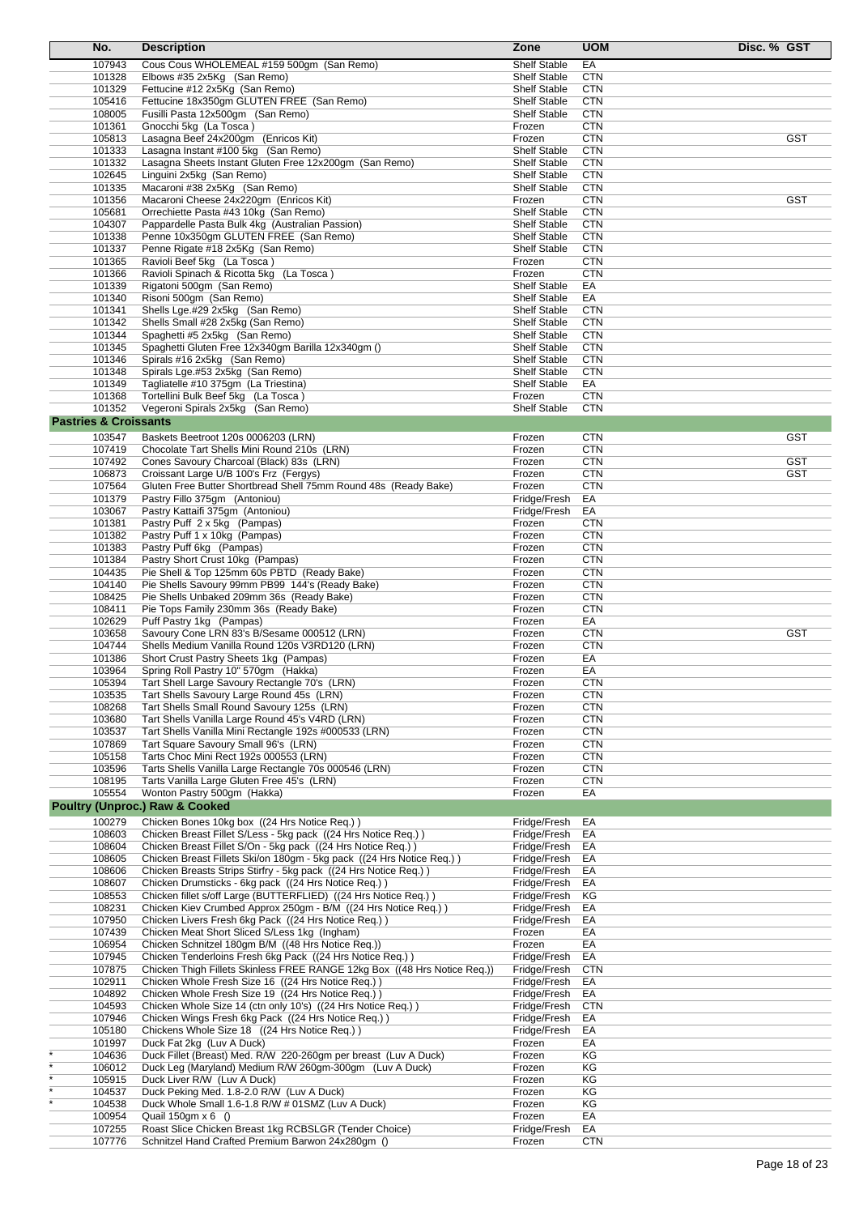| No.                              | <b>Description</b>                                                                                                         | Zone                                       | <b>UOM</b>               | Disc. % GST |
|----------------------------------|----------------------------------------------------------------------------------------------------------------------------|--------------------------------------------|--------------------------|-------------|
| 107943                           | Cous Cous WHOLEMEAL #159 500gm (San Remo)                                                                                  | <b>Shelf Stable</b>                        | EA                       |             |
| 101328                           | Elbows #35 2x5Kg (San Remo)                                                                                                | <b>Shelf Stable</b>                        | <b>CTN</b>               |             |
| 101329                           | Fettucine #12 2x5Kg (San Remo)                                                                                             | <b>Shelf Stable</b>                        | <b>CTN</b>               |             |
| 105416                           | Fettucine 18x350gm GLUTEN FREE (San Remo)                                                                                  | <b>Shelf Stable</b>                        | <b>CTN</b>               |             |
| 108005                           | Fusilli Pasta 12x500qm (San Remo)                                                                                          | <b>Shelf Stable</b>                        | <b>CTN</b>               |             |
| 101361                           | Gnocchi 5kg (La Tosca)                                                                                                     | Frozen                                     | <b>CTN</b>               |             |
| 105813                           | Lasagna Beef 24x200gm (Enricos Kit)                                                                                        | Frozen                                     | <b>CTN</b>               | <b>GST</b>  |
| 101333                           | Lasagna Instant #100 5kg (San Remo)                                                                                        | <b>Shelf Stable</b>                        | <b>CTN</b>               |             |
| 101332                           | Lasagna Sheets Instant Gluten Free 12x200gm (San Remo)                                                                     | <b>Shelf Stable</b>                        | <b>CTN</b>               |             |
| 102645                           | Linguini 2x5kg (San Remo)                                                                                                  | <b>Shelf Stable</b>                        | <b>CTN</b>               |             |
| 101335                           | Macaroni #38 2x5Kg (San Remo)                                                                                              | <b>Shelf Stable</b>                        | <b>CTN</b>               |             |
| 101356                           | Macaroni Cheese 24x220gm (Enricos Kit)                                                                                     | Frozen                                     | <b>CTN</b>               | <b>GST</b>  |
| 105681                           | Orrechiette Pasta #43 10kg (San Remo)                                                                                      | <b>Shelf Stable</b>                        | <b>CTN</b>               |             |
| 104307                           | Pappardelle Pasta Bulk 4kg (Australian Passion)                                                                            | <b>Shelf Stable</b>                        | <b>CTN</b>               |             |
| 101338                           | Penne 10x350gm GLUTEN FREE (San Remo)                                                                                      | <b>Shelf Stable</b>                        | <b>CTN</b>               |             |
| 101337                           | Penne Rigate #18 2x5Kg (San Remo)                                                                                          | <b>Shelf Stable</b>                        | <b>CTN</b>               |             |
| 101365                           | Ravioli Beef 5kg (La Tosca)                                                                                                | Frozen                                     | <b>CTN</b>               |             |
| 101366                           | Ravioli Spinach & Ricotta 5kg (La Tosca)                                                                                   | Frozen                                     | <b>CTN</b>               |             |
| 101339<br>101340                 | Rigatoni 500gm (San Remo)<br>Risoni 500gm (San Remo)                                                                       | <b>Shelf Stable</b><br><b>Shelf Stable</b> | EA<br>EA                 |             |
| 101341                           | Shells Lge.#29 2x5kg (San Remo)                                                                                            | <b>Shelf Stable</b>                        | <b>CTN</b>               |             |
| 101342                           | Shells Small #28 2x5kg (San Remo)                                                                                          | <b>Shelf Stable</b>                        | <b>CTN</b>               |             |
| 101344                           | Spaghetti #5 2x5kg (San Remo)                                                                                              | <b>Shelf Stable</b>                        | <b>CTN</b>               |             |
| 101345                           | Spaghetti Gluten Free 12x340gm Barilla 12x340gm ()                                                                         | <b>Shelf Stable</b>                        | CTN                      |             |
| 101346                           | Spirals #16 2x5kg (San Remo)                                                                                               | <b>Shelf Stable</b>                        | <b>CTN</b>               |             |
| 101348                           | Spirals Lge.#53 2x5kg (San Remo)                                                                                           | <b>Shelf Stable</b>                        | <b>CTN</b>               |             |
| 101349                           | Tagliatelle #10 375gm (La Triestina)                                                                                       | Shelf Stable                               | EA                       |             |
| 101368                           | Tortellini Bulk Beef 5kg (La Tosca)                                                                                        | Frozen                                     | <b>CTN</b>               |             |
| 101352                           | Vegeroni Spirals 2x5kg (San Remo)                                                                                          | <b>Shelf Stable</b>                        | <b>CTN</b>               |             |
| <b>Pastries &amp; Croissants</b> |                                                                                                                            |                                            |                          |             |
| 103547                           | Baskets Beetroot 120s 0006203 (LRN)                                                                                        | Frozen                                     | <b>CTN</b>               | <b>GST</b>  |
| 107419                           | Chocolate Tart Shells Mini Round 210s (LRN)                                                                                | Frozen                                     | <b>CTN</b>               |             |
| 107492                           | Cones Savoury Charcoal (Black) 83s (LRN)                                                                                   | Frozen                                     | <b>CTN</b>               | <b>GST</b>  |
| 106873                           | Croissant Large U/B 100's Frz (Fergys)                                                                                     | Frozen                                     | <b>CTN</b>               | <b>GST</b>  |
| 107564                           | Gluten Free Butter Shortbread Shell 75mm Round 48s (Ready Bake)                                                            | Frozen                                     | <b>CTN</b>               |             |
| 101379                           | Pastry Fillo 375gm (Antoniou)                                                                                              | Fridge/Fresh                               | EA                       |             |
| 103067                           | Pastry Kattaifi 375gm (Antoniou)                                                                                           | Fridge/Fresh                               | EA                       |             |
| 101381                           | Pastry Puff 2 x 5kg (Pampas)                                                                                               | Frozen                                     | <b>CTN</b>               |             |
| 101382                           | Pastry Puff 1 x 10kg (Pampas)                                                                                              | Frozen                                     | <b>CTN</b>               |             |
| 101383                           | Pastry Puff 6kg (Pampas)                                                                                                   | Frozen                                     | <b>CTN</b>               |             |
| 101384                           | Pastry Short Crust 10kg (Pampas)                                                                                           | Frozen                                     | <b>CTN</b>               |             |
| 104435                           | Pie Shell & Top 125mm 60s PBTD (Ready Bake)                                                                                | Frozen                                     | <b>CTN</b>               |             |
| 104140                           | Pie Shells Savoury 99mm PB99 144's (Ready Bake)                                                                            | Frozen                                     | <b>CTN</b>               |             |
| 108425                           | Pie Shells Unbaked 209mm 36s (Ready Bake)                                                                                  | Frozen                                     | <b>CTN</b>               |             |
| 108411                           | Pie Tops Family 230mm 36s (Ready Bake)                                                                                     | Frozen                                     | <b>CTN</b>               |             |
| 102629                           | Puff Pastry 1kg (Pampas)                                                                                                   | Frozen                                     | EA                       |             |
| 103658                           | Savoury Cone LRN 83's B/Sesame 000512 (LRN)                                                                                | Frozen                                     | <b>CTN</b>               | <b>GST</b>  |
| 104744                           | Shells Medium Vanilla Round 120s V3RD120 (LRN)                                                                             | Frozen                                     | <b>CTN</b>               |             |
| 101386                           | Short Crust Pastry Sheets 1kg (Pampas)                                                                                     | Frozen                                     | EA                       |             |
| 103964                           | Spring Roll Pastry 10" 570gm (Hakka)                                                                                       | Frozen                                     | EA                       |             |
| 105394                           | Tart Shell Large Savoury Rectangle 70's (LRN)                                                                              | Frozen                                     | CTN                      |             |
| 103535                           | Tart Shells Savoury Large Round 45s (LRN)                                                                                  | Frozen                                     | <b>CTN</b>               |             |
| 108268<br>103680                 | Tart Shells Small Round Savoury 125s (LRN)<br>Tart Shells Vanilla Large Round 45's V4RD (LRN)                              | Frozen<br>Frozen                           | <b>CTN</b><br><b>CTN</b> |             |
| 103537                           | Tart Shells Vanilla Mini Rectangle 192s #000533 (LRN)                                                                      | Frozen                                     | <b>CTN</b>               |             |
| 107869                           | Tart Square Savoury Small 96's (LRN)                                                                                       | Frozen                                     | <b>CTN</b>               |             |
| 105158                           | Tarts Choc Mini Rect 192s 000553 (LRN)                                                                                     | Frozen                                     | <b>CTN</b>               |             |
| 103596                           | Tarts Shells Vanilla Large Rectangle 70s 000546 (LRN)                                                                      | Frozen                                     | <b>CTN</b>               |             |
| 108195                           | Tarts Vanilla Large Gluten Free 45's (LRN)                                                                                 | Frozen                                     | <b>CTN</b>               |             |
| 105554                           | Wonton Pastry 500gm (Hakka)                                                                                                | Frozen                                     | EA                       |             |
|                                  | <b>Poultry (Unproc.) Raw &amp; Cooked</b>                                                                                  |                                            |                          |             |
| 100279                           | Chicken Bones 10kg box ((24 Hrs Notice Req.))                                                                              | Fridge/Fresh                               | EA                       |             |
| 108603                           | Chicken Breast Fillet S/Less - 5kg pack ((24 Hrs Notice Req.))                                                             | Fridge/Fresh                               | EA                       |             |
| 108604                           | Chicken Breast Fillet S/On - 5kg pack ((24 Hrs Notice Req.))                                                               | Fridge/Fresh                               | EA                       |             |
| 108605                           | Chicken Breast Fillets Ski/on 180gm - 5kg pack ((24 Hrs Notice Req.))                                                      | Fridge/Fresh                               | EA                       |             |
| 108606                           | Chicken Breasts Strips Stirfry - 5kg pack ((24 Hrs Notice Req.))                                                           | Fridge/Fresh                               | EA                       |             |
| 108607                           | Chicken Drumsticks - 6kg pack ((24 Hrs Notice Req.))                                                                       | Fridge/Fresh                               | EA                       |             |
| 108553                           | Chicken fillet s/off Large (BUTTERFLIED) ((24 Hrs Notice Req.))                                                            | Fridge/Fresh                               | ΚG                       |             |
| 108231                           | Chicken Kiev Crumbed Approx 250gm - B/M ((24 Hrs Notice Req.))                                                             | Fridge/Fresh                               | EA                       |             |
| 107950                           | Chicken Livers Fresh 6kg Pack ((24 Hrs Notice Req.))                                                                       | Fridge/Fresh                               | EA                       |             |
| 107439                           | Chicken Meat Short Sliced S/Less 1kg (Ingham)                                                                              | Frozen                                     | EA                       |             |
| 106954                           | Chicken Schnitzel 180gm B/M ((48 Hrs Notice Req.))                                                                         | Frozen                                     | EA                       |             |
| 107945                           | Chicken Tenderloins Fresh 6kg Pack ((24 Hrs Notice Req.))                                                                  | Fridge/Fresh                               | EA                       |             |
| 107875                           | Chicken Thigh Fillets Skinless FREE RANGE 12kg Box ((48 Hrs Notice Req.))                                                  | Fridge/Fresh                               | <b>CTN</b>               |             |
| 102911                           | Chicken Whole Fresh Size 16 ((24 Hrs Notice Req.))                                                                         | Fridge/Fresh                               | EA                       |             |
| 104892                           | Chicken Whole Fresh Size 19 ((24 Hrs Notice Req.))                                                                         | Fridge/Fresh                               | EA                       |             |
| 104593                           | Chicken Whole Size 14 (ctn only 10's) ((24 Hrs Notice Req.))                                                               | Fridge/Fresh                               | <b>CTN</b>               |             |
| 107946                           | Chicken Wings Fresh 6kg Pack ((24 Hrs Notice Req.))                                                                        | Fridge/Fresh                               | EA                       |             |
| 105180                           | Chickens Whole Size 18 ((24 Hrs Notice Req.))                                                                              | Fridge/Fresh                               | EA                       |             |
| 101997                           | Duck Fat 2kg (Luv A Duck)                                                                                                  | Frozen                                     | EA                       |             |
| 104636<br>106012                 | Duck Fillet (Breast) Med. R/W 220-260gm per breast (Luv A Duck)<br>Duck Leg (Maryland) Medium R/W 260gm-300gm (Luv A Duck) | Frozen<br>Frozen                           | KG<br>ΚG                 |             |
| 105915                           | Duck Liver R/W (Luv A Duck)                                                                                                | Frozen                                     | ΚG                       |             |
| 104537                           | Duck Peking Med. 1.8-2.0 R/W (Luv A Duck)                                                                                  | Frozen                                     | ΚG                       |             |
| 104538                           | Duck Whole Small 1.6-1.8 R/W # 01SMZ (Luv A Duck)                                                                          | Frozen                                     | KG                       |             |
| 100954                           | Quail $150gm \times 6$ ()                                                                                                  | Frozen                                     | EA                       |             |
| 107255                           | Roast Slice Chicken Breast 1kg RCBSLGR (Tender Choice)                                                                     | Fridge/Fresh                               | EA                       |             |
| 107776                           | Schnitzel Hand Crafted Premium Barwon 24x280gm ()                                                                          | Frozen                                     | <b>CTN</b>               |             |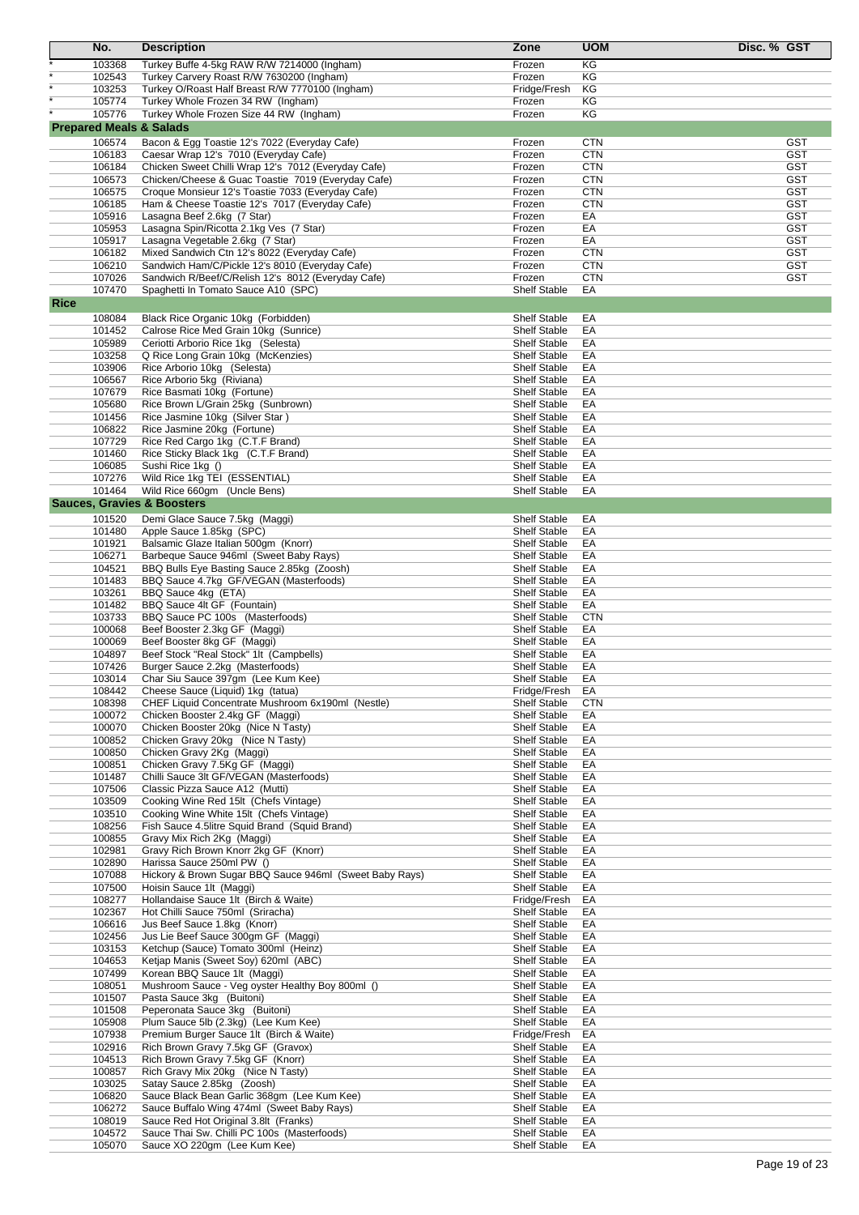|             | No.              | <b>Description</b>                                                                           | Zone                                       | <b>UOM</b>               | Disc. % GST              |
|-------------|------------------|----------------------------------------------------------------------------------------------|--------------------------------------------|--------------------------|--------------------------|
|             | 103368           | Turkey Buffe 4-5kg RAW R/W 7214000 (Ingham)                                                  | Frozen                                     | KG                       |                          |
|             | 102543           | Turkey Carvery Roast R/W 7630200 (Ingham)                                                    | Frozen                                     | KG                       |                          |
|             | 103253           | Turkey O/Roast Half Breast R/W 7770100 (Ingham)                                              | Fridge/Fresh                               | ΚG                       |                          |
|             | 105774           | Turkey Whole Frozen 34 RW (Ingham)                                                           | Frozen                                     | ΚG                       |                          |
|             | 105776           | Turkey Whole Frozen Size 44 RW (Ingham)                                                      | Frozen                                     | KG                       |                          |
|             |                  | <b>Prepared Meals &amp; Salads</b>                                                           |                                            |                          |                          |
|             | 106574           | Bacon & Egg Toastie 12's 7022 (Everyday Cafe)                                                | Frozen                                     | <b>CTN</b>               | <b>GST</b><br><b>GST</b> |
|             | 106183<br>106184 | Caesar Wrap 12's 7010 (Everyday Cafe)<br>Chicken Sweet Chilli Wrap 12's 7012 (Everyday Cafe) | Frozen<br>Frozen                           | <b>CTN</b><br><b>CTN</b> | <b>GST</b>               |
|             | 106573           | Chicken/Cheese & Guac Toastie 7019 (Everyday Cafe)                                           | Frozen                                     | <b>CTN</b>               | <b>GST</b>               |
|             | 106575           | Croque Monsieur 12's Toastie 7033 (Everyday Cafe)                                            | Frozen                                     | <b>CTN</b>               | <b>GST</b>               |
|             | 106185           | Ham & Cheese Toastie 12's 7017 (Everyday Cafe)                                               | Frozen                                     | <b>CTN</b>               | <b>GST</b>               |
|             | 105916           | Lasagna Beef 2.6kg (7 Star)                                                                  | Frozen                                     | EA                       | <b>GST</b>               |
|             | 105953           | Lasagna Spin/Ricotta 2.1kg Ves (7 Star)                                                      | Frozen                                     | EA                       | <b>GST</b>               |
|             | 105917           | Lasagna Vegetable 2.6kg (7 Star)                                                             | Frozen                                     | EA                       | <b>GST</b>               |
|             | 106182           | Mixed Sandwich Ctn 12's 8022 (Everyday Cafe)                                                 | Frozen                                     | <b>CTN</b>               | <b>GST</b>               |
|             | 106210           | Sandwich Ham/C/Pickle 12's 8010 (Everyday Cafe)                                              | Frozen                                     | <b>CTN</b>               | <b>GST</b>               |
|             | 107026<br>107470 | Sandwich R/Beef/C/Relish 12's 8012 (Everyday Cafe)<br>Spaghetti In Tomato Sauce A10 (SPC)    | Frozen<br><b>Shelf Stable</b>              | <b>CTN</b><br>EA         | <b>GST</b>               |
| <b>Rice</b> |                  |                                                                                              |                                            |                          |                          |
|             | 108084           | Black Rice Organic 10kg (Forbidden)                                                          | <b>Shelf Stable</b>                        | EA                       |                          |
|             | 101452           | Calrose Rice Med Grain 10kg (Sunrice)                                                        | <b>Shelf Stable</b>                        | EA                       |                          |
|             | 105989           | Ceriotti Arborio Rice 1kg (Selesta)                                                          | <b>Shelf Stable</b>                        | EA                       |                          |
|             | 103258           | Q Rice Long Grain 10kg (McKenzies)                                                           | <b>Shelf Stable</b>                        | EA                       |                          |
|             | 103906           | Rice Arborio 10kg (Selesta)                                                                  | <b>Shelf Stable</b>                        | EA                       |                          |
|             | 106567           | Rice Arborio 5kg (Riviana)                                                                   | <b>Shelf Stable</b>                        | EA                       |                          |
|             | 107679           | Rice Basmati 10kg (Fortune)                                                                  | <b>Shelf Stable</b>                        | EA                       |                          |
|             | 105680           | Rice Brown L/Grain 25kg (Sunbrown)                                                           | <b>Shelf Stable</b>                        | EA                       |                          |
|             | 101456           | Rice Jasmine 10kg (Silver Star)                                                              | <b>Shelf Stable</b>                        | EA                       |                          |
|             | 106822<br>107729 | Rice Jasmine 20kg (Fortune)                                                                  | <b>Shelf Stable</b><br><b>Shelf Stable</b> | EA<br>EA                 |                          |
|             | 101460           | Rice Red Cargo 1kg (C.T.F Brand)<br>Rice Sticky Black 1kg (C.T.F Brand)                      | <b>Shelf Stable</b>                        | EA                       |                          |
|             | 106085           | Sushi Rice 1kg ()                                                                            | <b>Shelf Stable</b>                        | EA                       |                          |
|             | 107276           | Wild Rice 1kg TEI (ESSENTIAL)                                                                | <b>Shelf Stable</b>                        | EA                       |                          |
|             | 101464           | Wild Rice 660gm (Uncle Bens)                                                                 | <b>Shelf Stable</b>                        | EA                       |                          |
|             |                  | <b>Sauces, Gravies &amp; Boosters</b>                                                        |                                            |                          |                          |
|             | 101520           | Demi Glace Sauce 7.5kg (Maggi)                                                               | <b>Shelf Stable</b>                        | EA                       |                          |
|             | 101480           | Apple Sauce 1.85kg (SPC)                                                                     | <b>Shelf Stable</b>                        | EA                       |                          |
|             | 101921           | Balsamic Glaze Italian 500gm (Knorr)                                                         | <b>Shelf Stable</b>                        | EA                       |                          |
|             | 106271           | Barbeque Sauce 946ml (Sweet Baby Rays)                                                       | <b>Shelf Stable</b>                        | EA                       |                          |
|             | 104521           | BBQ Bulls Eye Basting Sauce 2.85kg (Zoosh)                                                   | <b>Shelf Stable</b>                        | EA                       |                          |
|             | 101483           | BBQ Sauce 4.7kg GF/VEGAN (Masterfoods)                                                       | Shelf Stable                               | EA                       |                          |
|             | 103261<br>101482 | BBQ Sauce 4kg (ETA)<br>BBQ Sauce 4lt GF (Fountain)                                           | <b>Shelf Stable</b><br><b>Shelf Stable</b> | EA<br>EA                 |                          |
|             | 103733           | BBQ Sauce PC 100s (Masterfoods)                                                              | <b>Shelf Stable</b>                        | <b>CTN</b>               |                          |
|             | 100068           | Beef Booster 2.3kg GF (Maggi)                                                                | <b>Shelf Stable</b>                        | EA                       |                          |
|             | 100069           | Beef Booster 8kg GF (Maggi)                                                                  | <b>Shelf Stable</b>                        | EA                       |                          |
|             | 104897           | Beef Stock "Real Stock" 1lt (Campbells)                                                      | <b>Shelf Stable</b>                        | EA                       |                          |
|             | 107426           | Burger Sauce 2.2kg (Masterfoods)                                                             | <b>Shelf Stable</b>                        | EA                       |                          |
|             | 103014           | Char Siu Sauce 397gm (Lee Kum Kee)                                                           | <b>Shelf Stable</b>                        | EA                       |                          |
|             | 108442           | Cheese Sauce (Liquid) 1kg (tatua)                                                            | Fridge/Fresh                               | EA                       |                          |
|             | 108398           | CHEF Liquid Concentrate Mushroom 6x190ml (Nestle)                                            | <b>Shelf Stable</b>                        | <b>CTN</b>               |                          |
|             | 100072<br>100070 | Chicken Booster 2.4kg GF (Maggi)<br>Chicken Booster 20kg (Nice N Tasty)                      | <b>Shelf Stable</b><br><b>Shelf Stable</b> | EA<br>EA                 |                          |
|             | 100852           | Chicken Gravy 20kg (Nice N Tasty)                                                            | Shelf Stable                               | EA                       |                          |
|             | 100850           | Chicken Gravy 2Kg (Maggi)                                                                    | <b>Shelf Stable</b>                        | EA                       |                          |
|             | 100851           | Chicken Gravy 7.5Kg GF (Maggi)                                                               | <b>Shelf Stable</b>                        | EA                       |                          |
|             | 101487           | Chilli Sauce 3lt GF/VEGAN (Masterfoods)                                                      | Shelf Stable                               | EA                       |                          |
|             | 107506           | Classic Pizza Sauce A12 (Mutti)                                                              | <b>Shelf Stable</b>                        | EA                       |                          |
|             | 103509           | Cooking Wine Red 15lt (Chefs Vintage)                                                        | <b>Shelf Stable</b>                        | EA                       |                          |
|             | 103510           | Cooking Wine White 15lt (Chefs Vintage)                                                      | Shelf Stable                               | EA                       |                          |
|             | 108256           | Fish Sauce 4.5litre Squid Brand (Squid Brand)                                                | <b>Shelf Stable</b>                        | EA                       |                          |
|             | 100855<br>102981 | Gravy Mix Rich 2Kg (Maggi)<br>Gravy Rich Brown Knorr 2kg GF (Knorr)                          | <b>Shelf Stable</b><br><b>Shelf Stable</b> | EA<br>EA                 |                          |
|             | 102890           | Harissa Sauce 250ml PW ()                                                                    | <b>Shelf Stable</b>                        | EA                       |                          |
|             | 107088           | Hickory & Brown Sugar BBQ Sauce 946ml (Sweet Baby Rays)                                      | <b>Shelf Stable</b>                        | EA                       |                          |
|             | 107500           | Hoisin Sauce 1lt (Maggi)                                                                     | <b>Shelf Stable</b>                        | EA                       |                          |
|             | 108277           | Hollandaise Sauce 1lt (Birch & Waite)                                                        | Fridge/Fresh                               | EA                       |                          |
|             | 102367           | Hot Chilli Sauce 750ml (Sriracha)                                                            | <b>Shelf Stable</b>                        | EA                       |                          |
|             | 106616           | Jus Beef Sauce 1.8kg (Knorr)                                                                 | <b>Shelf Stable</b>                        | EA                       |                          |
|             | 102456           | Jus Lie Beef Sauce 300gm GF (Maggi)                                                          | <b>Shelf Stable</b>                        | EA                       |                          |
|             | 103153           | Ketchup (Sauce) Tomato 300ml (Heinz)                                                         | <b>Shelf Stable</b>                        | EA                       |                          |
|             | 104653<br>107499 | Ketjap Manis (Sweet Soy) 620ml (ABC)<br>Korean BBQ Sauce 1lt (Maggi)                         | <b>Shelf Stable</b><br><b>Shelf Stable</b> | EA<br>EA                 |                          |
|             | 108051           | Mushroom Sauce - Veg oyster Healthy Boy 800ml ()                                             | <b>Shelf Stable</b>                        | EA                       |                          |
|             | 101507           | Pasta Sauce 3kg (Buitoni)                                                                    | <b>Shelf Stable</b>                        | EA                       |                          |
|             | 101508           | Peperonata Sauce 3kg (Buitoni)                                                               | <b>Shelf Stable</b>                        | EA                       |                          |
|             | 105908           | Plum Sauce 5lb (2.3kg) (Lee Kum Kee)                                                         | <b>Shelf Stable</b>                        | EA                       |                          |
|             | 107938           | Premium Burger Sauce 1lt (Birch & Waite)                                                     | Fridge/Fresh                               | EA                       |                          |
|             | 102916           | Rich Brown Gravy 7.5kg GF (Gravox)                                                           | Shelf Stable                               | EA                       |                          |
|             | 104513           | Rich Brown Gravy 7.5kg GF (Knorr)                                                            | Shelf Stable                               | EA                       |                          |
|             | 100857           | Rich Gravy Mix 20kg (Nice N Tasty)                                                           | <b>Shelf Stable</b>                        | EA                       |                          |
|             | 103025           | Satay Sauce 2.85kg (Zoosh)                                                                   | <b>Shelf Stable</b>                        | EA                       |                          |
|             | 106820<br>106272 | Sauce Black Bean Garlic 368gm (Lee Kum Kee)<br>Sauce Buffalo Wing 474ml (Sweet Baby Rays)    | <b>Shelf Stable</b><br>Shelf Stable        | EA<br>EA                 |                          |
|             | 108019           | Sauce Red Hot Original 3.8lt (Franks)                                                        | Shelf Stable                               | EA                       |                          |
|             | 104572           | Sauce Thai Sw. Chilli PC 100s (Masterfoods)                                                  | <b>Shelf Stable</b>                        | EA                       |                          |
|             | 105070           | Sauce XO 220gm (Lee Kum Kee)                                                                 | Shelf Stable                               | EA                       |                          |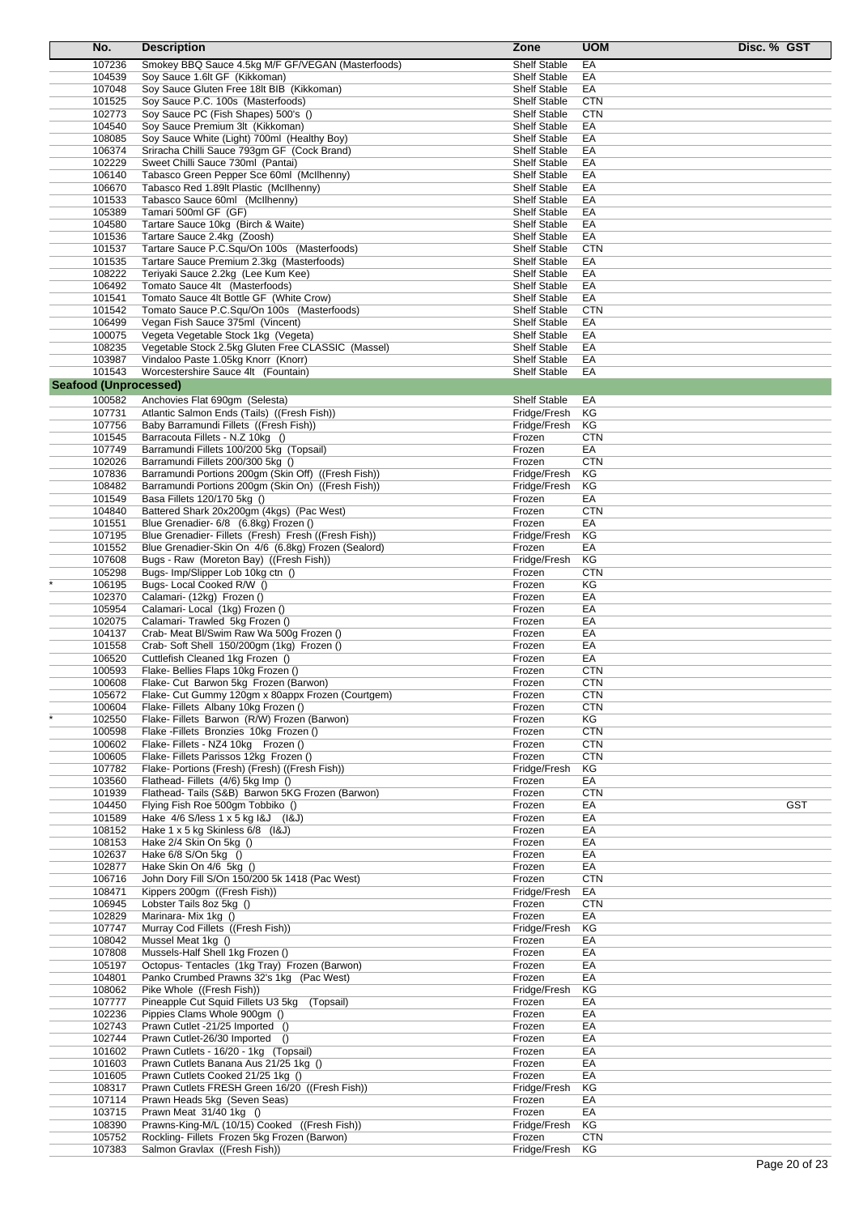| No.                          | <b>Description</b>                                                                         | Zone                                       | <b>UOM</b>               | Disc. % GST |
|------------------------------|--------------------------------------------------------------------------------------------|--------------------------------------------|--------------------------|-------------|
| 107236                       | Smokey BBQ Sauce 4.5kg M/F GF/VEGAN (Masterfoods)                                          | <b>Shelf Stable</b>                        | EA                       |             |
| 104539                       | Soy Sauce 1.6lt GF (Kikkoman)                                                              | <b>Shelf Stable</b>                        | EA                       |             |
| 107048                       | Soy Sauce Gluten Free 18lt BIB (Kikkoman)                                                  | <b>Shelf Stable</b>                        | EA                       |             |
| 101525                       | Soy Sauce P.C. 100s (Masterfoods)                                                          | <b>Shelf Stable</b>                        | <b>CTN</b>               |             |
| 102773                       | Soy Sauce PC (Fish Shapes) 500's ()                                                        | <b>Shelf Stable</b>                        | <b>CTN</b>               |             |
| 104540                       | Soy Sauce Premium 3lt (Kikkoman)                                                           | <b>Shelf Stable</b>                        | EA                       |             |
| 108085<br>106374             | Soy Sauce White (Light) 700ml (Healthy Boy)<br>Sriracha Chilli Sauce 793gm GF (Cock Brand) | <b>Shelf Stable</b><br>Shelf Stable        | EA<br>EA                 |             |
| 102229                       | Sweet Chilli Sauce 730ml (Pantai)                                                          | <b>Shelf Stable</b>                        | EA                       |             |
| 106140                       | Tabasco Green Pepper Sce 60ml (McIlhenny)                                                  | <b>Shelf Stable</b>                        | EA                       |             |
| 106670                       | Tabasco Red 1.89lt Plastic (McIlhenny)                                                     | <b>Shelf Stable</b>                        | EA                       |             |
| 101533                       | Tabasco Sauce 60ml (McIlhenny)                                                             | <b>Shelf Stable</b>                        | EA                       |             |
| 105389                       | Tamari 500ml GF (GF)                                                                       | <b>Shelf Stable</b>                        | EA                       |             |
| 104580                       | Tartare Sauce 10kg (Birch & Waite)                                                         | <b>Shelf Stable</b>                        | EA                       |             |
| 101536                       | Tartare Sauce 2.4kg (Zoosh)                                                                | <b>Shelf Stable</b>                        | EA                       |             |
| 101537<br>101535             | Tartare Sauce P.C.Squ/On 100s (Masterfoods)<br>Tartare Sauce Premium 2.3kg (Masterfoods)   | <b>Shelf Stable</b><br><b>Shelf Stable</b> | <b>CTN</b><br>EA         |             |
| 108222                       | Teriyaki Sauce 2.2kg (Lee Kum Kee)                                                         | <b>Shelf Stable</b>                        | EA                       |             |
| 106492                       | Tomato Sauce 4lt (Masterfoods)                                                             | <b>Shelf Stable</b>                        | EA                       |             |
| 101541                       | Tomato Sauce 4lt Bottle GF (White Crow)                                                    | <b>Shelf Stable</b>                        | EA                       |             |
| 101542                       | Tomato Sauce P.C.Squ/On 100s (Masterfoods)                                                 | <b>Shelf Stable</b>                        | <b>CTN</b>               |             |
| 106499                       | Vegan Fish Sauce 375ml (Vincent)                                                           | <b>Shelf Stable</b>                        | EA                       |             |
| 100075                       | Vegeta Vegetable Stock 1kg (Vegeta)                                                        | Shelf Stable                               | EA                       |             |
| 108235                       | Vegetable Stock 2.5kg Gluten Free CLASSIC (Massel)                                         | <b>Shelf Stable</b>                        | EA<br>EA                 |             |
| 103987<br>101543             | Vindaloo Paste 1.05kg Knorr (Knorr)<br>Worcestershire Sauce 4lt (Fountain)                 | <b>Shelf Stable</b><br><b>Shelf Stable</b> | EA                       |             |
| <b>Seafood (Unprocessed)</b> |                                                                                            |                                            |                          |             |
|                              |                                                                                            |                                            | EA                       |             |
| 100582<br>107731             | Anchovies Flat 690gm (Selesta)<br>Atlantic Salmon Ends (Tails) ((Fresh Fish))              | <b>Shelf Stable</b><br>Fridge/Fresh        | КG                       |             |
| 107756                       | Baby Barramundi Fillets ((Fresh Fish))                                                     | Fridge/Fresh                               | КG                       |             |
| 101545                       | Barracouta Fillets - N.Z 10kg ()                                                           | Frozen                                     | <b>CTN</b>               |             |
| 107749                       | Barramundi Fillets 100/200 5kg (Topsail)                                                   | Frozen                                     | EA                       |             |
| 102026                       | Barramundi Fillets 200/300 5kg ()                                                          | Frozen                                     | <b>CTN</b>               |             |
| 107836                       | Barramundi Portions 200gm (Skin Off) ((Fresh Fish))                                        | Fridge/Fresh                               | ΚG                       |             |
| 108482                       | Barramundi Portions 200gm (Skin On) ((Fresh Fish))                                         | Fridge/Fresh                               | ΚG                       |             |
| 101549                       | Basa Fillets 120/170 5kg ()                                                                | Frozen                                     | EA                       |             |
| 104840<br>101551             | Battered Shark 20x200gm (4kgs) (Pac West)<br>Blue Grenadier- 6/8 (6.8kg) Frozen ()         | Frozen<br>Frozen                           | <b>CTN</b><br>EA         |             |
| 107195                       | Blue Grenadier- Fillets (Fresh) Fresh ((Fresh Fish))                                       | Fridge/Fresh                               | ΚG                       |             |
| 101552                       | Blue Grenadier-Skin On 4/6 (6.8kg) Frozen (Sealord)                                        | Frozen                                     | EA                       |             |
| 107608                       | Bugs - Raw (Moreton Bay) ((Fresh Fish))                                                    | Fridge/Fresh                               | KG                       |             |
| 105298                       | Bugs- Imp/Slipper Lob 10kg ctn ()                                                          | Frozen                                     | <b>CTN</b>               |             |
| 106195                       | Bugs-Local Cooked R/W ()                                                                   | Frozen                                     | ΚG                       |             |
| 102370                       | Calamari- (12kg) Frozen ()                                                                 | Frozen                                     | EA                       |             |
| 105954                       | Calamari- Local (1kg) Frozen ()                                                            | Frozen                                     | EA                       |             |
| 102075<br>104137             | Calamari- Trawled 5kg Frozen ()<br>Crab- Meat Bl/Swim Raw Wa 500g Frozen ()                | Frozen<br>Frozen                           | EA<br>EA                 |             |
| 101558                       | Crab- Soft Shell 150/200gm (1kg) Frozen ()                                                 | Frozen                                     | EA                       |             |
| 106520                       | Cuttlefish Cleaned 1kg Frozen ()                                                           | Frozen                                     | EA                       |             |
| 100593                       | Flake-Bellies Flaps 10kg Frozen ()                                                         | Frozen                                     | <b>CTN</b>               |             |
| 100608                       | Flake- Cut Barwon 5kg Frozen (Barwon)                                                      | Frozen                                     | <b>CTN</b>               |             |
| 105672                       | Flake- Cut Gummy 120gm x 80appx Frozen (Courtgem)                                          | Frozen                                     | <b>CTN</b>               |             |
| 100604                       | Flake-Fillets Albany 10kg Frozen ()                                                        | Frozen                                     | <b>CTN</b>               |             |
| 102550                       | Flake- Fillets Barwon (R/W) Frozen (Barwon)                                                | Frozen                                     | ΚG                       |             |
| 100598<br>100602             | Flake - Fillets Bronzies 10kg Frozen ()<br>Flake-Fillets - NZ4 10kg Frozen ()              | Frozen<br>Frozen                           | <b>CTN</b><br><b>CTN</b> |             |
| 100605                       | Flake- Fillets Parissos 12kg Frozen ()                                                     | Frozen                                     | <b>CTN</b>               |             |
| 107782                       | Flake- Portions (Fresh) (Fresh) ((Fresh Fish))                                             | Fridge/Fresh                               | КG                       |             |
| 103560                       | Flathead-Fillets (4/6) 5kg Imp ()                                                          | Frozen                                     | EA                       |             |
| 101939                       | Flathead- Tails (S&B) Barwon 5KG Frozen (Barwon)                                           | Frozen                                     | <b>CTN</b>               |             |
| 104450                       | Flying Fish Roe 500gm Tobbiko ()                                                           | Frozen                                     | EA                       | <b>GST</b>  |
| 101589                       | Hake $4/6$ S/less $1 \times 5$ kg $18J$ ( $18J$ )                                          | Frozen                                     | EA                       |             |
| 108152<br>108153             | Hake 1 x 5 kg Skinless 6/8 (I&J)<br>Hake 2/4 Skin On 5kg ()                                | Frozen                                     | EA                       |             |
| 102637                       | Hake 6/8 S/On 5kg ()                                                                       | Frozen<br>Frozen                           | EA<br>EA                 |             |
| 102877                       | Hake Skin On 4/6 5kg ()                                                                    | Frozen                                     | EA                       |             |
| 106716                       | John Dory Fill S/On 150/200 5k 1418 (Pac West)                                             | Frozen                                     | <b>CTN</b>               |             |
| 108471                       | Kippers 200gm ((Fresh Fish))                                                               | Fridge/Fresh                               | EA                       |             |
| 106945                       | Lobster Tails 8oz 5kg ()                                                                   | Frozen                                     | <b>CTN</b>               |             |
| 102829                       | Marinara-Mix 1kg ()                                                                        | Frozen                                     | EA                       |             |
| 107747                       | Murray Cod Fillets ((Fresh Fish))                                                          | Fridge/Fresh                               | ΚG                       |             |
| 108042<br>107808             | Mussel Meat 1kg ()<br>Mussels-Half Shell 1kg Frozen ()                                     | Frozen<br>Frozen                           | EA<br>EA                 |             |
| 105197                       | Octopus- Tentacles (1kg Tray) Frozen (Barwon)                                              | Frozen                                     | EA                       |             |
| 104801                       | Panko Crumbed Prawns 32's 1kg (Pac West)                                                   | Frozen                                     | EA                       |             |
| 108062                       | Pike Whole ((Fresh Fish))                                                                  | Fridge/Fresh                               | ΚG                       |             |
| 107777                       | Pineapple Cut Squid Fillets U3 5kg (Topsail)                                               | Frozen                                     | EA                       |             |
| 102236                       | Pippies Clams Whole 900gm ()                                                               | Frozen                                     | EA                       |             |
| 102743                       | Prawn Cutlet -21/25 Imported ()                                                            | Frozen                                     | EA                       |             |
| 102744                       | Prawn Cutlet-26/30 Imported ()                                                             | Frozen                                     | EA                       |             |
| 101602<br>101603             | Prawn Cutlets - 16/20 - 1kg (Topsail)<br>Prawn Cutlets Banana Aus 21/25 1kg ()             | Frozen<br>Frozen                           | EA<br>EA                 |             |
| 101605                       | Prawn Cutlets Cooked 21/25 1kg ()                                                          | Frozen                                     | EA                       |             |
| 108317                       | Prawn Cutlets FRESH Green 16/20 ((Fresh Fish))                                             | Fridge/Fresh                               | ΚG                       |             |
| 107114                       | Prawn Heads 5kg (Seven Seas)                                                               | Frozen                                     | EA                       |             |
| 103715                       | Prawn Meat 31/40 1kg ()                                                                    | Frozen                                     | EA                       |             |
| 108390                       | Prawns-King-M/L (10/15) Cooked ((Fresh Fish))                                              | Fridge/Fresh                               | KG                       |             |
| 105752                       | Rockling- Fillets Frozen 5kg Frozen (Barwon)                                               | Frozen                                     | <b>CTN</b>               |             |
| 107383                       | Salmon Gravlax ((Fresh Fish))                                                              | Fridge/Fresh                               | КG                       |             |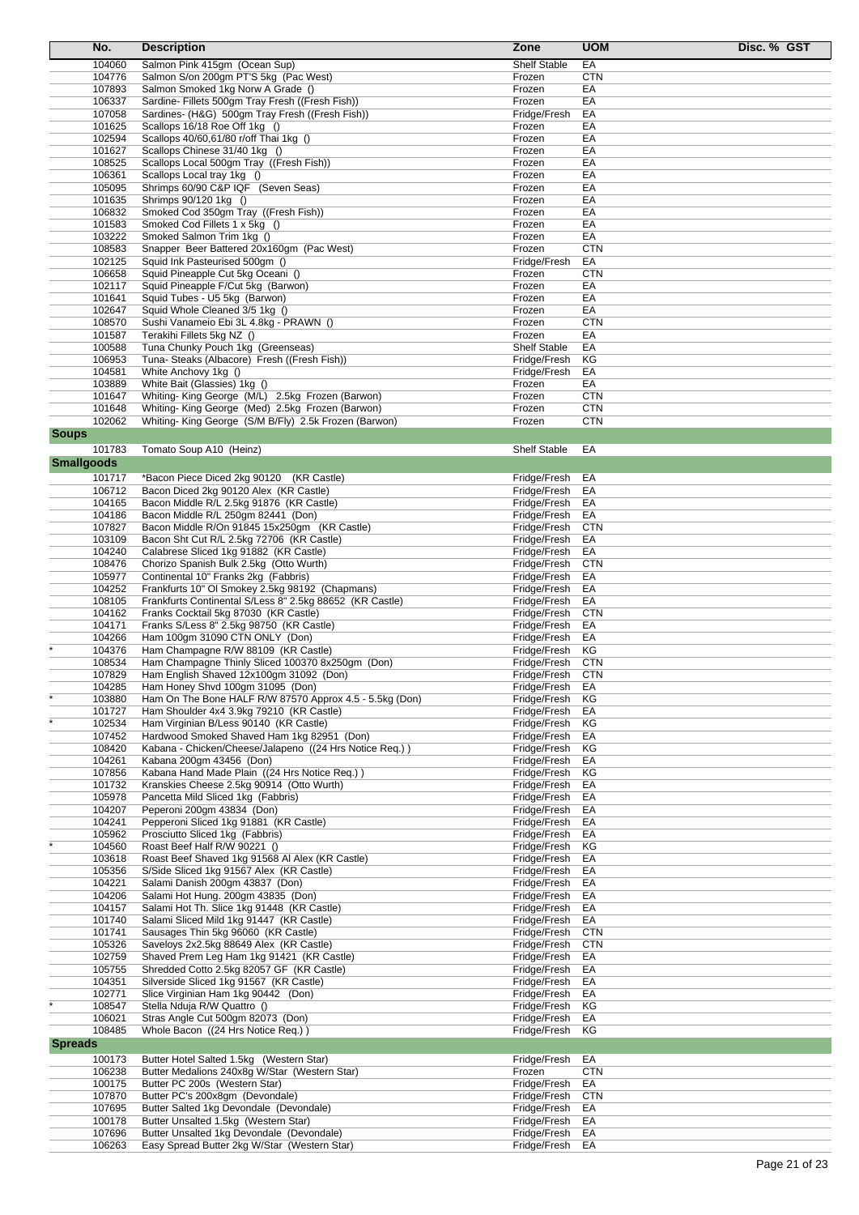| No.               | <b>Description</b>                                       | Zone                | <b>UOM</b> | Disc. % GST |
|-------------------|----------------------------------------------------------|---------------------|------------|-------------|
| 104060            | Salmon Pink 415gm (Ocean Sup)                            | <b>Shelf Stable</b> | EA         |             |
| 104776            | Salmon S/on 200gm PT'S 5kg (Pac West)                    | Frozen              | <b>CTN</b> |             |
| 107893            | Salmon Smoked 1kg Norw A Grade ()                        | Frozen              | EA         |             |
| 106337            | Sardine- Fillets 500gm Tray Fresh ((Fresh Fish))         | Frozen              | EA         |             |
| 107058            | Sardines- (H&G) 500gm Tray Fresh ((Fresh Fish))          | Fridge/Fresh        | EA         |             |
| 101625            | Scallops 16/18 Roe Off 1kg ()                            | Frozen              | EA         |             |
| 102594            | Scallops 40/60,61/80 r/off Thai 1kg ()                   | Frozen              | EA         |             |
| 101627            | Scallops Chinese 31/40 1kg ()                            | Frozen              | EA         |             |
| 108525            | Scallops Local 500gm Tray ((Fresh Fish))                 | Frozen              | EA         |             |
| 106361            | Scallops Local tray 1kg ()                               | Frozen              | EA         |             |
| 105095            | Shrimps 60/90 C&P IQF (Seven Seas)                       | Frozen              | EА         |             |
| 101635            | Shrimps 90/120 1kg ()                                    | Frozen              | EA         |             |
| 106832            | Smoked Cod 350gm Tray ((Fresh Fish))                     | Frozen              | EA         |             |
| 101583            | Smoked Cod Fillets 1 x 5kg ()                            | Frozen              | EA         |             |
| 103222            | Smoked Salmon Trim 1kg ()                                | Frozen              | EA         |             |
| 108583            | Snapper Beer Battered 20x160gm (Pac West)                | Frozen              | <b>CTN</b> |             |
| 102125            | Squid Ink Pasteurised 500gm ()                           | Fridge/Fresh        | EA         |             |
| 106658            | Squid Pineapple Cut 5kg Oceani ()                        | Frozen              | <b>CTN</b> |             |
| 102117            | Squid Pineapple F/Cut 5kg (Barwon)                       | Frozen              | EA         |             |
| 101641            | Squid Tubes - U5 5kg (Barwon)                            | Frozen              | EA         |             |
| 102647            | Squid Whole Cleaned 3/5 1kg ()                           | Frozen              | EA         |             |
| 108570            | Sushi Vanameio Ebi 3L 4.8kg - PRAWN ()                   | Frozen              | <b>CTN</b> |             |
| 101587            | Terakihi Fillets 5kg NZ ()                               | Frozen              | EA         |             |
| 100588            | Tuna Chunky Pouch 1kg (Greenseas)                        | <b>Shelf Stable</b> | EA         |             |
| 106953            | Tuna- Steaks (Albacore) Fresh ((Fresh Fish))             | Fridge/Fresh        | ΚG         |             |
| 104581            | White Anchovy 1kg ()                                     | Fridge/Fresh        | EA         |             |
| 103889            | White Bait (Glassies) 1kg ()                             | Frozen              | EА         |             |
| 101647            | Whiting- King George (M/L) 2.5kg Frozen (Barwon)         | Frozen              | CTN        |             |
| 101648            | Whiting- King George (Med) 2.5kg Frozen (Barwon)         | Frozen              | <b>CTN</b> |             |
| 102062            | Whiting- King George (S/M B/Fly) 2.5k Frozen (Barwon)    | Frozen              | <b>CTN</b> |             |
| <b>Soups</b>      |                                                          |                     |            |             |
| 101783            | Tomato Soup A10 (Heinz)                                  | <b>Shelf Stable</b> | EA         |             |
| <b>Smallgoods</b> |                                                          |                     |            |             |
|                   |                                                          |                     |            |             |
| 101717            | *Bacon Piece Diced 2kg 90120 (KR Castle)                 | Fridge/Fresh        | EA         |             |
| 106712            | Bacon Diced 2kg 90120 Alex (KR Castle)                   | Fridge/Fresh        | EA         |             |
| 104165            | Bacon Middle R/L 2.5kg 91876 (KR Castle)                 | Fridge/Fresh        | EA         |             |
| 104186            | Bacon Middle R/L 250gm 82441 (Don)                       | Fridge/Fresh        | EA         |             |
| 107827            | Bacon Middle R/On 91845 15x250qm (KR Castle)             | Fridge/Fresh        | <b>CTN</b> |             |
| 103109            | Bacon Sht Cut R/L 2.5kg 72706 (KR Castle)                | Fridge/Fresh        | EA         |             |
| 104240            | Calabrese Sliced 1kg 91882 (KR Castle)                   | Fridge/Fresh        | EA         |             |
| 108476            | Chorizo Spanish Bulk 2.5kg (Otto Wurth)                  | Fridge/Fresh        | <b>CTN</b> |             |
| 105977            | Continental 10" Franks 2kg (Fabbris)                     | Fridge/Fresh        | EA         |             |
| 104252            | Frankfurts 10" OI Smokey 2.5kg 98192 (Chapmans)          | Fridge/Fresh        | EA         |             |
| 108105            | Frankfurts Continental S/Less 8" 2.5kg 88652 (KR Castle) | Fridge/Fresh        | EA         |             |
| 104162            | Franks Cocktail 5kg 87030 (KR Castle)                    | Fridge/Fresh        | <b>CTN</b> |             |
| 104171            | Franks S/Less 8" 2.5kg 98750 (KR Castle)                 | Fridge/Fresh        | EA         |             |
| 104266            | Ham 100gm 31090 CTN ONLY (Don)                           | Fridge/Fresh        | EA         |             |
| 104376            | Ham Champagne R/W 88109 (KR Castle)                      | Fridge/Fresh        | KG         |             |
| 108534            | Ham Champagne Thinly Sliced 100370 8x250gm (Don)         | Fridge/Fresh        | <b>CTN</b> |             |
| 107829            | Ham English Shaved 12x100gm 31092 (Don)                  | Fridge/Fresh        | <b>CTN</b> |             |
| 104285            | Ham Honey Shvd 100gm 31095 (Don)                         | Fridge/Fresh        | EA         |             |
| 103880            | Ham On The Bone HALF R/W 87570 Approx 4.5 - 5.5kg (Don)  | Fridge/Fresh        | ΚG         |             |
| 101727            | Ham Shoulder 4x4 3.9kg 79210 (KR Castle)                 | Fridge/Fresh        | EA         |             |
| 102534            | Ham Virginian B/Less 90140 (KR Castle)                   | Fridge/Fresh        | ΚG         |             |
| 107452            | Hardwood Smoked Shaved Ham 1kg 82951 (Don)               | Fridge/Fresh        | EA         |             |
| 108420            | Kabana - Chicken/Cheese/Jalapeno ((24 Hrs Notice Req.))  | Fridge/Fresh        | ΚG         |             |
| 104261            | Kabana 200gm 43456 (Don)                                 | Fridge/Fresh        | EA         |             |
| 107856            | Kabana Hand Made Plain ((24 Hrs Notice Req.))            | Fridge/Fresh        | ΚG         |             |

|                | 101732 | Kranskies Cheese 2.5kg 90914 (Otto Wurth)       | Fridge/Fresh | EA         |
|----------------|--------|-------------------------------------------------|--------------|------------|
|                | 105978 | Pancetta Mild Sliced 1kg (Fabbris)              | Fridge/Fresh | EA         |
|                | 104207 | Peperoni 200gm 43834 (Don)                      | Fridge/Fresh | EA         |
|                | 104241 | Pepperoni Sliced 1kg 91881 (KR Castle)          | Fridge/Fresh | EA         |
|                | 105962 | Prosciutto Sliced 1kg (Fabbris)                 | Fridge/Fresh | EA         |
|                | 104560 | Roast Beef Half R/W 90221 ()                    | Fridge/Fresh | КG         |
|                | 103618 | Roast Beef Shaved 1kg 91568 AI Alex (KR Castle) | Fridge/Fresh | EA         |
|                | 105356 | S/Side Sliced 1kg 91567 Alex (KR Castle)        | Fridge/Fresh | EA         |
|                | 104221 | Salami Danish 200gm 43837 (Don)                 | Fridge/Fresh | EA         |
|                | 104206 | Salami Hot Hung. 200gm 43835 (Don)              | Fridge/Fresh | EA         |
|                | 104157 | Salami Hot Th. Slice 1kg 91448 (KR Castle)      | Fridge/Fresh | EA         |
|                | 101740 | Salami Sliced Mild 1kg 91447 (KR Castle)        | Fridge/Fresh | EA         |
|                | 101741 | Sausages Thin 5kg 96060 (KR Castle)             | Fridge/Fresh | <b>CTN</b> |
|                | 105326 | Saveloys 2x2.5kg 88649 Alex (KR Castle)         | Fridge/Fresh | <b>CTN</b> |
|                | 102759 | Shaved Prem Leg Ham 1kg 91421 (KR Castle)       | Fridge/Fresh | EA         |
|                | 105755 | Shredded Cotto 2.5kg 82057 GF (KR Castle)       | Fridge/Fresh | EA         |
|                | 104351 | Silverside Sliced 1kg 91567 (KR Castle)         | Fridge/Fresh | EA         |
|                | 102771 | Slice Virginian Ham 1kg 90442 (Don)             | Fridge/Fresh | EA         |
|                | 108547 | Stella Nduja R/W Quattro ()                     | Fridge/Fresh | КG         |
|                | 106021 | Stras Angle Cut 500gm 82073 (Don)               | Fridge/Fresh | EA         |
|                | 108485 | Whole Bacon ((24 Hrs Notice Req.))              | Fridge/Fresh | KG         |
| <b>Spreads</b> |        |                                                 |              |            |
|                | 100173 | Butter Hotel Salted 1.5kg (Western Star)        | Fridge/Fresh | EA         |
|                | 106238 | Butter Medalions 240x8g W/Star (Western Star)   | Frozen       | <b>CTN</b> |
|                | 100175 | Butter PC 200s (Western Star)                   | Fridge/Fresh | EA         |
|                | 107870 | Butter PC's 200x8gm (Devondale)                 | Fridge/Fresh | <b>CTN</b> |
|                | 107695 | Butter Salted 1kg Devondale (Devondale)         | Fridge/Fresh | EA         |
|                | 100178 | Butter Unsalted 1.5kg (Western Star)            | Fridge/Fresh | EA         |
|                | 107696 | Butter Unsalted 1kg Devondale (Devondale)       | Fridge/Fresh | EA         |
|                | 106263 | Easy Spread Butter 2kg W/Star (Western Star)    | Fridge/Fresh | EA         |
|                |        |                                                 |              |            |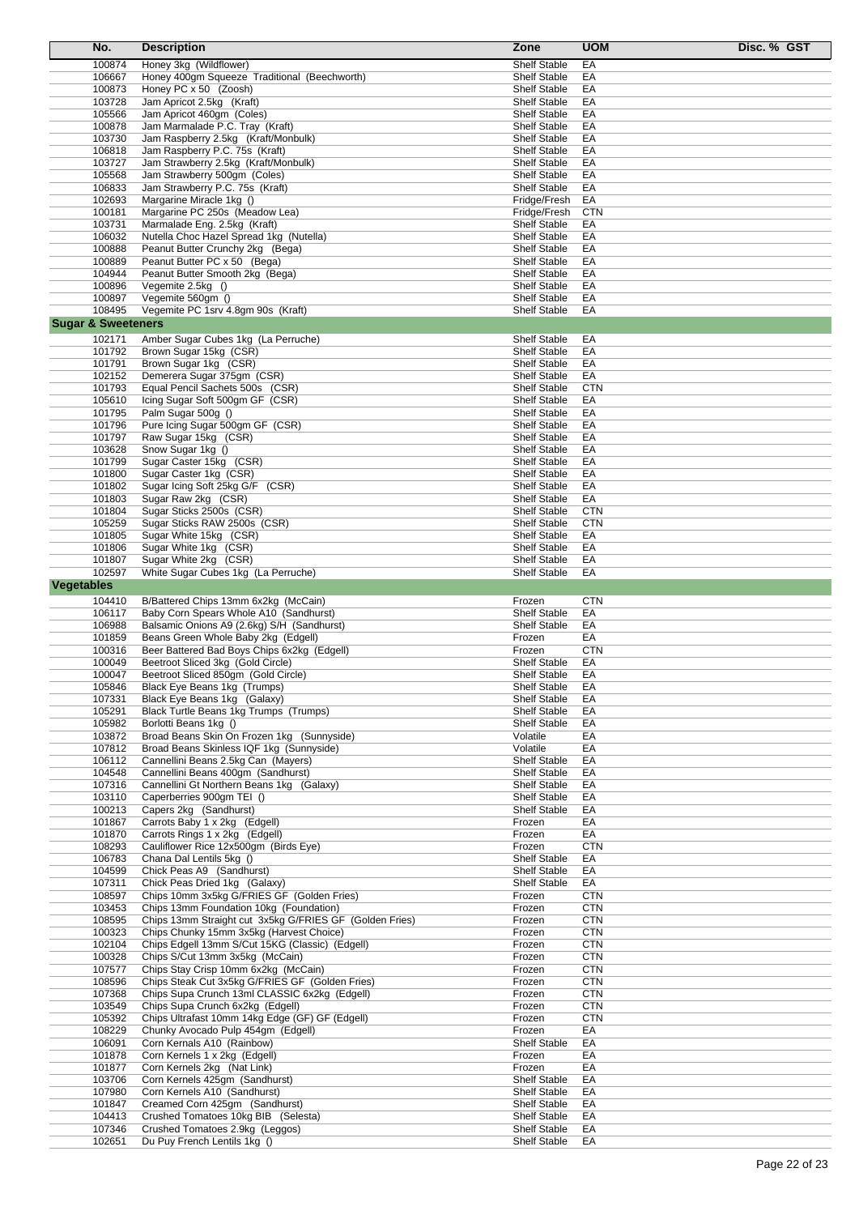|                               | No.              | <b>Description</b>                                                                     | Zone                                | <b>UOM</b><br>Disc. % GST |  |
|-------------------------------|------------------|----------------------------------------------------------------------------------------|-------------------------------------|---------------------------|--|
|                               | 100874           | Honey 3kg (Wildflower)                                                                 | <b>Shelf Stable</b>                 | EA                        |  |
|                               | 106667           | Honey 400gm Squeeze Traditional (Beechworth)                                           | <b>Shelf Stable</b>                 | EA                        |  |
|                               | 100873           | Honey PC x 50 (Zoosh)                                                                  | <b>Shelf Stable</b>                 | EA                        |  |
|                               | 103728           | Jam Apricot 2.5kg (Kraft)                                                              | <b>Shelf Stable</b>                 | EA                        |  |
|                               | 105566           | Jam Apricot 460qm (Coles)                                                              | <b>Shelf Stable</b>                 | EA                        |  |
|                               | 100878           | Jam Marmalade P.C. Tray (Kraft)                                                        | <b>Shelf Stable</b>                 | EA                        |  |
|                               | 103730           | Jam Raspberry 2.5kg (Kraft/Monbulk)                                                    | <b>Shelf Stable</b>                 | EA                        |  |
|                               | 106818           | Jam Raspberry P.C. 75s (Kraft)                                                         | <b>Shelf Stable</b>                 | EA                        |  |
|                               | 103727           | Jam Strawberry 2.5kg (Kraft/Monbulk)                                                   | <b>Shelf Stable</b>                 | EA                        |  |
|                               | 105568           | Jam Strawberry 500gm (Coles)                                                           | <b>Shelf Stable</b>                 | EA                        |  |
|                               | 106833           | Jam Strawberry P.C. 75s (Kraft)                                                        | <b>Shelf Stable</b>                 | EA                        |  |
|                               | 102693           | Margarine Miracle 1kg ()                                                               | Fridge/Fresh                        | EA                        |  |
|                               | 100181           | Margarine PC 250s (Meadow Lea)                                                         | Fridge/Fresh                        | <b>CTN</b>                |  |
|                               | 103731           | Marmalade Eng. 2.5kg (Kraft)                                                           | <b>Shelf Stable</b>                 | EA                        |  |
|                               | 106032           | Nutella Choc Hazel Spread 1kg (Nutella)                                                | <b>Shelf Stable</b>                 | EA                        |  |
|                               | 100888           | Peanut Butter Crunchy 2kg (Bega)                                                       | <b>Shelf Stable</b>                 | EA                        |  |
|                               | 100889           | Peanut Butter PC x 50 (Bega)                                                           | <b>Shelf Stable</b>                 | EA                        |  |
|                               | 104944           | Peanut Butter Smooth 2kg (Bega)                                                        | <b>Shelf Stable</b>                 | EA                        |  |
|                               | 100896           | Vegemite 2.5kg ()                                                                      | <b>Shelf Stable</b>                 | EA                        |  |
|                               | 100897           | Vegemite 560gm ()                                                                      | <b>Shelf Stable</b>                 | EA                        |  |
|                               | 108495           | Vegemite PC 1srv 4.8gm 90s (Kraft)                                                     | <b>Shelf Stable</b>                 | EA                        |  |
| <b>Sugar &amp; Sweeteners</b> |                  |                                                                                        |                                     |                           |  |
|                               | 102171           | Amber Sugar Cubes 1kg (La Perruche)                                                    | <b>Shelf Stable</b>                 | EA                        |  |
|                               | 101792           | Brown Sugar 15kg (CSR)                                                                 | <b>Shelf Stable</b>                 | EA                        |  |
|                               | 101791           | Brown Sugar 1kg (CSR)                                                                  | <b>Shelf Stable</b>                 | EA                        |  |
|                               | 102152           | Demerera Sugar 375gm (CSR)                                                             | <b>Shelf Stable</b>                 | EA                        |  |
|                               | 101793           | Equal Pencil Sachets 500s (CSR)                                                        | <b>Shelf Stable</b>                 | <b>CTN</b>                |  |
|                               | 105610           | Icing Sugar Soft 500gm GF (CSR)                                                        | <b>Shelf Stable</b>                 | EA                        |  |
|                               | 101795           | Palm Sugar 500g ()                                                                     | <b>Shelf Stable</b>                 | EA                        |  |
|                               | 101796           | Pure Icing Sugar 500gm GF (CSR)                                                        | <b>Shelf Stable</b>                 | EA                        |  |
|                               | 101797           | Raw Sugar 15kg (CSR)                                                                   | <b>Shelf Stable</b>                 | EA                        |  |
|                               | 103628           | Snow Sugar 1kg ()                                                                      | <b>Shelf Stable</b>                 | EA                        |  |
|                               | 101799           | Sugar Caster 15kg (CSR)                                                                | <b>Shelf Stable</b>                 | EA                        |  |
|                               | 101800           | Sugar Caster 1kg (CSR)                                                                 | <b>Shelf Stable</b>                 | EA                        |  |
|                               | 101802           | Sugar Icing Soft 25kg G/F (CSR)                                                        | <b>Shelf Stable</b>                 | EA                        |  |
|                               | 101803           | Sugar Raw 2kg (CSR)                                                                    | <b>Shelf Stable</b>                 | EA                        |  |
|                               | 101804           | Sugar Sticks 2500s (CSR)                                                               | <b>Shelf Stable</b>                 | <b>CTN</b>                |  |
|                               | 105259           | Sugar Sticks RAW 2500s (CSR)                                                           | <b>Shelf Stable</b>                 | <b>CTN</b>                |  |
|                               | 101805           | Sugar White 15kg (CSR)                                                                 | <b>Shelf Stable</b>                 | EA                        |  |
|                               | 101806           | Sugar White 1kg (CSR)                                                                  | <b>Shelf Stable</b>                 | EA                        |  |
|                               | 101807           | Sugar White 2kg (CSR)                                                                  | <b>Shelf Stable</b>                 | EA                        |  |
|                               | 102597           | White Sugar Cubes 1kg (La Perruche)                                                    | <b>Shelf Stable</b>                 | EA                        |  |
| <b>Vegetables</b>             |                  |                                                                                        |                                     |                           |  |
|                               | 104410           | B/Battered Chips 13mm 6x2kg (McCain)                                                   | Frozen                              | <b>CTN</b>                |  |
|                               | 106117           | Baby Corn Spears Whole A10 (Sandhurst)                                                 | <b>Shelf Stable</b>                 | EA                        |  |
|                               | 106988           | Balsamic Onions A9 (2.6kg) S/H (Sandhurst)                                             | <b>Shelf Stable</b>                 | EA                        |  |
|                               | 101859           | Beans Green Whole Baby 2kg (Edgell)                                                    | Frozen                              | EA                        |  |
|                               | 100316           | Beer Battered Bad Boys Chips 6x2kg (Edgell)                                            | Frozen                              | <b>CTN</b>                |  |
|                               | 100049           | Beetroot Sliced 3kg (Gold Circle)                                                      | <b>Shelf Stable</b>                 | EA                        |  |
|                               | 100047           | Beetroot Sliced 850gm (Gold Circle)                                                    | <b>Shelf Stable</b>                 | EA                        |  |
|                               | 105846           | Black Eye Beans 1kg (Trumps)                                                           | <b>Shelf Stable</b>                 | EA                        |  |
|                               | 107331           | Black Eye Beans 1kg (Galaxy)                                                           | <b>Shelf Stable</b>                 | EA                        |  |
|                               | 105291           | Black Turtle Beans 1kg Trumps (Trumps)                                                 | <b>Shelf Stable</b>                 | EA                        |  |
|                               | 105982           | Borlotti Beans 1kg ()                                                                  | <b>Shelf Stable</b>                 | EA                        |  |
|                               | 103872<br>107812 | Broad Beans Skin On Frozen 1kg (Sunnyside)<br>Broad Beans Skinless IQF 1kg (Sunnyside) | Volatile                            | EA                        |  |
|                               |                  | Cannellini Beans 2.5kg Can (Mayers)                                                    | Volatile                            | EA                        |  |
|                               | 106112<br>104548 |                                                                                        | Shelf Stable<br><b>Shelf Stable</b> | EA<br>EA                  |  |
|                               | 107316           | Cannellini Beans 400gm (Sandhurst)<br>Cannellini Gt Northern Beans 1kg (Galaxy)        | <b>Shelf Stable</b>                 | EA                        |  |
|                               | 103110           | Caperberries 900gm TEI ()                                                              | <b>Shelf Stable</b>                 | EA                        |  |
|                               | 100213           | Capers 2kg (Sandhurst)                                                                 | <b>Shelf Stable</b>                 | EA                        |  |
|                               | 101867           | Carrots Baby 1 x 2kg (Edgell)                                                          | Frozen                              | EA                        |  |
|                               | 101870           | Carrots Rings 1 x 2kg (Edgell)                                                         | Frozen                              | EA                        |  |
|                               | 108293           | Cauliflower Rice 12x500gm (Birds Eye)                                                  | Frozen                              | <b>CTN</b>                |  |
|                               | 106783           | Chana Dal Lentils 5kg ()                                                               | Shelf Stable                        | EA                        |  |
|                               | 104599           | Chick Peas A9 (Sandhurst)                                                              | <b>Shelf Stable</b>                 | EA                        |  |
|                               | 107311           | Chick Peas Dried 1kg (Galaxy)                                                          | <b>Shelf Stable</b>                 | EA                        |  |
|                               | 108597           | Chips 10mm 3x5kg G/FRIES GF (Golden Fries)                                             | Frozen                              | <b>CTN</b>                |  |
|                               | 103453           | Chips 13mm Foundation 10kg (Foundation)                                                | Frozen                              | <b>CTN</b>                |  |
|                               | 108595           | Chips 13mm Straight cut 3x5kg G/FRIES GF (Golden Fries)                                | Frozen                              | <b>CTN</b>                |  |
|                               | 100323           | Chips Chunky 15mm 3x5kg (Harvest Choice)                                               | Frozen                              | <b>CTN</b>                |  |
|                               | 102104           | Chips Edgell 13mm S/Cut 15KG (Classic) (Edgell)                                        | Frozen                              | <b>CTN</b>                |  |
|                               | 100328           | Chips S/Cut 13mm 3x5kg (McCain)                                                        | Frozen                              | <b>CTN</b>                |  |
|                               | 107577           | Chips Stay Crisp 10mm 6x2kg (McCain)                                                   | Frozen                              | <b>CTN</b>                |  |
|                               | 108596           | Chips Steak Cut 3x5kg G/FRIES GF (Golden Fries)                                        | Frozen                              | <b>CTN</b>                |  |
|                               | 107368           | Chips Supa Crunch 13ml CLASSIC 6x2kg (Edgell)                                          | Frozen                              | <b>CTN</b>                |  |
|                               | 103549           | Chips Supa Crunch 6x2kg (Edgell)                                                       | Frozen                              | <b>CTN</b>                |  |
|                               | 105392           | Chips Ultrafast 10mm 14kg Edge (GF) GF (Edgell)                                        | Frozen                              | <b>CTN</b>                |  |
|                               | 108229           | Chunky Avocado Pulp 454gm (Edgell)                                                     | Frozen                              | EA                        |  |
|                               | 106091           | Corn Kernals A10 (Rainbow)                                                             | <b>Shelf Stable</b>                 | EA                        |  |
|                               | 101878           | Corn Kernels 1 x 2kg (Edgell)                                                          | Frozen                              | EA                        |  |
|                               | 101877           | Corn Kernels 2kg (Nat Link)                                                            | Frozen                              | EA                        |  |
|                               | 103706           | Corn Kernels 425gm (Sandhurst)                                                         | <b>Shelf Stable</b>                 | EA                        |  |
|                               | 107980           | Corn Kernels A10 (Sandhurst)                                                           | <b>Shelf Stable</b>                 | EA                        |  |
|                               | 101847           | Creamed Corn 425gm (Sandhurst)                                                         | <b>Shelf Stable</b>                 | EA                        |  |
|                               | 104413           | Crushed Tomatoes 10kg BIB (Selesta)                                                    | <b>Shelf Stable</b>                 | EA                        |  |
|                               | 107346           | Crushed Tomatoes 2.9kg (Leggos)                                                        | Shelf Stable                        | EA                        |  |
|                               | 102651           | Du Puy French Lentils 1kg ()                                                           | Shelf Stable                        | EA                        |  |